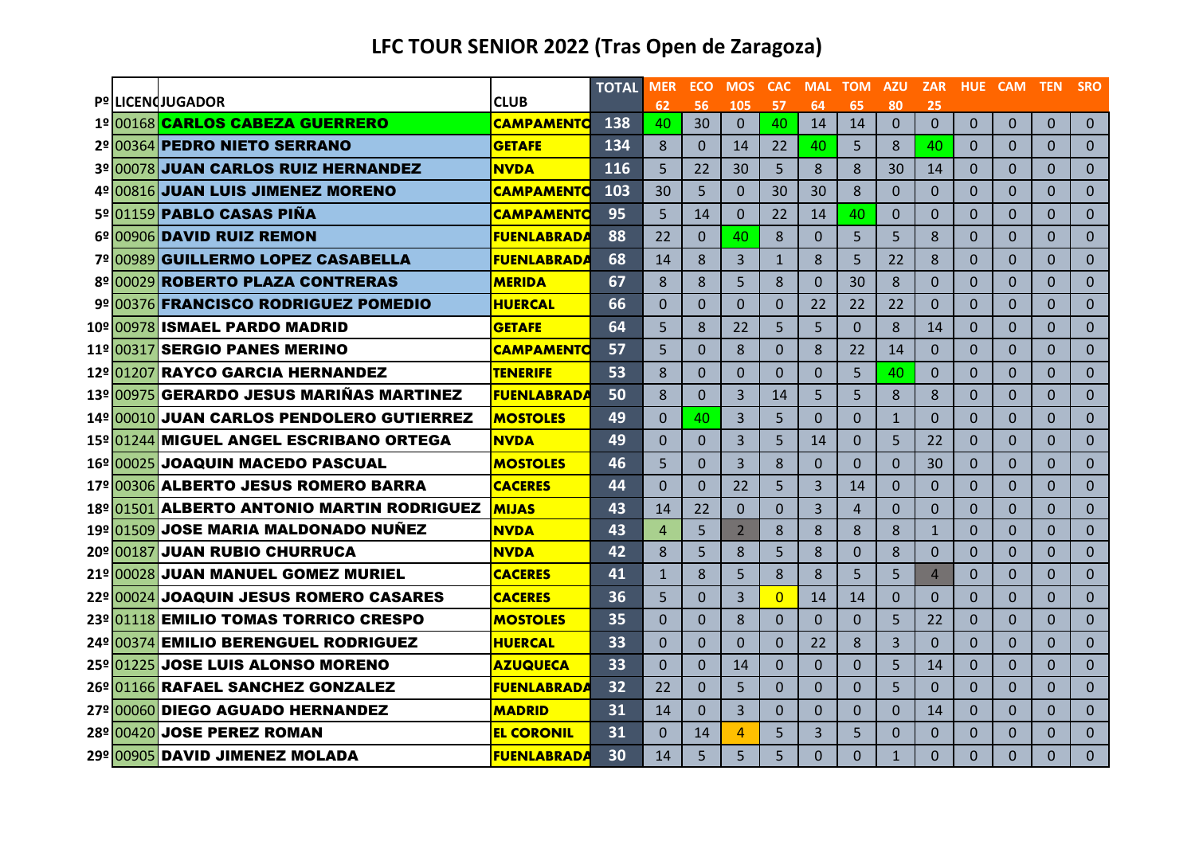|  |                                                            |                                  | <b>TOTAL</b> | <b>MER</b>     | <b>ECO</b> | <b>MOS</b>          | <b>CAC</b>     | <b>MAL</b>     | <b>TOM</b>     | <b>AZU</b>           | <b>ZAR</b>           |                | HUE CAM TEN    |              | <b>SRO</b>     |
|--|------------------------------------------------------------|----------------------------------|--------------|----------------|------------|---------------------|----------------|----------------|----------------|----------------------|----------------------|----------------|----------------|--------------|----------------|
|  | <b>Pº LICENdJUGADOR</b><br>1º 00168 CARLOS CABEZA GUERRERO | <b>CLUB</b><br><b>CAMPAMENTO</b> | 138          | 62<br>40       | 56<br>30   | 105<br>$\mathbf{0}$ | 57<br>40       | 64<br>14       | 65<br>14       | 80<br>$\overline{0}$ | 25<br>$\overline{0}$ | $\overline{0}$ | $\overline{0}$ | $\mathbf{0}$ | $\mathbf{0}$   |
|  | 2º1003641PEDRO NIETO SERRANO                               | <b>GETAFE</b>                    | 134          | 8              | $\Omega$   | 14                  | 22             | 40             | 5              | 8                    | 40                   | $\Omega$       | $\Omega$       | $\Omega$     | $\mathbf{0}$   |
|  | 3º 00078 JUAN CARLOS RUIZ HERNANDEZ                        | <b>NVDA</b>                      | 116          | 5              | 22         | 30                  | 5              | 8              | 8              | 30                   | 14                   | $\Omega$       | $\Omega$       | $\Omega$     | $\overline{0}$ |
|  | 4º 00816 JUAN LUIS JIMENEZ MORENO                          | <b>CAMPAMENTO</b>                | 103          | 30             | 5          | $\Omega$            | 30             | 30             | 8              | $\Omega$             | $\Omega$             | $\Omega$       | $\overline{0}$ | $\Omega$     | $\mathbf 0$    |
|  | 5º 01159 PABLO CASAS PIÑA                                  | <b>CAMPAMENTO</b>                | 95           | 5              | 14         | $\Omega$            | 22             | 14             | 40             | $\Omega$             | $\Omega$             | $\Omega$       | $\Omega$       | $\Omega$     | $\overline{0}$ |
|  | 6º 00906 DAVID RUIZ REMON                                  | <b>FUENLABRADA</b>               | 88           | 22             | $\Omega$   | 40                  | 8              | $\Omega$       | 5              | 5                    | 8                    | $\Omega$       | $\Omega$       | $\Omega$     | $\Omega$       |
|  | 7º 00989 GUILLERMO LOPEZ CASABELLA                         | <b>FUENLABRADA</b>               | 68           | 14             | 8          | 3                   | $\mathbf{1}$   | $\mathbf{8}$   | 5              | 22                   | 8                    | $\Omega$       | $\Omega$       | $\Omega$     | $\Omega$       |
|  | 8º 00029 ROBERTO PLAZA CONTRERAS                           | <b>MERIDA</b>                    | 67           | 8              | 8          | 5                   | 8              | $\Omega$       | 30             | 8                    | $\Omega$             | $\Omega$       | $\Omega$       | $\Omega$     | $\mathbf 0$    |
|  | 9º 00376 FRANCISCO RODRIGUEZ POMEDIO                       | <b>HUERCAL</b>                   | 66           | $\overline{0}$ | $\Omega$   | $\Omega$            | 0              | 22             | 22             | 22                   | $\Omega$             | $\Omega$       | $\Omega$       | $\Omega$     | $\Omega$       |
|  | 10º 00978 ISMAEL PARDO MADRID                              | <b>GETAFE</b>                    | 64           | 5              | 8          | 22                  | 5              | 5              | $\Omega$       | 8                    | 14                   | $\Omega$       | $\Omega$       | $\Omega$     | $\Omega$       |
|  | 11º 00317 SERGIO PANES MERINO                              | <b>CAMPAMENTO</b>                | 57           | 5              | $\Omega$   | 8                   | $\Omega$       | 8              | 22             | 14                   | $\Omega$             | $\Omega$       | $\Omega$       | $\Omega$     | $\mathbf{0}$   |
|  | 12º 01207 RAYCO GARCIA HERNANDEZ                           | <b>TENERIFE</b>                  | 53           | 8              | $\Omega$   | $\Omega$            | $\Omega$       | $\mathbf 0$    | 5              | 40                   | $\mathbf{0}$         | $\Omega$       | $\Omega$       | $\mathbf 0$  | $\mathbf{0}$   |
|  | 13º 00975 GERARDO JESUS MARIÑAS MARTINEZ                   | <b>FUENLABRADA</b>               | 50           | 8              | $\Omega$   | $\overline{3}$      | 14             | 5              | 5              | 8                    | 8                    | $\Omega$       | $\Omega$       | $\Omega$     | $\mathbf 0$    |
|  | 14º 00010 JUAN CARLOS PENDOLERO GUTIERREZ                  | <b>MOSTOLES</b>                  | 49           | $\Omega$       | 40         | $\overline{3}$      | 5              | $\Omega$       | $\Omega$       | $\mathbf{1}$         | $\Omega$             | $\Omega$       | $\Omega$       | $\Omega$     | $\Omega$       |
|  | 15º 01244 MIGUEL ANGEL ESCRIBANO ORTEGA                    | <b>NVDA</b>                      | 49           | $\Omega$       | $\Omega$   | $\overline{3}$      | 5              | 14             | $\Omega$       | 5                    | 22                   | $\Omega$       | $\Omega$       | $\Omega$     | $\Omega$       |
|  | 16º 00025 JOAQUIN MACEDO PASCUAL                           | <b>MOSTOLES</b>                  | 46           | 5              | $\Omega$   | 3                   | 8              | $\Omega$       | $\Omega$       | $\Omega$             | 30                   | $\Omega$       | $\Omega$       | $\Omega$     | $\mathbf 0$    |
|  | 17º 00306 ALBERTO JESUS ROMERO BARRA                       | <b>CACERES</b>                   | 44           | $\overline{0}$ | $\Omega$   | 22                  | 5              | $\overline{3}$ | 14             | $\Omega$             | $\Omega$             | $\Omega$       | $\overline{0}$ | $\Omega$     | $\mathbf 0$    |
|  | 18º 01501 ALBERTO ANTONIO MARTIN RODRIGUEZ                 | <b>MIJAS</b>                     | 43           | 14             | 22         | $\Omega$            | $\Omega$       | $\overline{3}$ | $\overline{4}$ | $\Omega$             | $\Omega$             | $\Omega$       | $\Omega$       | $\Omega$     | $\Omega$       |
|  | 19º 01509 JOSE MARIA MALDONADO NUÑEZ                       | <b>NVDA</b>                      | 43           | 4              | 5          | 2                   | 8              | 8              | 8              | 8                    | $\mathbf{1}$         | $\Omega$       | $\Omega$       | $\Omega$     | $\Omega$       |
|  | 20º 00187 JUAN RUBIO CHURRUCA                              | <b>NVDA</b>                      | 42           | 8              | 5          | 8                   | 5              | 8              | $\Omega$       | 8                    | $\Omega$             | $\Omega$       | $\Omega$       | $\Omega$     | $\mathbf{0}$   |
|  | 21º <mark>00028</mark> JUAN MANUEL GOMEZ MURIEL            | <b>CACERES</b>                   | 41           | $\mathbf{1}$   | 8          | 5                   | 8              | 8              | 5              | 5                    | $\overline{4}$       | $\Omega$       | $\Omega$       | $\Omega$     | $\mathbf 0$    |
|  | 22º 00024 JOAQUIN JESUS ROMERO CASARES                     | <b>CACERES</b>                   | 36           | 5              | $\Omega$   | 3                   | $\Omega$       | 14             | 14             | $\Omega$             | $\Omega$             | $\Omega$       | $\overline{0}$ | $\Omega$     | $\mathbf 0$    |
|  | 23º 01118 EMILIO TOMAS TORRICO CRESPO                      | <b>MOSTOLES</b>                  | 35           | $\Omega$       | $\Omega$   | 8                   | $\Omega$       | $\Omega$       | $\Omega$       | 5                    | 22                   | $\Omega$       | $\Omega$       | $\Omega$     | $\Omega$       |
|  | 24º1003741EMILIO BERENGUEL RODRIGUEZ                       | <b>HUERCAL</b>                   | 33           | $\Omega$       | $\Omega$   | $\Omega$            | $\Omega$       | 22             | 8              | 3                    | $\Omega$             | $\Omega$       | $\Omega$       | $\Omega$     | $\mathbf{0}$   |
|  | 25º 01225 JOSE LUIS ALONSO MORENO                          | <b>AZUQUECA</b>                  | 33           | $\Omega$       | $\Omega$   | 14                  | $\Omega$       | $\Omega$       | $\Omega$       | 5                    | 14                   | $\Omega$       | $\Omega$       | $\Omega$     | $\Omega$       |
|  | 26º 01166 RAFAEL SANCHEZ GONZALEZ                          | <b>FUENLABRADA</b>               | 32           | 22             | $\Omega$   | 5                   | $\overline{0}$ | $\Omega$       | $\Omega$       | 5                    | $\Omega$             | $\Omega$       | $\Omega$       | $\Omega$     | $\mathbf 0$    |
|  | 27º 00060 DIEGO AGUADO HERNANDEZ                           | <b>MADRID</b>                    | 31           | 14             | $\Omega$   | 3                   | $\Omega$       | $\Omega$       | $\Omega$       | $\Omega$             | 14                   | $\Omega$       | $\Omega$       | $\Omega$     | $\mathbf{0}$   |
|  | 28º 00420 JOSE PEREZ ROMAN                                 | <b>EL CORONIL</b>                | 31           | 0              | 14         | 4                   | 5              | 3              | 5              | $\Omega$             | 0                    | $\Omega$       | 0              | $\Omega$     | $\mathbf{0}$   |
|  | 29º 00905 DAVID JIMENEZ MOLADA                             | <b>FUENLABRADA</b>               | 30           | 14             | 5          | 5                   | 5              | $\Omega$       | $\Omega$       | $\mathbf{1}$         | $\Omega$             | $\Omega$       | $\Omega$       | $\Omega$     | $\Omega$       |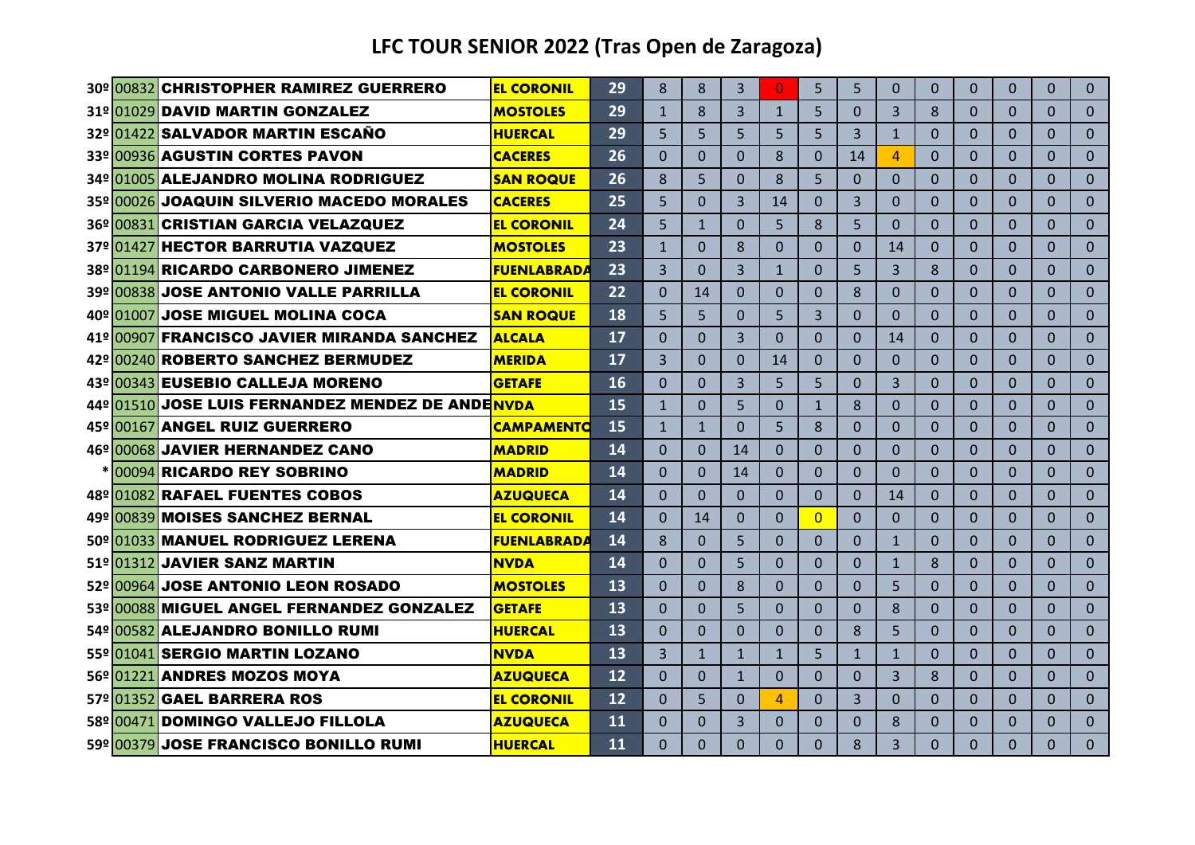|  | 30º 00832 CHRISTOPHER RAMIREZ GUERRERO           | <b>EL CORONIL</b>  | 29 | 8            | $\mathbf{8}$   | $\overline{3}$ | $\Omega$     | 5            | $\overline{5}$ | $\Omega$       | $\Omega$       | $\Omega$       | $\Omega$     | $\Omega$       | $\Omega$       |
|--|--------------------------------------------------|--------------------|----|--------------|----------------|----------------|--------------|--------------|----------------|----------------|----------------|----------------|--------------|----------------|----------------|
|  | 31º 01029 DAVID MARTIN GONZALEZ                  | <b>MOSTOLES</b>    | 29 | $\mathbf{1}$ | 8              | 3              | $\mathbf{1}$ | 5            | $\Omega$       | 3              | 8              | $\Omega$       | $\Omega$     | $\Omega$       | $\Omega$       |
|  | 32º 01422 SALVADOR MARTIN ESCAÑO                 | <b>HUERCAL</b>     | 29 | 5.           | $\overline{5}$ | 5              | 5            | 5.           | $\overline{3}$ | $\mathbf{1}$   | $\Omega$       | $\Omega$       | $\Omega$     | $\Omega$       | $\Omega$       |
|  | 33º 00936 AGUSTIN CORTES PAVON                   | <b>CACERES</b>     | 26 | 0            | $\Omega$       | $\overline{0}$ | 8            | $\Omega$     | 14             | $\overline{4}$ | $\overline{0}$ | $\Omega$       | $\Omega$     | 0              | $\Omega$       |
|  | 34º 01005 ALEJANDRO MOLINA RODRIGUEZ             | <b>SAN ROQUE</b>   | 26 | 8            | 5              | $\Omega$       | 8            | 5            | $\mathbf{0}$   | $\Omega$       | 0              | $\Omega$       | $\mathbf{0}$ | 0              | $\mathbf{0}$   |
|  | 35º 00026 JOAQUIN SILVERIO MACEDO MORALES        | <b>CACERES</b>     | 25 | 5            | $\Omega$       | 3              | 14           | 0            | 3              | $\Omega$       | 0              | $\Omega$       | $\Omega$     | 0              | $\Omega$       |
|  | 36º 00831 CRISTIAN GARCIA VELAZQUEZ              | <b>EL CORONIL</b>  | 24 | 5            | $\mathbf{1}$   | $\overline{0}$ | 5            | 8            | 5              | $\Omega$       | 0              | $\Omega$       | $\Omega$     | $\Omega$       | $\Omega$       |
|  | 37º 01427 HECTOR BARRUTIA VAZQUEZ                | <b>MOSTOLES</b>    | 23 | $\mathbf{1}$ | $\Omega$       | 8              | $\Omega$     | $\Omega$     | $\Omega$       | 14             | 0              | $\Omega$       | $\Omega$     | 0              | $\Omega$       |
|  | 38º 01194 RICARDO CARBONERO JIMENEZ              | <b>FUENLABRADA</b> | 23 | 3            | $\Omega$       | 3              | $\mathbf{1}$ | $\Omega$     | 5              | 3              | 8              | $\Omega$       | $\Omega$     | $\overline{0}$ | $\Omega$       |
|  | 39º 00838 JOSE ANTONIO VALLE PARRILLA            | <b>EL CORONIL</b>  | 22 | $\Omega$     | 14             | $\Omega$       | $\Omega$     | $\Omega$     | 8              | $\Omega$       | $\Omega$       | $\Omega$       | $\Omega$     | 0              | $\mathbf{0}$   |
|  | 40º 01007 JOSE MIGUEL MOLINA COCA                | <b>SAN ROQUE</b>   | 18 | 5            | 5              | $\Omega$       | 5            | 3            | $\Omega$       | $\Omega$       | $\overline{0}$ | $\Omega$       | $\Omega$     | $\Omega$       | $\Omega$       |
|  | 41º 00907 FRANCISCO JAVIER MIRANDA SANCHEZ       | <b>ALCALA</b>      | 17 | $\Omega$     | $\mathbf{0}$   | $\overline{3}$ | $\mathbf{0}$ | $\Omega$     | $\Omega$       | 14             | $\overline{0}$ | $\overline{0}$ | $\mathbf{0}$ | $\Omega$       | $\overline{0}$ |
|  | 42º 00240 ROBERTO SANCHEZ BERMUDEZ               | <b>MERIDA</b>      | 17 | 3            | $\Omega$       | $\Omega$       | 14           | $\Omega$     | $\Omega$       | $\Omega$       | $\overline{0}$ | $\overline{0}$ | $\mathbf{0}$ | 0              | $\mathbf{0}$   |
|  | 43º 00343 EUSEBIO CALLEJA MORENO                 | <b>GETAFE</b>      | 16 | $\Omega$     | $\Omega$       | 3              | 5            | 5            | $\Omega$       | 3              | $\Omega$       | $\Omega$       | $\Omega$     | 0              | $\Omega$       |
|  | 44º 01510 JOSE LUIS FERNANDEZ MENDEZ DE ANDENVDA |                    | 15 | $\mathbf{1}$ | $\Omega$       | 5              | $\Omega$     | $\mathbf{1}$ | 8              | $\Omega$       | 0              | $\Omega$       | $\Omega$     | 0              | $\Omega$       |
|  | 45º 00167 ANGEL RUIZ GUERRERO                    | <b>CAMPAMENTO</b>  | 15 | $\mathbf{1}$ | $\mathbf{1}$   | $\Omega$       | 5            | $\mathbf{8}$ | $\Omega$       | $\Omega$       | $\Omega$       | $\Omega$       | $\Omega$     | $\Omega$       | $\mathbf{0}$   |
|  | 46º 00068 JAVIER HERNANDEZ CANO                  | <b>MADRID</b>      | 14 | 0            | $\Omega$       | 14             | $\Omega$     | $\Omega$     | $\Omega$       | $\Omega$       | $\Omega$       | $\Omega$       | $\Omega$     | 0              | $\Omega$       |
|  | * 00094 RICARDO REY SOBRINO                      | <b>MADRID</b>      | 14 | $\Omega$     | $\Omega$       | 14             | $\mathbf{0}$ | $\Omega$     | $\Omega$       | $\Omega$       | 0              | $\Omega$       | $\Omega$     | 0              | $\mathbf{0}$   |
|  | 48º 01082 RAFAEL FUENTES COBOS                   | <b>AZUQUECA</b>    | 14 | 0            | $\Omega$       | $\Omega$       | $\Omega$     | 0            | $\Omega$       | 14             | 0              | $\Omega$       | $\Omega$     | 0              | $\Omega$       |
|  | 49º 00839 MOISES SANCHEZ BERNAL                  | <b>EL CORONIL</b>  | 14 | $\Omega$     | 14             | 0              | $\Omega$     | $\Omega$     | $\Omega$       | $\Omega$       | 0              | $\Omega$       | $\Omega$     | 0              | $\Omega$       |
|  | 50º 01033 MANUEL RODRIGUEZ LERENA                | <b>FUENLABRADA</b> | 14 | 8            | $\Omega$       | 5              | $\Omega$     | $\Omega$     | $\Omega$       | $\mathbf{1}$   | 0              | $\Omega$       | $\Omega$     | 0              | $\Omega$       |
|  | 51º 01312 JAVIER SANZ MARTIN                     | <b>NVDA</b>        | 14 | $\Omega$     | $\Omega$       | 5              | $\Omega$     | $\Omega$     | $\Omega$       | $\mathbf{1}$   | 8              | $\Omega$       | $\Omega$     | 0              | $\mathbf{0}$   |
|  | 52º 00964 JOSE ANTONIO LEON ROSADO               | <b>MOSTOLES</b>    | 13 | $\Omega$     | $\Omega$       | 8              | $\Omega$     | $\Omega$     | $\Omega$       | 5              | $\Omega$       | $\Omega$       | $\Omega$     | 0              | $\Omega$       |
|  | 53º 00088 MIGUEL ANGEL FERNANDEZ GONZALEZ        | <b>GETAFE</b>      | 13 | $\Omega$     | $\Omega$       | 5              | $\Omega$     | $\Omega$     | $\Omega$       | 8              | $\Omega$       | $\Omega$       | $\Omega$     | 0              | $\Omega$       |
|  | 54º 00582 ALEJANDRO BONILLO RUMI                 | <b>HUERCAL</b>     | 13 | $\Omega$     | $\Omega$       | $\Omega$       | $\Omega$     | $\Omega$     | 8              | 5              | $\Omega$       | $\Omega$       | $\Omega$     | $\Omega$       | $\Omega$       |
|  | 55º 01041 SERGIO MARTIN LOZANO                   | <b>NVDA</b>        | 13 | 3            | $\mathbf{1}$   | $\mathbf{1}$   | $\mathbf{1}$ | 5            | $\mathbf{1}$   | $\mathbf{1}$   | $\Omega$       | $\Omega$       | $\Omega$     | $\Omega$       | $\Omega$       |
|  | 56º 01221 ANDRES MOZOS MOYA                      | <b>AZUQUECA</b>    | 12 | $\Omega$     | $\Omega$       | $\mathbf{1}$   | $\Omega$     | $\Omega$     | $\Omega$       | $\overline{3}$ | 8              | $\Omega$       | $\Omega$     | $\Omega$       | $\mathbf{0}$   |
|  | 57º 01352 GAEL BARRERA ROS                       | <b>EL CORONIL</b>  | 12 | $\Omega$     | 5              | $\Omega$       | 4            | $\Omega$     | $\overline{3}$ | $\Omega$       | $\Omega$       | $\Omega$       | $\Omega$     | 0              | $\Omega$       |
|  | 58º 00471 DOMINGO VALLEJO FILLOLA                | <b>AZUQUECA</b>    | 11 | $\Omega$     | $\Omega$       | 3              | $\Omega$     | $\Omega$     | $\Omega$       | 8              | 0              | $\Omega$       | $\Omega$     | $\Omega$       | $\Omega$       |
|  | 59º 00379 JOSE FRANCISCO BONILLO RUMI            | <b>HUERCAL</b>     | 11 | $\Omega$     | $\Omega$       | $\Omega$       | $\Omega$     | $\Omega$     | 8              | 3              | $\Omega$       | $\Omega$       | $\Omega$     | 0              | $\Omega$       |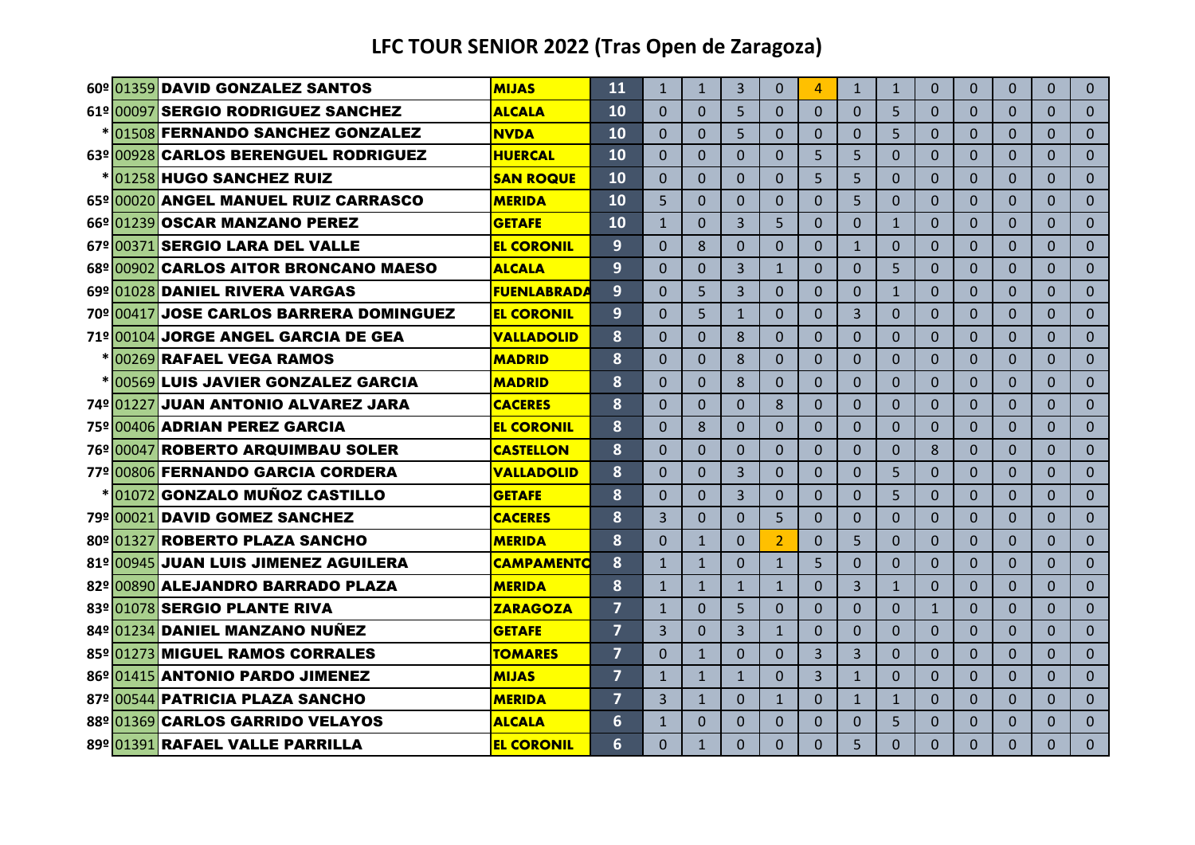| 60º 01359 DAVID GONZALEZ SANTOS            | <b>MIJAS</b>       | 11                      | $\mathbf{1}$   | $\mathbf{1}$ | $\overline{3}$ | $\Omega$       | $\boldsymbol{\Lambda}$ | $\mathbf{1}$   | $\mathbf{1}$ | $\Omega$       | $\Omega$       | $\Omega$     | $\Omega$ | $\Omega$     |
|--------------------------------------------|--------------------|-------------------------|----------------|--------------|----------------|----------------|------------------------|----------------|--------------|----------------|----------------|--------------|----------|--------------|
| 61º 00097 SERGIO RODRIGUEZ SANCHEZ         | <b>ALCALA</b>      | 10                      | $\Omega$       | $\Omega$     | 5              | $\Omega$       | $\Omega$               | $\Omega$       | 5            | $\Omega$       | $\Omega$       | $\Omega$     | 0        | $\Omega$     |
| * 01508 FERNANDO SANCHEZ GONZALEZ          | <b>NVDA</b>        | 10                      | $\mathbf{0}$   | $\Omega$     | 5              | $\Omega$       | $\Omega$               | $\Omega$       | 5            | $\Omega$       | $\Omega$       | $\Omega$     | $\Omega$ | $\mathbf{0}$ |
| 63º 00928 CARLOS BERENGUEL RODRIGUEZ       | <b>HUERCAL</b>     | 10                      | $\Omega$       | $\Omega$     | $\Omega$       | $\Omega$       | 5                      | 5              | $\Omega$     | $\Omega$       | $\Omega$       | $\Omega$     | 0        | $\Omega$     |
| *1012581HUGO SANCHEZ RUIZ                  | <b>SAN ROQUE</b>   | 10                      | $\Omega$       | $\Omega$     | $\Omega$       | $\Omega$       | 5                      | 5              | $\Omega$     | $\Omega$       | $\Omega$       | $\Omega$     | $\Omega$ | $\Omega$     |
| 65º 00020 ANGEL MANUEL RUIZ CARRASCO       | <b>MERIDA</b>      | 10                      | 5              | $\Omega$     | $\Omega$       | $\Omega$       | $\Omega$               | 5              | $\Omega$     | $\Omega$       | $\Omega$       | $\Omega$     | $\Omega$ | $\Omega$     |
| 66º 01239 OSCAR MANZANO PEREZ              | <b>GETAFE</b>      | 10                      | $\mathbf{1}$   | $\Omega$     | 3              | 5              | $\overline{0}$         | $\Omega$       | $\mathbf{1}$ | $\Omega$       | $\Omega$       | $\Omega$     | 0        | $\Omega$     |
| 67º 00371 SERGIO LARA DEL VALLE            | <b>EL CORONIL</b>  | 9                       | $\Omega$       | $\mathbf{8}$ | $\Omega$       | $\Omega$       | $\Omega$               | $\mathbf{1}$   | $\Omega$     | $\Omega$       | $\Omega$       | $\Omega$     | $\Omega$ | $\Omega$     |
| 68º 00902 CARLOS AITOR BRONCANO MAESO      | <b>ALCALA</b>      | 9                       | $\Omega$       | $\Omega$     | 3              | $\mathbf{1}$   | $\overline{0}$         | $\Omega$       | 5            | $\Omega$       | $\overline{0}$ | $\Omega$     | $\Omega$ | $\mathbf{0}$ |
| 69º 01028 DANIEL RIVERA VARGAS             | <b>FUENLABRADA</b> | 9                       | $\mathbf{0}$   | 5            | 3              | $\overline{0}$ | $\overline{0}$         | $\overline{0}$ | $\mathbf{1}$ | $\overline{0}$ | $\overline{0}$ | $\mathbf{0}$ | $\Omega$ | $\mathbf{0}$ |
| 70º 00417 JOSE CARLOS BARRERA DOMINGUEZ    | <b>EL CORONIL</b>  | 9                       | $\Omega$       | 5            | $\mathbf{1}$   | $\Omega$       | $\overline{0}$         | $\overline{3}$ | $\Omega$     | $\Omega$       | $\Omega$       | $\Omega$     | 0        | $\Omega$     |
| 71º 00104 JORGE ANGEL GARCIA DE GEA        | <b>VALLADOLID</b>  | 8                       | $\Omega$       | $\Omega$     | 8              | $\Omega$       | $\Omega$               | $\Omega$       | $\Omega$     | $\Omega$       | $\Omega$       | $\Omega$     | $\Omega$ | $\mathbf{0}$ |
| *100269 RAFAEL VEGA RAMOS                  | <b>MADRID</b>      | 8                       | $\Omega$       | $\Omega$     | 8              | $\Omega$       | $\Omega$               | $\Omega$       | $\Omega$     | $\Omega$       | $\Omega$       | $\Omega$     | $\Omega$ | $\Omega$     |
| <u>*1005691LUIS JAVIER GONZALEZ GARCIA</u> | <b>MADRID</b>      | 8                       | $\Omega$       | $\Omega$     | 8              | $\Omega$       | $\Omega$               | $\Omega$       | $\Omega$     | $\Omega$       | $\Omega$       | $\Omega$     | $\Omega$ | $\mathbf{0}$ |
| 74º 01227 JUAN ANTONIO ALVAREZ JARA        | <b>CACERES</b>     | 8                       | $\Omega$       | $\Omega$     | $\Omega$       | 8              | $\Omega$               | $\Omega$       | $\Omega$     | $\Omega$       | $\Omega$       | $\Omega$     | 0        | $\Omega$     |
| 75º 00406 ADRIAN PEREZ GARCIA              | <b>EL CORONIL</b>  | 8                       | $\Omega$       | 8            | $\Omega$       | $\Omega$       | $\Omega$               | $\Omega$       | $\Omega$     | $\Omega$       | $\Omega$       | $\Omega$     | $\Omega$ | $\mathbf{0}$ |
| 76º 00047 ROBERTO ARQUIMBAU SOLER          | <b>CASTELLON</b>   | 8                       | $\Omega$       | $\Omega$     | $\overline{0}$ | $\Omega$       | $\Omega$               | 0              | $\Omega$     | 8              | $\Omega$       | $\Omega$     | 0        | $\Omega$     |
| 77º 00806 FERNANDO GARCIA CORDERA          | <b>VALLADOLID</b>  | 8                       | $\Omega$       | $\Omega$     | 3              | $\Omega$       | $\Omega$               | $\Omega$       | 5            | $\Omega$       | $\Omega$       | $\Omega$     | 0        | $\mathbf{0}$ |
| *01072GONZALO MUÑOZ CASTILLO               | <b>GETAFE</b>      | 8                       | $\Omega$       | $\Omega$     | 3              | $\Omega$       | $\Omega$               | 0              | 5            | $\Omega$       | $\Omega$       | $\Omega$     | 0        | $\Omega$     |
| 79º 00021 DAVID GOMEZ SANCHEZ              | <b>CACERES</b>     | 8                       | $\overline{3}$ | $\Omega$     | 0              | 5              | $\Omega$               | $\Omega$       | $\Omega$     | $\Omega$       | $\Omega$       | $\Omega$     | 0        | $\Omega$     |
| 80º 01327 ROBERTO PLAZA SANCHO             | <b>MERIDA</b>      | 8                       | $\Omega$       | $\mathbf{1}$ | $\Omega$       | $\overline{2}$ | $\Omega$               | 5              | $\Omega$     | $\Omega$       | $\Omega$       | $\Omega$     | 0        | $\Omega$     |
| 81º 00945 JUAN LUIS JIMENEZ AGUILERA       | <b>CAMPAMENTO</b>  | 8                       | $\mathbf{1}$   | $\mathbf{1}$ | $\Omega$       | $\mathbf{1}$   | 5                      | $\Omega$       | $\Omega$     | $\Omega$       | $\Omega$       | $\Omega$     | $\Omega$ | $\Omega$     |
| 82º 00890 ALEJANDRO BARRADO PLAZA          | <b>MERIDA</b>      | 8                       | $\mathbf{1}$   | $\mathbf{1}$ | $\mathbf{1}$   | $\mathbf{1}$   | $\Omega$               | 3              | $\mathbf{1}$ | $\Omega$       | $\Omega$       | $\Omega$     | $\Omega$ | $\Omega$     |
| 83º 01078 SERGIO PLANTE RIVA               | <b>ZARAGOZA</b>    | 7                       | $\mathbf{1}$   | $\Omega$     | 5              | $\Omega$       | $\Omega$               | $\Omega$       | $\Omega$     | $\mathbf{1}$   | $\Omega$       | $\Omega$     | $\Omega$ | $\Omega$     |
| 84º 01234 DANIEL MANZANO NUÑEZ             | <b>GETAFE</b>      | $\overline{7}$          | 3              | $\Omega$     | 3              | $\mathbf{1}$   | $\Omega$               | $\Omega$       | $\Omega$     | $\Omega$       | $\Omega$       | $\Omega$     | $\Omega$ | $\Omega$     |
| 85º 01273 MIGUEL RAMOS CORRALES            | <b>TOMARES</b>     | $\overline{7}$          | $\Omega$       | $\mathbf{1}$ | $\Omega$       | $\Omega$       | 3                      | 3              | $\Omega$     | $\Omega$       | $\Omega$       | $\Omega$     | $\Omega$ | $\Omega$     |
| 86º 01415 ANTONIO PARDO JIMENEZ            | <b>MIJAS</b>       | $\overline{7}$          | $\mathbf{1}$   | $\mathbf{1}$ | $\mathbf{1}$   | $\Omega$       | $\overline{3}$         | $\mathbf{1}$   | $\Omega$     | $\overline{0}$ | $\Omega$       | $\Omega$     | $\Omega$ | $\mathbf{0}$ |
| 87º 00544 PATRICIA PLAZA SANCHO            | <b>MERIDA</b>      | $\overline{\mathbf{z}}$ | $\overline{3}$ | $\mathbf{1}$ | $\Omega$       | $\mathbf{1}$   | $\Omega$               | $\mathbf{1}$   | $\mathbf{1}$ | $\Omega$       | $\Omega$       | $\Omega$     | 0        | $\Omega$     |
| 88º 01369 CARLOS GARRIDO VELAYOS           | <b>ALCALA</b>      | 6                       | $\mathbf{1}$   | $\Omega$     | $\Omega$       | $\Omega$       | $\Omega$               | $\Omega$       | 5            | $\Omega$       | $\Omega$       | $\Omega$     | $\Omega$ | $\Omega$     |
| 89º 01391 RAFAEL VALLE PARRILLA            | <b>EL CORONIL</b>  | 6                       | $\Omega$       | $\mathbf{1}$ | $\Omega$       | $\Omega$       | $\Omega$               | 5.             | $\Omega$     | $\Omega$       | $\Omega$       | $\Omega$     | 0        | $\Omega$     |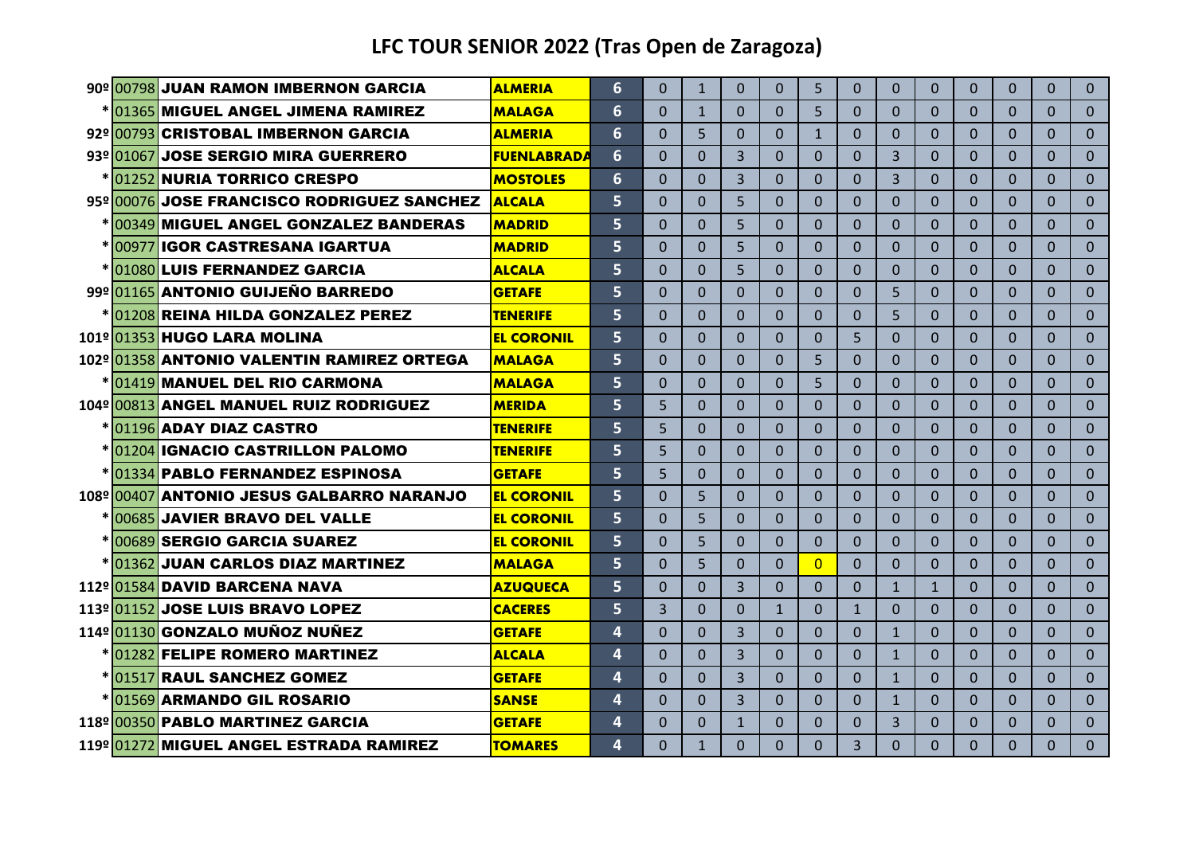|  | 90º 00798 JUAN RAMON IMBERNON GARCIA       | <b>ALMERIA</b>     | 6                       | $\Omega$ | $\mathbf{1}$ | $\Omega$       | $\Omega$     | 5            | $\Omega$       | $\Omega$       | $\Omega$     | $\Omega$     | $\Omega$       | $\Omega$ | $\mathbf{0}$   |
|--|--------------------------------------------|--------------------|-------------------------|----------|--------------|----------------|--------------|--------------|----------------|----------------|--------------|--------------|----------------|----------|----------------|
|  | 01365 MIGUEL ANGEL JIMENA RAMIREZ          | <b>MALAGA</b>      | 6                       | $\Omega$ | $\mathbf{1}$ | 0              | $\Omega$     | 5            | $\Omega$       | $\Omega$       | $\Omega$     | $\Omega$     | $\Omega$       | 0        | $\Omega$       |
|  | 92º 00793 CRISTOBAL IMBERNON GARCIA        | <b>ALMERIA</b>     | 6                       | $\Omega$ | 5            | $\Omega$       | $\Omega$     | $\mathbf{1}$ | $\Omega$       | $\Omega$       | $\Omega$     | $\Omega$     | $\Omega$       | $\Omega$ | $\Omega$       |
|  | 93º1010671JOSE SERGIO MIRA GUERRERO        | <b>FUENLABRADA</b> | 6                       | $\Omega$ | $\Omega$     | 3              | $\Omega$     | $\Omega$     | $\Omega$       | $\overline{3}$ | $\Omega$     | $\Omega$     | $\Omega$       | $\Omega$ | $\Omega$       |
|  | 01252 NURIA TORRICO CRESPO                 | <b>MOSTOLES</b>    | 6                       | $\Omega$ | $\Omega$     | $\overline{3}$ | $\Omega$     | $\Omega$     | $\Omega$       | 3              | $\Omega$     | $\Omega$     | $\Omega$       | 0        | $\Omega$       |
|  | 95º 00076 JOSE FRANCISCO RODRIGUEZ SANCHEZ | <b>ALCALA</b>      | 5                       | 0        | $\Omega$     | 5              | $\Omega$     | $\Omega$     | $\Omega$       | $\Omega$       | $\Omega$     | $\Omega$     | $\Omega$       | 0        | $\Omega$       |
|  | 00349 MIGUEL ANGEL GONZALEZ BANDERAS       | <b>MADRID</b>      | 5                       | $\Omega$ | $\Omega$     | 5              | $\Omega$     | $\Omega$     | $\Omega$       | $\Omega$       | $\Omega$     | $\Omega$     | $\Omega$       | 0        | $\Omega$       |
|  | *1009771IGOR CASTRESANA IGARTUA            | <b>MADRID</b>      | 5                       | 0        | $\Omega$     | 5              | $\Omega$     | $\Omega$     | $\Omega$       | $\Omega$       | $\Omega$     | $\Omega$     | $\Omega$       | 0        | $\Omega$       |
|  | 01080 LUIS FERNANDEZ GARCIA                | <b>ALCALA</b>      | 5                       | $\Omega$ | $\Omega$     | 5              | $\Omega$     | $\Omega$     | $\Omega$       | $\Omega$       | $\Omega$     | $\Omega$     | $\Omega$       | $\Omega$ | $\Omega$       |
|  | 99º 01165 ANTONIO GUIJEÑO BARREDO          | <b>GETAFE</b>      | 5                       | $\Omega$ | $\Omega$     | $\Omega$       | $\Omega$     | $\Omega$     | $\Omega$       | 5              | $\Omega$     | $\Omega$     | $\Omega$       | 0        | $\mathbf{0}$   |
|  | 01208 REINA HILDA GONZALEZ PEREZ           | <b>TENERIFE</b>    | 5                       | $\Omega$ | $\Omega$     | $\Omega$       | $\Omega$     | $\Omega$     | $\Omega$       | 5              | $\Omega$     | $\Omega$     | $\Omega$       | 0        | $\Omega$       |
|  | 101º 01353 HUGO LARA MOLINA                | <b>EL CORONIL</b>  | 5                       | $\Omega$ | $\Omega$     | $\Omega$       | $\Omega$     | $\Omega$     | 5              | $\Omega$       | $\Omega$     | $\Omega$     | $\Omega$       | $\Omega$ | $\Omega$       |
|  | 102º 01358 ANTONIO VALENTIN RAMIREZ ORTEGA | <b>MALAGA</b>      | 5                       | $\Omega$ | $\Omega$     | $\Omega$       | $\Omega$     | 5            | $\Omega$       | $\Omega$       | $\Omega$     | $\Omega$     | $\Omega$       | $\Omega$ | $\Omega$       |
|  | <u>*1014191MANUEL DEL RIO CARMONA</u>      | <b>MALAGA</b>      | 5                       | $\Omega$ | $\Omega$     | $\overline{0}$ | $\Omega$     | 5            | $\Omega$       | $\Omega$       | $\Omega$     | $\mathbf{0}$ | $\overline{0}$ | $\Omega$ | $\mathbf{0}$   |
|  | 104º 00813 ANGEL MANUEL RUIZ RODRIGUEZ     | <b>MERIDA</b>      | 5                       | 5        | $\Omega$     | $\Omega$       | $\Omega$     | $\Omega$     | $\Omega$       | $\Omega$       | $\Omega$     | $\Omega$     | $\Omega$       | $\Omega$ | $\Omega$       |
|  | *1011961ADAY DIAZ CASTRO                   | <b>TENERIFE</b>    | 5                       | 5        | $\Omega$     | $\Omega$       | $\Omega$     | $\Omega$     | $\Omega$       | $\Omega$       | $\Omega$     | $\Omega$     | $\Omega$       | $\Omega$ | $\Omega$       |
|  | <u>*1012041IGNACIO CASTRILLON PALOMO</u>   | <b>TENERIFE</b>    | 5                       | 5        | $\Omega$     | $\Omega$       | $\Omega$     | $\Omega$     | $\Omega$       | $\Omega$       | $\Omega$     | $\Omega$     | $\Omega$       | 0        | $\Omega$       |
|  | *101334 PABLO FERNANDEZ ESPINOSA           | <b>GETAFE</b>      | 5                       | 5        | $\Omega$     | $\Omega$       | $\Omega$     | $\Omega$     | $\Omega$       | $\Omega$       | $\Omega$     | $\Omega$     | $\Omega$       | $\Omega$ | $\Omega$       |
|  | 108º 00407 ANTONIO JESUS GALBARRO NARANJO  | <b>EL CORONIL</b>  | 5                       | 0        | 5            | 0              | $\Omega$     | $\Omega$     | $\Omega$       | $\Omega$       | $\Omega$     | $\Omega$     | $\Omega$       | $\Omega$ | $\Omega$       |
|  | 00685 JAVIER BRAVO DEL VALLE               | <b>EL CORONIL</b>  | 5                       | $\Omega$ | 5            | 0              | $\Omega$     | $\Omega$     | $\Omega$       | $\Omega$       | $\Omega$     | $\Omega$     | $\Omega$       | 0        | $\Omega$       |
|  | <u>*1006891SERGIO GARCIA SUAREZ</u>        | <b>EL CORONIL</b>  | 5                       | $\Omega$ | 5            | $\Omega$       | $\Omega$     | $\Omega$     | $\Omega$       | $\Omega$       | $\Omega$     | $\Omega$     | $\Omega$       | 0        | $\Omega$       |
|  | 01362 JUAN CARLOS DIAZ MARTINEZ            | <b>MALAGA</b>      | 5                       | $\Omega$ | 5            | $\Omega$       | $\Omega$     | $\Omega$     | $\Omega$       | $\Omega$       | $\Omega$     | $\Omega$     | $\Omega$       | $\Omega$ | $\Omega$       |
|  | 112º101584 DAVID BARCENA NAVA              | <b>AZUQUECA</b>    | 5                       | $\Omega$ | $\Omega$     | 3              | $\Omega$     | $\Omega$     | $\Omega$       | $\mathbf{1}$   | $\mathbf{1}$ | $\Omega$     | $\Omega$       | $\Omega$ | $\Omega$       |
|  | 113º 01152 JOSE LUIS BRAVO LOPEZ           | <b>CACERES</b>     | 5                       | 3        | $\Omega$     | 0              | $\mathbf{1}$ | $\Omega$     | $\mathbf{1}$   | $\Omega$       | $\Omega$     | $\Omega$     | $\Omega$       | 0        | $\Omega$       |
|  | 114º 01130 GONZALO MUÑOZ NUÑEZ             | <b>GETAFE</b>      | 4                       | $\Omega$ | $\Omega$     | $\overline{3}$ | $\Omega$     | $\Omega$     | $\Omega$       | $\mathbf{1}$   | $\Omega$     | $\Omega$     | $\Omega$       | $\Omega$ | $\overline{0}$ |
|  | *1012821FELIPE ROMERO MARTINEZ             | <b>ALCALA</b>      | 4                       | $\Omega$ | $\Omega$     | 3              | $\Omega$     | $\Omega$     | $\Omega$       | $\mathbf{1}$   | $\Omega$     | $\Omega$     | $\Omega$       | $\Omega$ | $\Omega$       |
|  | *101517 RAUL SANCHEZ GOMEZ                 | <b>GETAFE</b>      | $\overline{\mathbf{A}}$ | $\Omega$ | $\Omega$     | 3              | $\Omega$     | $\Omega$     | $\Omega$       | $\mathbf{1}$   | $\Omega$     | $\Omega$     | $\Omega$       | $\Omega$ | $\Omega$       |
|  | *1015691ARMANDO GIL ROSARIO                | <b>SANSE</b>       | 4                       | $\Omega$ | $\Omega$     | 3              | $\Omega$     | $\Omega$     | $\Omega$       | $\mathbf{1}$   | $\Omega$     | $\Omega$     | $\Omega$       | 0        | $\Omega$       |
|  | 118º 00350 PABLO MARTINEZ GARCIA           | <b>GETAFE</b>      | 4                       | $\Omega$ | $\Omega$     | $\mathbf{1}$   | $\Omega$     | $\Omega$     | $\Omega$       | 3              | $\Omega$     | $\Omega$     | $\Omega$       | 0        | $\Omega$       |
|  | 119º 01272 MIGUEL ANGEL ESTRADA RAMIREZ    | <b>TOMARES</b>     | 4                       | $\Omega$ | $\mathbf{1}$ | $\Omega$       | $\Omega$     | $\Omega$     | $\overline{3}$ | $\Omega$       | $\Omega$     | $\Omega$     | $\Omega$       | $\Omega$ | $\Omega$       |
|  |                                            |                    |                         |          |              |                |              |              |                |                |              |              |                |          |                |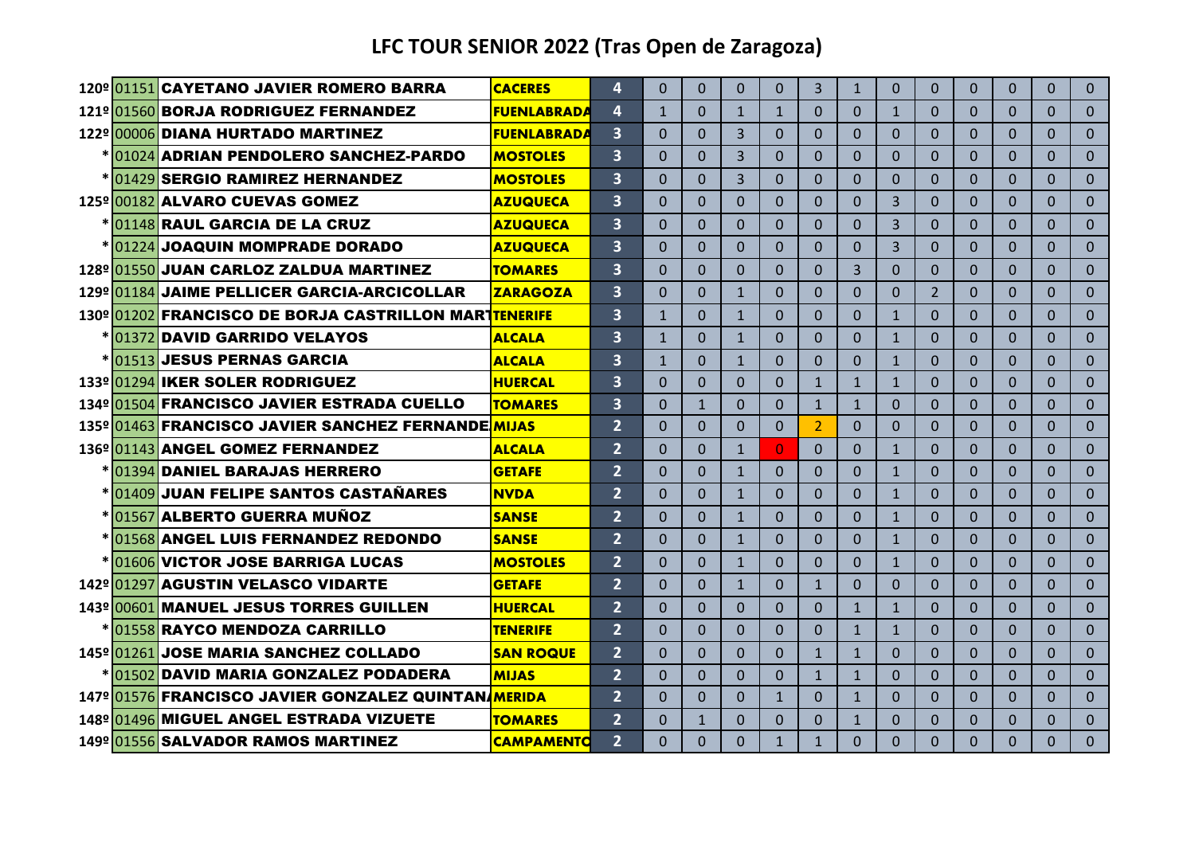|  | 120º 01151 CAYETANO JAVIER ROMERO BARRA               | <b>CACERES</b>     | 4                       | $\Omega$     | $\Omega$     | $\mathbf{0}$   | $\Omega$       | 3              | $\mathbf{1}$   | $\Omega$     | $\Omega$       | $\mathbf{0}$ | $\Omega$     | $\Omega$ | $\Omega$       |
|--|-------------------------------------------------------|--------------------|-------------------------|--------------|--------------|----------------|----------------|----------------|----------------|--------------|----------------|--------------|--------------|----------|----------------|
|  | 121º 01560 BORJA RODRIGUEZ FERNANDEZ                  | <b>FUENLABRADA</b> | 4                       | $\mathbf{1}$ | 0            | $\mathbf{1}$   | $\mathbf{1}$   | $\Omega$       | $\Omega$       | $\mathbf{1}$ | $\Omega$       | $\Omega$     | $\Omega$     | $\Omega$ | $\Omega$       |
|  | 122º 00006 DIANA HURTADO MARTINEZ                     | <b>FUENLABRADA</b> | $\overline{\mathbf{3}}$ | $\Omega$     | $\Omega$     | 3              | $\Omega$       | $\Omega$       | $\Omega$       | $\Omega$     | $\Omega$       | $\Omega$     | $\Omega$     | $\Omega$ | $\Omega$       |
|  | <u>*1010241ADRIAN PENDOLERO SANCHEZ-PARDO</u>         | <b>MOSTOLES</b>    | $\overline{\mathbf{3}}$ | $\Omega$     | 0            | 3              | $\Omega$       | $\Omega$       | $\Omega$       | $\Omega$     | $\Omega$       | $\Omega$     | $\mathbf{0}$ | $\Omega$ | $\overline{0}$ |
|  | * 01429 SERGIO RAMIREZ HERNANDEZ                      | <b>MOSTOLES</b>    | $\overline{\mathbf{3}}$ | $\Omega$     | $\Omega$     | $\overline{3}$ | $\Omega$       | $\Omega$       | $\Omega$       | $\Omega$     | $\Omega$       | $\Omega$     | $\Omega$     | $\Omega$ | $\Omega$       |
|  | 125º1001821ALVARO CUEVAS GOMEZ                        | <b>AZUQUECA</b>    | $\overline{\mathbf{3}}$ | $\Omega$     | 0            | $\Omega$       | $\Omega$       | $\Omega$       | $\Omega$       | 3            | $\mathbf{0}$   | $\mathbf{0}$ | $\Omega$     | $\Omega$ | $\Omega$       |
|  | * 01148 RAUL GARCIA DE LA CRUZ                        | <b>AZUQUECA</b>    | $\overline{\mathbf{3}}$ | $\Omega$     | $\Omega$     | $\Omega$       | $\Omega$       | $\Omega$       | $\Omega$       | 3            | $\Omega$       | $\Omega$     | $\Omega$     | $\Omega$ | $\Omega$       |
|  | *101224 JOAQUIN MOMPRADE DORADO                       | <b>AZUQUECA</b>    | $\overline{\mathbf{3}}$ | $\Omega$     | $\Omega$     | $\Omega$       | $\Omega$       | $\Omega$       | $\Omega$       | 3            | $\Omega$       | $\Omega$     | $\Omega$     | $\Omega$ | $\Omega$       |
|  | 128º 01550 JUAN CARLOZ ZALDUA MARTINEZ                | <b>TOMARES</b>     | $\overline{\mathbf{3}}$ | $\Omega$     | $\Omega$     | $\Omega$       | $\Omega$       | $\Omega$       | $\overline{3}$ | $\Omega$     | $\Omega$       | $\Omega$     | $\Omega$     | $\Omega$ | $\Omega$       |
|  | 129º 01184 JAIME PELLICER GARCIA-ARCICOLLAR           | <b>ZARAGOZA</b>    | $\overline{\mathbf{3}}$ | $\Omega$     | $\Omega$     | $\mathbf{1}$   | $\Omega$       | $\Omega$       | $\Omega$       | $\Omega$     | $\overline{2}$ | $\Omega$     | $\Omega$     | $\Omega$ | $\Omega$       |
|  | 130º 01202 FRANCISCO DE BORJA CASTRILLON MARTTENERIFE |                    | $\overline{\mathbf{3}}$ | $\mathbf{1}$ | $\Omega$     | $\mathbf{1}$   | $\Omega$       | $\mathbf{0}$   | $\Omega$       | $\mathbf{1}$ | $\Omega$       | $\Omega$     | $\Omega$     | $\Omega$ | $\Omega$       |
|  | *1013721DAVID GARRIDO VELAYOS                         | <b>ALCALA</b>      | $\overline{\mathbf{3}}$ | $\mathbf{1}$ | $\Omega$     | $\mathbf{1}$   | $\Omega$       | $\Omega$       | $\Omega$       | $\mathbf{1}$ | $\Omega$       | $\Omega$     | $\Omega$     | $\Omega$ | $\Omega$       |
|  | * 01513 JESUS PERNAS GARCIA                           | <b>ALCALA</b>      | $\overline{\mathbf{3}}$ | $\mathbf{1}$ | $\Omega$     | $\mathbf{1}$   | $\Omega$       | $\mathbf{0}$   | $\Omega$       | $\mathbf{1}$ | $\Omega$       | $\mathbf{0}$ | $\Omega$     | $\Omega$ | $\Omega$       |
|  | 133º 01294 IKER SOLER RODRIGUEZ                       | <b>HUERCAL</b>     | $\overline{\mathbf{3}}$ | $\Omega$     | $\Omega$     | $\Omega$       | $\Omega$       | $\mathbf{1}$   | $\mathbf{1}$   | $\mathbf{1}$ | $\Omega$       | $\Omega$     | $\Omega$     | $\Omega$ | $\Omega$       |
|  | 134º 01504 FRANCISCO JAVIER ESTRADA CUELLO            | <b>TOMARES</b>     | $\overline{\mathbf{3}}$ | $\Omega$     | $\mathbf{1}$ | $\Omega$       | $\Omega$       | $\mathbf{1}$   | $\mathbf{1}$   | $\Omega$     | $\Omega$       | $\Omega$     | $\Omega$     | $\Omega$ | $\Omega$       |
|  | 135º 01463 FRANCISCO JAVIER SANCHEZ FERNANDEMIJAS     |                    | $\overline{2}$          | $\Omega$     | $\Omega$     | $\Omega$       | $\Omega$       | $\overline{2}$ | $\Omega$       | $\Omega$     | $\Omega$       | $\Omega$     | $\Omega$     | $\Omega$ | $\Omega$       |
|  | 136º101143 ANGEL GOMEZ FERNANDEZ                      | <b>ALCALA</b>      | $\overline{2}$          | $\Omega$     | $\Omega$     | $\mathbf{1}$   | $\overline{0}$ | $\Omega$       | $\Omega$       | $\mathbf{1}$ | $\Omega$       | $\Omega$     | $\Omega$     | $\Omega$ | $\Omega$       |
|  | * 01394 DANIEL BARAJAS HERRERO                        | <b>GETAFE</b>      | $\overline{2}$          | $\Omega$     | $\Omega$     | $\mathbf{1}$   | $\Omega$       | $\Omega$       | $\Omega$       | $\mathbf{1}$ | $\Omega$       | $\Omega$     | $\Omega$     | $\Omega$ | $\Omega$       |
|  | <u>*101409 JUAN FELIPE SANTOS CASTAÑARES</u>          | <b>NVDA</b>        | $\overline{2}$          | $\Omega$     | $\Omega$     | $\mathbf{1}$   | $\Omega$       | $\Omega$       | $\Omega$       | $\mathbf{1}$ | $\Omega$       | $\Omega$     | $\Omega$     | $\Omega$ | $\Omega$       |
|  | *101567 ALBERTO GUERRA MUÑOZ                          | <b>SANSE</b>       | $\overline{2}$          | $\Omega$     | $\Omega$     | $\mathbf{1}$   | $\Omega$       | $\Omega$       | $\Omega$       | $\mathbf{1}$ | $\Omega$       | $\Omega$     | $\Omega$     | $\Omega$ | $\Omega$       |
|  | *01568 ANGEL LUIS FERNANDEZ REDONDO                   | <b>SANSE</b>       | $\overline{2}$          | $\Omega$     | $\Omega$     | $\mathbf{1}$   | $\Omega$       | $\Omega$       | $\Omega$       | $\mathbf{1}$ | $\Omega$       | $\Omega$     | $\Omega$     | $\Omega$ | $\Omega$       |
|  | *1016061VICTOR JOSE BARRIGA LUCAS                     | <b>MOSTOLES</b>    | $\overline{2}$          | $\Omega$     | $\Omega$     | $\mathbf{1}$   | $\Omega$       | $\Omega$       | $\Omega$       | $\mathbf{1}$ | $\Omega$       | $\Omega$     | $\Omega$     | $\Omega$ | $\Omega$       |
|  | 142º101297 AGUSTIN VELASCO VIDARTE                    | <b>GETAFE</b>      | $\overline{2}$          | $\Omega$     | $\Omega$     | $\mathbf{1}$   | $\Omega$       | $\mathbf{1}$   | $\Omega$       | $\Omega$     | $\Omega$       | $\Omega$     | 0            | $\Omega$ | $\Omega$       |
|  | 143º 00601 MANUEL JESUS TORRES GUILLEN                | <b>HUERCAL</b>     | $\overline{2}$          | $\Omega$     | $\Omega$     | $\Omega$       | $\Omega$       | $\Omega$       | $\mathbf{1}$   | $\mathbf{1}$ | $\Omega$       | $\Omega$     | $\Omega$     | $\Omega$ | $\Omega$       |
|  | <u>*1015581RAYCO MENDOZA CARRILLO</u>                 | <b>TENERIFE</b>    | $\overline{2}$          | $\Omega$     | $\Omega$     | $\Omega$       | $\Omega$       | $\Omega$       | $\mathbf{1}$   | $\mathbf{1}$ | $\Omega$       | $\Omega$     | $\Omega$     | $\Omega$ | $\Omega$       |
|  | 145º 01261 JOSE MARIA SANCHEZ COLLADO                 | <b>SAN ROQUE</b>   | $\overline{2}$          | $\Omega$     | $\Omega$     | $\Omega$       | $\Omega$       | $\mathbf{1}$   | $\mathbf{1}$   | $\Omega$     | $\Omega$       | $\Omega$     | $\Omega$     | $\Omega$ | $\Omega$       |
|  | *101502 DAVID MARIA GONZALEZ PODADERA                 | <b>MIJAS</b>       | $\overline{2}$          | $\Omega$     | $\Omega$     | $\Omega$       | $\Omega$       | $\mathbf{1}$   | $\mathbf{1}$   | 0            | $\Omega$       | $\Omega$     | $\Omega$     | $\Omega$ | $\Omega$       |
|  | 147º 01576 FRANCISCO JAVIER GONZALEZ QUINTANA MERIDA  |                    | $\overline{2}$          | $\Omega$     | $\Omega$     | $\Omega$       | $\mathbf{1}$   | $\Omega$       | $\mathbf{1}$   | $\Omega$     | $\Omega$       | $\Omega$     | $\Omega$     | $\Omega$ | $\Omega$       |
|  | 148º 01496 MIGUEL ANGEL ESTRADA VIZUETE               | <b>TOMARES</b>     | $\overline{2}$          | $\Omega$     | $\mathbf{1}$ | $\Omega$       | $\Omega$       | $\Omega$       | $\mathbf{1}$   | 0            | $\Omega$       | $\Omega$     | $\Omega$     | $\Omega$ | $\Omega$       |
|  | 149º 01556 SALVADOR RAMOS MARTINEZ                    | <b>CAMPAMENTO</b>  | $\overline{2}$          | $\Omega$     | $\Omega$     | $\Omega$       | 1              | $\mathbf{1}$   | $\Omega$       | $\Omega$     | $\Omega$       | $\Omega$     | $\Omega$     | $\Omega$ | $\overline{0}$ |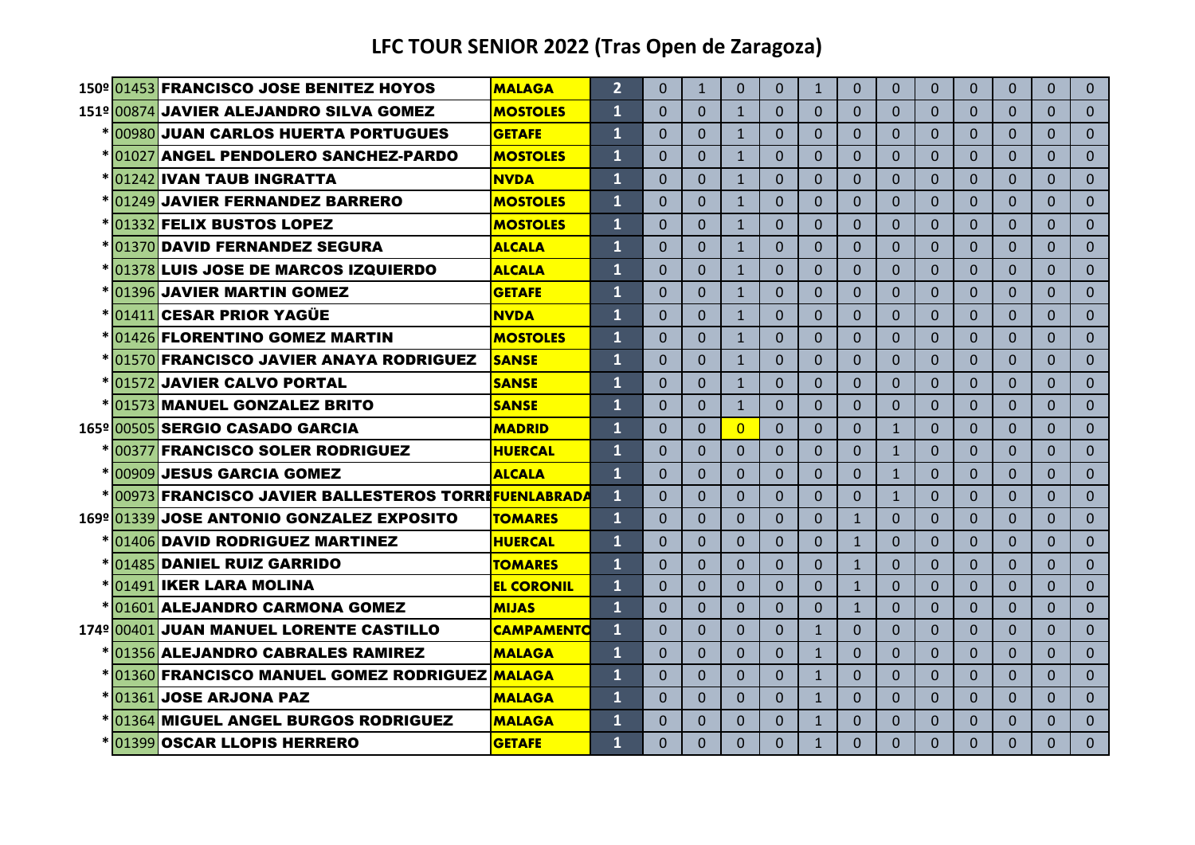|  | 150º 01453 FRANCISCO JOSE BENITEZ HOYOS                  | <b>MALAGA</b>     | $\overline{2}$ | $\Omega$ | $\mathbf{1}$ | $\Omega$       | $\Omega$ | $\mathbf{1}$ | $\Omega$     | $\Omega$     | $\Omega$     | $\Omega$ | $\Omega$ | $\Omega$ | $\Omega$ |
|--|----------------------------------------------------------|-------------------|----------------|----------|--------------|----------------|----------|--------------|--------------|--------------|--------------|----------|----------|----------|----------|
|  | 151º 00874 JAVIER ALEJANDRO SILVA GOMEZ                  | <b>MOSTOLES</b>   | 1              | $\Omega$ | $\Omega$     | $\mathbf{1}$   | $\Omega$ | $\Omega$     | $\Omega$     | $\Omega$     | $\Omega$     | $\Omega$ | $\Omega$ | $\Omega$ | $\Omega$ |
|  | <u>*1009801</u> JUAN CARLOS HUERTA PORTUGUES             | <b>GETAFE</b>     | $\mathbf{1}$   | $\Omega$ | $\Omega$     | $\mathbf{1}$   | $\Omega$ | $\Omega$     | $\Omega$     | $\Omega$     | $\Omega$     | $\Omega$ | $\Omega$ | $\Omega$ | $\Omega$ |
|  | <u>*1010271ANGEL PENDOLERO SANCHEZ-PARDO</u>             | <b>MOSTOLES</b>   | 1              | $\Omega$ | $\Omega$     | $\mathbf{1}$   | $\Omega$ | $\Omega$     | $\Omega$     | $\Omega$     | $\Omega$     | $\Omega$ | $\Omega$ | $\Omega$ | $\Omega$ |
|  | *1012421IVAN TAUB INGRATTA                               | <b>NVDA</b>       | 1              | $\Omega$ | $\Omega$     | $\mathbf{1}$   | $\Omega$ | $\Omega$     | $\Omega$     | $\Omega$     | $\Omega$     | $\Omega$ | $\Omega$ | $\Omega$ | $\Omega$ |
|  | * 01249 JAVIER FERNANDEZ BARRERO                         | <b>MOSTOLES</b>   | 1              | $\Omega$ | $\Omega$     | $\mathbf{1}$   | $\Omega$ | $\mathbf{0}$ | $\Omega$     | $\Omega$     | $\Omega$     | $\Omega$ | $\Omega$ | $\Omega$ | $\Omega$ |
|  | *101332 FELIX BUSTOS LOPEZ                               | <b>MOSTOLES</b>   | $\mathbf{1}$   | $\Omega$ | $\Omega$     | $\mathbf{1}$   | $\Omega$ | $\Omega$     | $\Omega$     | $\Omega$     | $\Omega$     | $\Omega$ | $\Omega$ | $\Omega$ | $\Omega$ |
|  | <u>*1013701</u> DAVID FERNANDEZ SEGURA                   | <b>ALCALA</b>     | 1              | $\Omega$ | $\Omega$     | $\mathbf{1}$   | $\Omega$ | $\Omega$     | $\Omega$     | $\Omega$     | $\Omega$     | $\Omega$ | $\Omega$ | $\Omega$ | $\Omega$ |
|  |                                                          |                   | 1              | $\Omega$ |              |                |          |              | $\Omega$     |              |              |          | $\Omega$ |          | $\Omega$ |
|  | <u>*101378 LUIS JOSE DE MARCOS IZQUIERDO</u>             | <b>ALCALA</b>     | 1              |          | $\Omega$     | $\mathbf{1}$   | $\Omega$ | $\Omega$     |              | $\Omega$     | $\mathbf{0}$ | $\Omega$ | $\Omega$ | $\Omega$ | $\Omega$ |
|  | *101396 JAVIER MARTIN GOMEZ<br>* 01411 CESAR PRIOR YAGÜE | <b>GETAFE</b>     | 1              | $\Omega$ | $\Omega$     | $\mathbf{1}$   | $\Omega$ | $\Omega$     | $\Omega$     | $\Omega$     | $\Omega$     | $\Omega$ |          | $\Omega$ |          |
|  | * 01426 FLORENTINO GOMEZ MARTIN                          | <b>NVDA</b>       |                | $\Omega$ | $\Omega$     | $\mathbf{1}$   | $\Omega$ | $\Omega$     | $\Omega$     | $\Omega$     | $\Omega$     | $\Omega$ | $\Omega$ | $\Omega$ | $\Omega$ |
|  |                                                          | <b>MOSTOLES</b>   | $\mathbf{1}$   | $\Omega$ | $\Omega$     | $\mathbf{1}$   | $\Omega$ | $\Omega$     | $\Omega$     | $\Omega$     | $\Omega$     | $\Omega$ | $\Omega$ | $\Omega$ | $\Omega$ |
|  | <b>01570 FRANCISCO JAVIER ANAYA RODRIGUEZ</b>            | <b>SANSE</b>      | $\mathbf{1}$   | $\Omega$ | $\Omega$     | $\mathbf{1}$   | $\Omega$ | $\Omega$     | $\Omega$     | $\Omega$     | $\Omega$     | $\Omega$ | $\Omega$ | $\Omega$ | $\Omega$ |
|  | *101572 JAVIER CALVO PORTAL                              | <b>SANSE</b>      | $\mathbf{1}$   | $\Omega$ | $\Omega$     | $\mathbf{1}$   | $\Omega$ | $\Omega$     | $\Omega$     | $\Omega$     | $\Omega$     | $\Omega$ | $\Omega$ | $\Omega$ | $\Omega$ |
|  | 01573 MANUEL GONZALEZ BRITO                              | <b>SANSE</b>      | $\mathbf{1}$   | $\Omega$ | $\Omega$     | $\mathbf{1}$   | $\Omega$ | $\Omega$     | $\Omega$     | $\Omega$     | $\Omega$     | $\Omega$ | $\Omega$ | $\Omega$ | $\Omega$ |
|  | 165º 00505 SERGIO CASADO GARCIA                          | <b>MADRID</b>     | $\mathbf{1}$   | $\Omega$ | $\Omega$     | $\overline{0}$ | $\Omega$ | $\Omega$     | $\Omega$     | $\mathbf{1}$ | $\Omega$     | $\Omega$ | $\Omega$ | $\Omega$ | $\Omega$ |
|  | <u>*1003771FRANCISCO SOLER RODRIGUEZ</u>                 | <b>HUERCAL</b>    | $\mathbf{1}$   | $\Omega$ | $\Omega$     | $\Omega$       | $\Omega$ | $\mathbf{0}$ | $\Omega$     | $\mathbf{1}$ | $\Omega$     | $\Omega$ | $\Omega$ | $\Omega$ | $\Omega$ |
|  | *1009091JESUS GARCIA GOMEZ                               | <b>ALCALA</b>     | $\mathbf{1}$   | $\Omega$ | $\Omega$     | $\Omega$       | $\Omega$ | $\Omega$     | $\Omega$     | $\mathbf{1}$ | $\Omega$     | $\Omega$ | $\Omega$ | $\Omega$ | $\Omega$ |
|  | *1009731FRANCISCO JAVIER BALLESTEROS TORREFUENLABRADA    |                   | 1              | $\Omega$ | $\Omega$     | $\Omega$       | $\Omega$ | $\Omega$     | 0            | $\mathbf{1}$ | $\Omega$     | $\Omega$ | $\Omega$ | $\Omega$ | $\Omega$ |
|  | 169º 01339 JOSE ANTONIO GONZALEZ EXPOSITO                | <b>TOMARES</b>    | $\mathbf{1}$   | $\Omega$ | $\Omega$     | $\Omega$       | $\Omega$ | $\Omega$     | $\mathbf{1}$ | $\Omega$     | $\Omega$     | $\Omega$ | $\Omega$ | $\Omega$ | $\Omega$ |
|  | <u>*1014061DAVID RODRIGUEZ MARTINEZ</u>                  | <b>HUERCAL</b>    | 1              | $\Omega$ | $\Omega$     | $\Omega$       | $\Omega$ | $\Omega$     | $\mathbf{1}$ | $\Omega$     | $\Omega$     | $\Omega$ | $\Omega$ | $\Omega$ | $\Omega$ |
|  | * 01485 DANIEL RUIZ GARRIDO                              | <b>TOMARES</b>    | $\mathbf{1}$   | $\Omega$ | $\Omega$     | $\Omega$       | $\Omega$ | $\Omega$     | $\mathbf{1}$ | $\Omega$     | $\Omega$     | $\Omega$ | $\Omega$ | $\Omega$ | $\Omega$ |
|  | * 01491 IKER LARA MOLINA                                 | <b>EL CORONIL</b> | $\mathbf{1}$   | $\Omega$ | $\Omega$     | $\Omega$       | $\Omega$ | $\mathbf{0}$ | $\mathbf{1}$ | $\Omega$     | $\mathbf{0}$ | $\Omega$ | $\Omega$ | $\Omega$ | $\Omega$ |
|  | 01601 ALEJANDRO CARMONA GOMEZ                            | <b>MIJAS</b>      | $\mathbf 1$    | $\Omega$ | $\Omega$     | $\Omega$       | $\Omega$ | $\Omega$     | $\mathbf{1}$ | $\Omega$     | $\Omega$     | $\Omega$ | $\Omega$ | $\Omega$ | $\Omega$ |
|  | 174º 00401 JUAN MANUEL LORENTE CASTILLO                  | <b>CAMPAMENTO</b> | $\mathbf{1}$   | $\Omega$ | $\Omega$     | $\Omega$       | $\Omega$ | $\mathbf{1}$ | $\Omega$     | $\Omega$     | $\Omega$     | $\Omega$ | $\Omega$ | $\Omega$ | $\Omega$ |
|  | * 01356 ALEJANDRO CABRALES RAMIREZ                       | <b>MALAGA</b>     | $\mathbf{1}$   | $\Omega$ | $\Omega$     | $\Omega$       | $\Omega$ | $\mathbf{1}$ | $\Omega$     | $\Omega$     | $\Omega$     | $\Omega$ | $\Omega$ | $\Omega$ | $\Omega$ |
|  | <u>* 01360 FRANCISCO MANUEL GOMEZ RODRIGUEZ MALAGA</u>   |                   | $\mathbf{1}$   | $\Omega$ | $\Omega$     | $\Omega$       | $\Omega$ | $\mathbf{1}$ | $\Omega$     | $\Omega$     | $\Omega$     | $\Omega$ | $\Omega$ | $\Omega$ | $\Omega$ |
|  | * 01361 JOSE ARJONA PAZ                                  | <b>MALAGA</b>     | $\mathbf{1}$   | $\Omega$ | $\Omega$     | $\Omega$       | $\Omega$ | $\mathbf{1}$ | $\Omega$     | $\Omega$     | $\Omega$     | $\Omega$ | $\Omega$ | $\Omega$ | $\Omega$ |
|  | <u>*101364 MIGUEL ANGEL BURGOS RODRIGUEZ</u>             | <b>MALAGA</b>     | $\mathbf{1}$   | $\Omega$ | $\Omega$     | $\Omega$       | $\Omega$ | $\mathbf{1}$ | $\Omega$     | $\Omega$     | $\Omega$     | $\Omega$ | $\Omega$ | $\Omega$ | $\Omega$ |
|  | * 01399 OSCAR LLOPIS HERRERO                             | <b>GETAFE</b>     | 1              | $\Omega$ | $\Omega$     | $\Omega$       | $\Omega$ | $\mathbf{1}$ | $\Omega$     | $\Omega$     | $\Omega$     | $\Omega$ | $\Omega$ | $\Omega$ | $\Omega$ |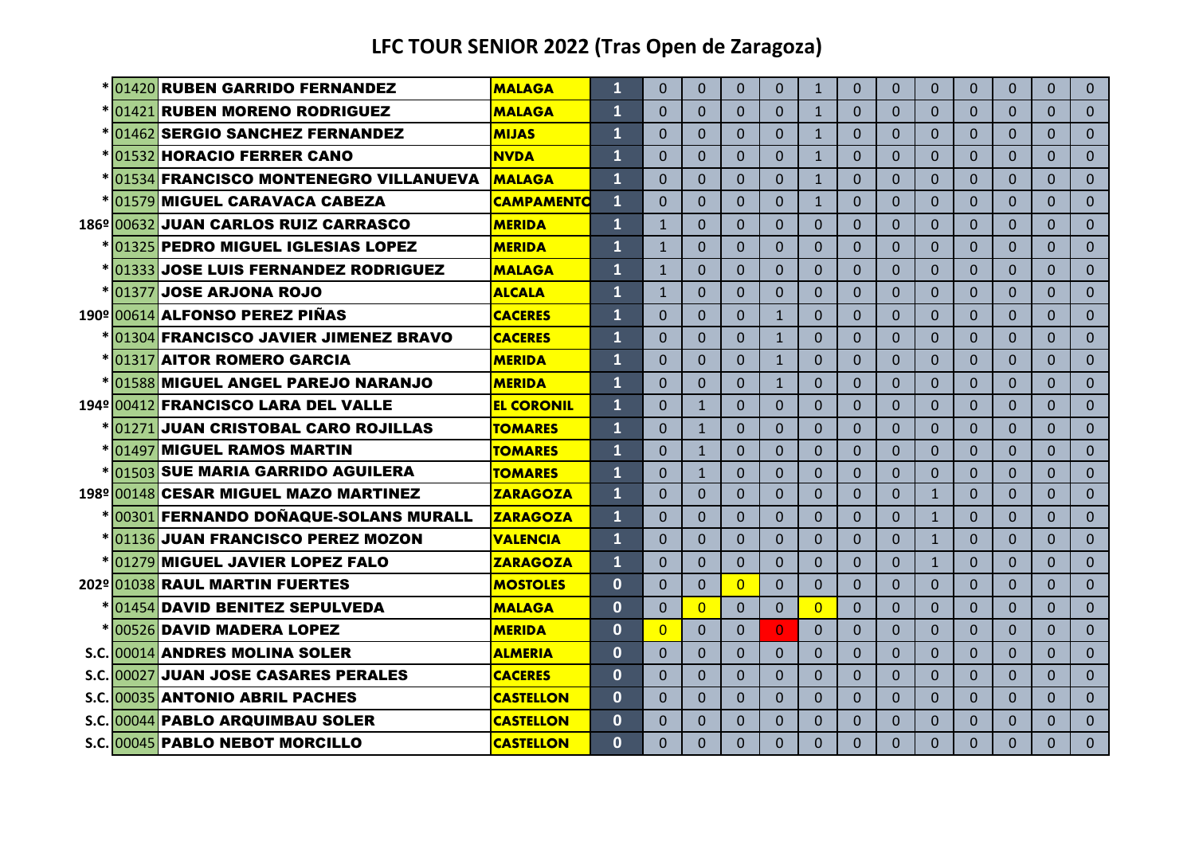|            | * 01420 RUBEN GARRIDO FERNANDEZ              | <b>MALAGA</b>     | $\mathbf{1}$ | $\Omega$     | $\Omega$     | $\Omega$ | $\Omega$     | $\mathbf{1}$ | $\Omega$ | $\Omega$ | $\Omega$     | $\Omega$ | $\Omega$ | $\Omega$ | $\Omega$       |
|------------|----------------------------------------------|-------------------|--------------|--------------|--------------|----------|--------------|--------------|----------|----------|--------------|----------|----------|----------|----------------|
|            | *101421 RUBEN MORENO RODRIGUEZ               | <b>MALAGA</b>     | 1            | $\Omega$     | 0            | $\Omega$ | $\Omega$     | $\mathbf{1}$ | $\Omega$ | $\Omega$ | $\Omega$     | $\Omega$ | $\Omega$ | $\Omega$ | $\Omega$       |
|            | * 01462 SERGIO SANCHEZ FERNANDEZ             | <b>MIJAS</b>      | $\mathbf{1}$ | $\Omega$     | $\Omega$     | $\Omega$ | $\Omega$     | $\mathbf{1}$ | $\Omega$ | $\Omega$ | $\Omega$     | $\Omega$ | $\Omega$ | $\Omega$ | $\Omega$       |
|            | *1015321HORACIO FERRER CANO                  | <b>NVDA</b>       | 1            | $\Omega$     | 0            | $\Omega$ | $\Omega$     | $\mathbf{1}$ | $\Omega$ | $\Omega$ | $\Omega$     | $\Omega$ | $\Omega$ | $\Omega$ | $\Omega$       |
|            | *101534 FRANCISCO MONTENEGRO VILLANUEVA      | <b>MALAGA</b>     | $\mathbf{1}$ | $\Omega$     | 0            | $\Omega$ | $\Omega$     | $\mathbf{1}$ | $\Omega$ | $\Omega$ | $\Omega$     | $\Omega$ | $\Omega$ | $\Omega$ | $\Omega$       |
|            | *101579 MIGUEL CARAVACA CABEZA               | <b>CAMPAMENTO</b> | $\mathbf{1}$ | $\Omega$     | 0            | $\Omega$ | $\Omega$     | $\mathbf{1}$ | $\Omega$ | $\Omega$ | $\Omega$     | $\Omega$ | $\Omega$ | $\Omega$ | $\Omega$       |
| 186º 00632 | <b>JUAN CARLOS RUIZ CARRASCO</b>             | <b>MERIDA</b>     | 1            | $\mathbf{1}$ | 0            | $\Omega$ | $\Omega$     | $\Omega$     | $\Omega$ | $\Omega$ | $\Omega$     | $\Omega$ | $\Omega$ | $\Omega$ | $\Omega$       |
|            | <u>*1013251PEDRO MIGUEL IGLESIAS LOPEZ</u>   | <b>MERIDA</b>     | 1            | $\mathbf{1}$ | 0            | $\Omega$ | $\Omega$     | $\Omega$     | $\Omega$ | 0        | $\Omega$     | $\Omega$ | $\Omega$ | $\Omega$ | $\Omega$       |
|            | <u>*1013331JOSE LUIS FERNANDEZ RODRIGUEZ</u> | <b>MALAGA</b>     | 1            | $\mathbf{1}$ | 0            | $\Omega$ | $\Omega$     | $\Omega$     | $\Omega$ | $\Omega$ | $\Omega$     | $\Omega$ | $\Omega$ | $\Omega$ | $\Omega$       |
|            | *1013771 <b>JOSE ARJONA ROJO</b>             | <b>ALCALA</b>     | 1            | $\mathbf{1}$ | 0            | $\Omega$ | $\Omega$     | $\Omega$     | $\Omega$ | $\Omega$ | $\Omega$     | $\Omega$ | $\Omega$ | $\Omega$ | $\Omega$       |
|            | 190º 00614 ALFONSO PEREZ PIÑAS               | <b>CACERES</b>    | $\mathbf{1}$ | $\Omega$     | $\Omega$     | $\Omega$ | $\mathbf{1}$ | $\Omega$     | $\Omega$ | $\Omega$ | $\Omega$     | $\Omega$ | $\Omega$ | $\Omega$ | $\Omega$       |
|            | * 01304 FRANCISCO JAVIER JIMENEZ BRAVO       | <b>CACERES</b>    | $\mathbf{1}$ | $\Omega$     | $\Omega$     | $\Omega$ | $\mathbf{1}$ | $\Omega$     | $\Omega$ | $\Omega$ | $\Omega$     | $\Omega$ | $\Omega$ | $\Omega$ | $\Omega$       |
|            | *101317 AITOR ROMERO GARCIA                  | <b>MERIDA</b>     | 1            | $\Omega$     | $\Omega$     | $\Omega$ | $\mathbf{1}$ | $\Omega$     | $\Omega$ | $\Omega$ | $\Omega$     | $\Omega$ | $\Omega$ | $\Omega$ | $\Omega$       |
|            | * 01588 MIGUEL ANGEL PAREJO NARANJO          | <b>MERIDA</b>     | 1            | $\Omega$     | $\Omega$     | $\Omega$ | $\mathbf{1}$ | $\Omega$     | $\Omega$ | $\Omega$ | $\Omega$     | $\Omega$ | $\Omega$ | $\Omega$ | $\Omega$       |
|            | 194º 00412 FRANCISCO LARA DEL VALLE          | <b>EL CORONIL</b> | $\mathbf{1}$ | $\Omega$     | $\mathbf{1}$ | $\Omega$ | $\Omega$     | $\Omega$     | $\Omega$ | $\Omega$ | $\Omega$     | $\Omega$ | $\Omega$ | $\Omega$ | $\Omega$       |
|            | <u>*101271</u> 1JUAN CRISTOBAL CARO ROJILLAS | <b>TOMARES</b>    | $\mathbf{1}$ | $\Omega$     | $\mathbf{1}$ | $\Omega$ | $\Omega$     | $\Omega$     | $\Omega$ | $\Omega$ | $\Omega$     | $\Omega$ | $\Omega$ | $\Omega$ | $\Omega$       |
|            | * 01497 MIGUEL RAMOS MARTIN                  | <b>TOMARES</b>    | 1            | $\Omega$     | $\mathbf{1}$ | $\Omega$ | $\Omega$     | $\Omega$     | $\Omega$ | $\Omega$ | $\Omega$     | $\Omega$ | $\Omega$ | $\Omega$ | $\Omega$       |
|            | * 01503 SUE MARIA GARRIDO AGUILERA           | <b>TOMARES</b>    | $\mathbf 1$  | $\Omega$     | $\mathbf{1}$ | $\Omega$ | $\Omega$     | $\Omega$     | $\Omega$ | $\Omega$ | $\Omega$     | $\Omega$ | $\Omega$ | $\Omega$ | $\overline{0}$ |
|            | 198º 00148 CESAR MIGUEL MAZO MARTINEZ        | <b>ZARAGOZA</b>   | 1            | $\Omega$     | 0            | $\Omega$ | $\Omega$     | $\Omega$     | $\Omega$ | 0        | $\mathbf{1}$ | $\Omega$ | $\Omega$ | $\Omega$ | $\Omega$       |
|            | *00301 FERNANDO DOÑAQUE-SOLANS MURALL        | <b>ZARAGOZA</b>   | $\mathbf{1}$ | $\Omega$     | $\Omega$     | $\Omega$ | $\Omega$     | $\Omega$     | $\Omega$ | $\Omega$ | $\mathbf{1}$ | $\Omega$ | $\Omega$ | $\Omega$ | $\Omega$       |
|            | <u>*1011361JUAN FRANCISCO PEREZ MOZON</u>    | <b>VALENCIA</b>   | 1            | $\Omega$     | $\Omega$     | $\Omega$ | $\Omega$     | $\Omega$     | $\Omega$ | 0        | $\mathbf{1}$ | $\Omega$ | $\Omega$ | $\Omega$ | $\Omega$       |
|            | *101279 MIGUEL JAVIER LOPEZ FALO             | <b>ZARAGOZA</b>   | $\mathbf{1}$ | $\Omega$     | $\Omega$     | $\Omega$ | $\Omega$     | $\Omega$     | $\Omega$ | $\Omega$ | $\mathbf{1}$ | $\Omega$ | $\Omega$ | $\Omega$ | $\Omega$       |
|            | 202º 01038 RAUL MARTIN FUERTES               | <b>MOSTOLES</b>   | $\Omega$     | $\Omega$     | $\Omega$     | $\Omega$ | $\Omega$     | $\Omega$     | $\Omega$ | $\Omega$ | $\Omega$     | $\Omega$ | $\Omega$ | $\Omega$ | $\Omega$       |
|            | * 01454 DAVID BENITEZ SEPULVEDA              | <b>MALAGA</b>     | $\mathbf{0}$ | $\Omega$     | $\Omega$     | $\Omega$ | $\Omega$     | $\Omega$     | $\Omega$ | $\Omega$ | $\Omega$     | $\Omega$ | $\Omega$ | $\Omega$ | $\Omega$       |
|            | *1005261DAVID MADERA LOPEZ                   | <b>MERIDA</b>     | $\Omega$     | $\Omega$     | $\Omega$     | $\Omega$ | $\Omega$     | $\Omega$     | $\Omega$ | $\Omega$ | $\Omega$     | $\Omega$ | $\Omega$ | $\Omega$ | $\Omega$       |
|            | S.C. 00014 ANDRES MOLINA SOLER               | <b>ALMERIA</b>    | $\Omega$     | $\Omega$     | $\Omega$     | $\Omega$ | $\Omega$     | $\Omega$     | $\Omega$ | $\Omega$ | $\Omega$     | $\Omega$ | $\Omega$ | $\Omega$ | $\Omega$       |
|            | S.C. 00027 JUAN JOSE CASARES PERALES         | <b>CACERES</b>    | $\Omega$     | $\Omega$     | $\Omega$     | $\Omega$ | $\Omega$     | $\Omega$     | $\Omega$ | $\Omega$ | $\Omega$     | $\Omega$ | $\Omega$ | $\Omega$ | $\Omega$       |
|            | S.C. 00035 ANTONIO ABRIL PACHES              | <b>CASTELLON</b>  | $\mathbf{0}$ | $\Omega$     | $\Omega$     | $\Omega$ | $\Omega$     | $\Omega$     | $\Omega$ | $\Omega$ | $\Omega$     | $\Omega$ | $\Omega$ | $\Omega$ | $\Omega$       |
|            | S.C. 00044 PABLO ARQUIMBAU SOLER             | <b>CASTELLON</b>  | $\Omega$     | $\Omega$     | 0            | $\Omega$ | $\Omega$     | $\Omega$     | $\Omega$ | $\Omega$ | $\Omega$     | $\Omega$ | $\Omega$ | $\Omega$ | $\Omega$       |
|            | S.C. 00045 PABLO NEBOT MORCILLO              | <b>CASTELLON</b>  | $\Omega$     | $\Omega$     | $\Omega$     | $\Omega$ | $\Omega$     | $\Omega$     | $\Omega$ | $\Omega$ | $\Omega$     | $\Omega$ | $\Omega$ | $\Omega$ | $\Omega$       |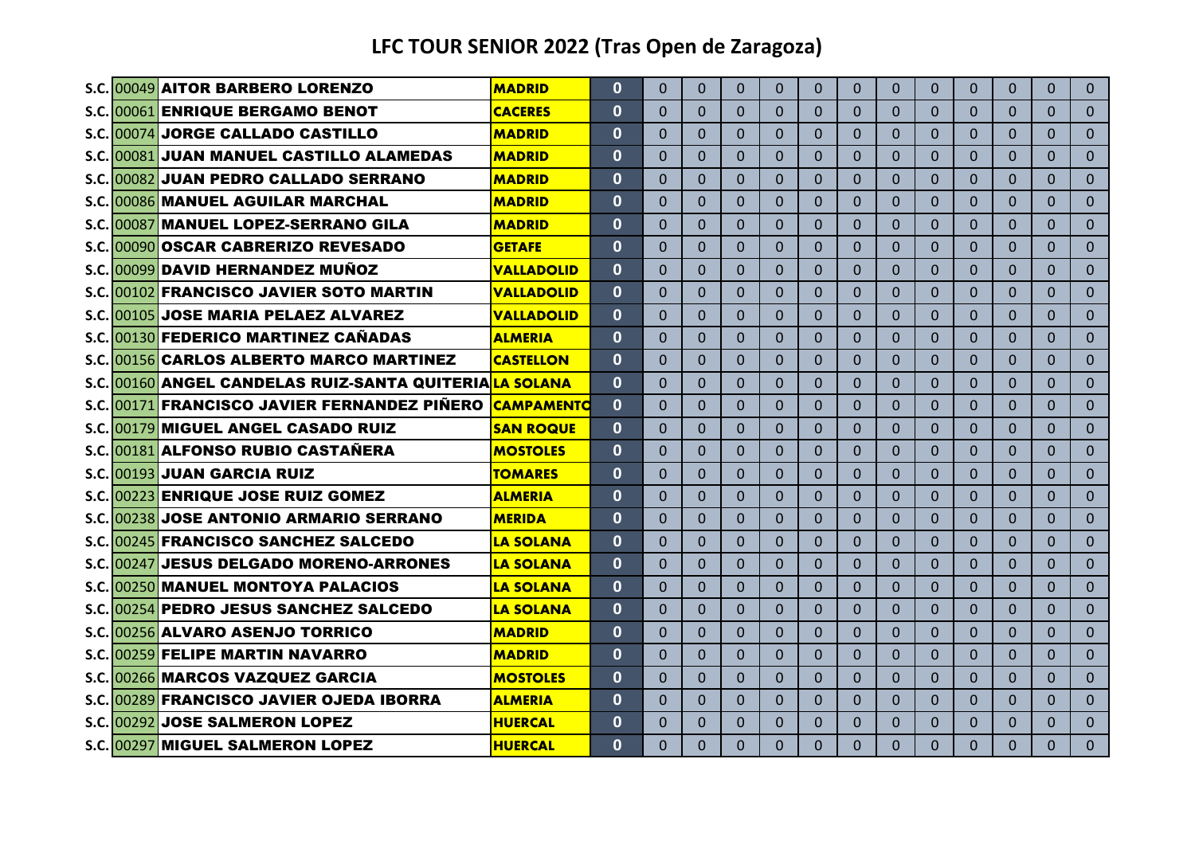|  | S.C. 00049 AITOR BARBERO LORENZO                       | <b>MADRID</b>     | $\mathbf{0}$ | $\Omega$ | $\Omega$       | $\Omega$ | $\Omega$     | $\Omega$     | 0              | $\Omega$ | $\Omega$       | $\Omega$     | $\Omega$     | $\Omega$ | $\Omega$       |
|--|--------------------------------------------------------|-------------------|--------------|----------|----------------|----------|--------------|--------------|----------------|----------|----------------|--------------|--------------|----------|----------------|
|  | S.C. 00061 ENRIQUE BERGAMO BENOT                       | <b>CACERES</b>    | $\mathbf{0}$ | 0        | $\Omega$       | $\Omega$ | $\mathbf{0}$ | $\mathbf{0}$ | 0              | 0        | $\Omega$       | $\mathbf 0$  | $\Omega$     | $\Omega$ | $\overline{0}$ |
|  | S.C. 00074 JORGE CALLADO CASTILLO                      | <b>MADRID</b>     | $\Omega$     | $\Omega$ | $\Omega$       | $\Omega$ | $\Omega$     | $\Omega$     | $\Omega$       | $\Omega$ | $\mathbf{0}$   | $\Omega$     | $\Omega$     | $\Omega$ | $\Omega$       |
|  | S.C. 00081 JUAN MANUEL CASTILLO ALAMEDAS               | <b>MADRID</b>     | $\mathbf{0}$ | $\Omega$ | $\overline{0}$ | $\Omega$ | $\Omega$     | $\Omega$     | $\overline{0}$ | $\Omega$ | $\Omega$       | $\Omega$     | $\Omega$     | $\Omega$ | $\Omega$       |
|  | S.C. 00082 JUAN PEDRO CALLADO SERRANO                  | <b>MADRID</b>     | $\mathbf{0}$ | $\Omega$ | $\Omega$       | $\Omega$ | $\Omega$     | $\Omega$     | $\Omega$       | $\Omega$ | $\Omega$       | $\Omega$     | $\Omega$     | $\Omega$ | $\Omega$       |
|  | S.C. 00086 MANUEL AGUILAR MARCHAL                      | <b>MADRID</b>     | $\mathbf{0}$ | $\Omega$ | $\Omega$       | $\Omega$ | $\Omega$     | $\Omega$     | $\overline{0}$ | $\Omega$ | $\Omega$       | $\mathbf{0}$ | $\Omega$     | $\Omega$ | $\overline{0}$ |
|  | S.C. 00087 MANUEL LOPEZ-SERRANO GILA                   | <b>MADRID</b>     | $\bf{0}$     | $\Omega$ | $\Omega$       | $\Omega$ | $\Omega$     | $\Omega$     | $\Omega$       | $\Omega$ | 0              | $\Omega$     | $\Omega$     | $\Omega$ | $\Omega$       |
|  | S.C. 00090 OSCAR CABRERIZO REVESADO                    | <b>GETAFE</b>     | $\mathbf{0}$ | $\Omega$ | $\Omega$       | $\Omega$ | $\mathbf{0}$ | $\Omega$     | $\Omega$       | $\Omega$ | $\Omega$       | $\mathbf{0}$ | $\Omega$     | $\Omega$ | $\Omega$       |
|  | S.C. 00099 DAVID HERNANDEZ MUÑOZ                       | <b>VALLADOLID</b> | $\mathbf{0}$ | $\Omega$ | $\Omega$       | $\Omega$ | $\Omega$     | $\Omega$     | 0              | $\Omega$ | $\overline{0}$ | $\Omega$     | $\Omega$     | $\Omega$ | $\Omega$       |
|  | S.C. 00102 FRANCISCO JAVIER SOTO MARTIN                | <b>VALLADOLID</b> | $\mathbf{0}$ | $\Omega$ | $\Omega$       | $\Omega$ | $\Omega$     | $\Omega$     | $\Omega$       | $\Omega$ | $\Omega$       | $\Omega$     | $\Omega$     | $\Omega$ | $\Omega$       |
|  | S.C. 00105 JOSE MARIA PELAEZ ALVAREZ                   | <b>VALLADOLID</b> | $\mathbf{0}$ | $\Omega$ | $\Omega$       | $\Omega$ | $\Omega$     | $\Omega$     | $\Omega$       | $\Omega$ | $\Omega$       | $\Omega$     | $\Omega$     | $\Omega$ | $\Omega$       |
|  | S.C. 00130 FEDERICO MARTINEZ CAÑADAS                   | <b>ALMERIA</b>    | $\mathbf{0}$ | $\Omega$ | $\Omega$       | $\Omega$ | $\Omega$     | $\Omega$     | $\Omega$       | $\Omega$ | $\Omega$       | $\Omega$     | $\Omega$     | $\Omega$ | $\Omega$       |
|  | S.C. 00156 CARLOS ALBERTO MARCO MARTINEZ               | <b>CASTELLON</b>  | $\Omega$     | $\Omega$ | $\Omega$       | $\Omega$ | $\Omega$     | $\Omega$     | $\Omega$       | $\Omega$ | $\Omega$       | $\Omega$     | $\Omega$     | $\Omega$ | $\Omega$       |
|  | S.C. 00160 ANGEL CANDELAS RUIZ-SANTA QUITERIALA SOLANA |                   | $\mathbf{0}$ | $\Omega$ | $\Omega$       | $\Omega$ | $\Omega$     | $\Omega$     | $\Omega$       | $\Omega$ | $\Omega$       | $\Omega$     | $\Omega$     | $\Omega$ | $\Omega$       |
|  | S.C. 00171 FRANCISCO JAVIER FERNANDEZ PIÑERO           | <b>CAMPAMENTO</b> | $\mathbf{0}$ | $\Omega$ | $\Omega$       | $\Omega$ | $\Omega$     | $\Omega$     | 0              | $\Omega$ | $\Omega$       | $\Omega$     | $\Omega$     | $\Omega$ | $\Omega$       |
|  | S.C. 00179 MIGUEL ANGEL CASADO RUIZ                    | <b>SAN ROQUE</b>  | $\mathbf{0}$ | $\Omega$ | $\Omega$       | $\Omega$ | $\Omega$     | $\Omega$     | $\Omega$       | $\Omega$ | $\Omega$       | $\Omega$     | $\Omega$     | $\Omega$ | $\Omega$       |
|  | S.C. 00181 ALFONSO RUBIO CASTAÑERA                     | <b>MOSTOLES</b>   | $\mathbf{0}$ | $\Omega$ | $\Omega$       | $\Omega$ | $\Omega$     | $\Omega$     | 0              | 0        | $\Omega$       | $\Omega$     | $\Omega$     | $\Omega$ | $\Omega$       |
|  | S.C. 00193 JUAN GARCIA RUIZ                            | <b>TOMARES</b>    | $\Omega$     | $\Omega$ | $\Omega$       | $\Omega$ | $\Omega$     | $\Omega$     | 0              | $\Omega$ | $\mathbf{0}$   | $\mathbf{0}$ | $\Omega$     | $\Omega$ | $\Omega$       |
|  | S.C. 00223 ENRIQUE JOSE RUIZ GOMEZ                     | <b>ALMERIA</b>    | $\mathbf{0}$ | $\Omega$ | $\Omega$       | $\Omega$ | $\Omega$     | $\Omega$     | 0              | $\Omega$ | $\Omega$       | $\mathbf{0}$ | $\mathbf{0}$ | $\Omega$ | $\Omega$       |
|  | S.C. 00238 JOSE ANTONIO ARMARIO SERRANO                | <b>MERIDA</b>     | $\bf{0}$     | $\Omega$ | $\Omega$       | $\Omega$ | $\Omega$     | $\Omega$     | $\Omega$       | $\Omega$ | $\mathbf{0}$   | $\mathbf{0}$ | $\Omega$     | $\Omega$ | $\Omega$       |
|  | S.C. 00245 FRANCISCO SANCHEZ SALCEDO                   | <b>LA SOLANA</b>  | $\mathbf{0}$ | $\Omega$ | $\Omega$       | $\Omega$ | $\Omega$     | $\Omega$     | $\Omega$       | $\Omega$ | $\Omega$       | $\Omega$     | $\Omega$     | $\Omega$ | $\Omega$       |
|  | S.C. 00247 JESUS DELGADO MORENO-ARRONES                | <b>ILA SOLANA</b> | $\Omega$     | $\Omega$ | $\Omega$       | $\Omega$ | $\Omega$     | $\Omega$     | 0              | $\Omega$ | $\Omega$       | $\Omega$     | $\Omega$     | $\Omega$ | $\Omega$       |
|  | S.C. 00250 MANUEL MONTOYA PALACIOS                     | <b>LA SOLANA</b>  | $\mathbf{0}$ | $\Omega$ | $\Omega$       | $\Omega$ | $\Omega$     | $\Omega$     | $\Omega$       | $\Omega$ | $\Omega$       | $\Omega$     | $\Omega$     | $\Omega$ | $\Omega$       |
|  | S.C. 00254 PEDRO JESUS SANCHEZ SALCEDO                 | <b>LA SOLANA</b>  | $\Omega$     | $\Omega$ | $\Omega$       | $\Omega$ | $\Omega$     | $\Omega$     | $\Omega$       | $\Omega$ | $\Omega$       | $\Omega$     | $\Omega$     | $\Omega$ | $\Omega$       |
|  | S.C. 00256 ALVARO ASENJO TORRICO                       | <b>MADRID</b>     | $\mathbf{0}$ | $\Omega$ | $\overline{0}$ | $\Omega$ | $\mathbf{0}$ | $\Omega$     | $\Omega$       | $\Omega$ | $\overline{0}$ | $\mathbf{0}$ | $\Omega$     | $\Omega$ | $\overline{0}$ |
|  | S.C. 00259 FELIPE MARTIN NAVARRO                       | <b>MADRID</b>     | $\mathbf{0}$ | $\Omega$ | $\Omega$       | $\Omega$ | $\mathbf{0}$ | $\Omega$     | $\Omega$       | $\Omega$ | $\overline{0}$ | $\Omega$     | $\Omega$     | $\Omega$ | $\Omega$       |
|  | S.C. 00266 MARCOS VAZQUEZ GARCIA                       | <b>MOSTOLES</b>   | $\mathbf{0}$ | $\Omega$ | $\Omega$       | $\Omega$ | $\mathbf{0}$ | $\Omega$     | $\Omega$       | $\Omega$ | $\overline{0}$ | $\Omega$     | $\Omega$     | $\Omega$ | $\Omega$       |
|  | S.C.1002891 FRANCISCO JAVIER OJEDA IBORRA              | <b>ALMERIA</b>    | 0            | $\Omega$ | $\Omega$       | $\Omega$ | $\Omega$     | $\Omega$     | 0              | 0        | $\Omega$       | $\mathbf{0}$ | $\mathbf{0}$ | $\Omega$ | $\Omega$       |
|  | S.C. 00292 JOSE SALMERON LOPEZ                         | <b>HUERCAL</b>    | $\mathbf{0}$ | 0        | $\Omega$       | $\Omega$ | $\Omega$     | $\Omega$     | $\Omega$       | $\Omega$ | $\Omega$       | $\mathbf{0}$ | $\Omega$     | $\Omega$ | $\Omega$       |
|  | S.C. 00297 MIGUEL SALMERON LOPEZ                       | <b>HUERCAL</b>    | $\mathbf{0}$ | 0        | $\Omega$       | $\Omega$ | $\Omega$     | $\Omega$     | $\Omega$       | 0        | $\Omega$       | $\Omega$     | $\Omega$     | $\Omega$ | $\overline{0}$ |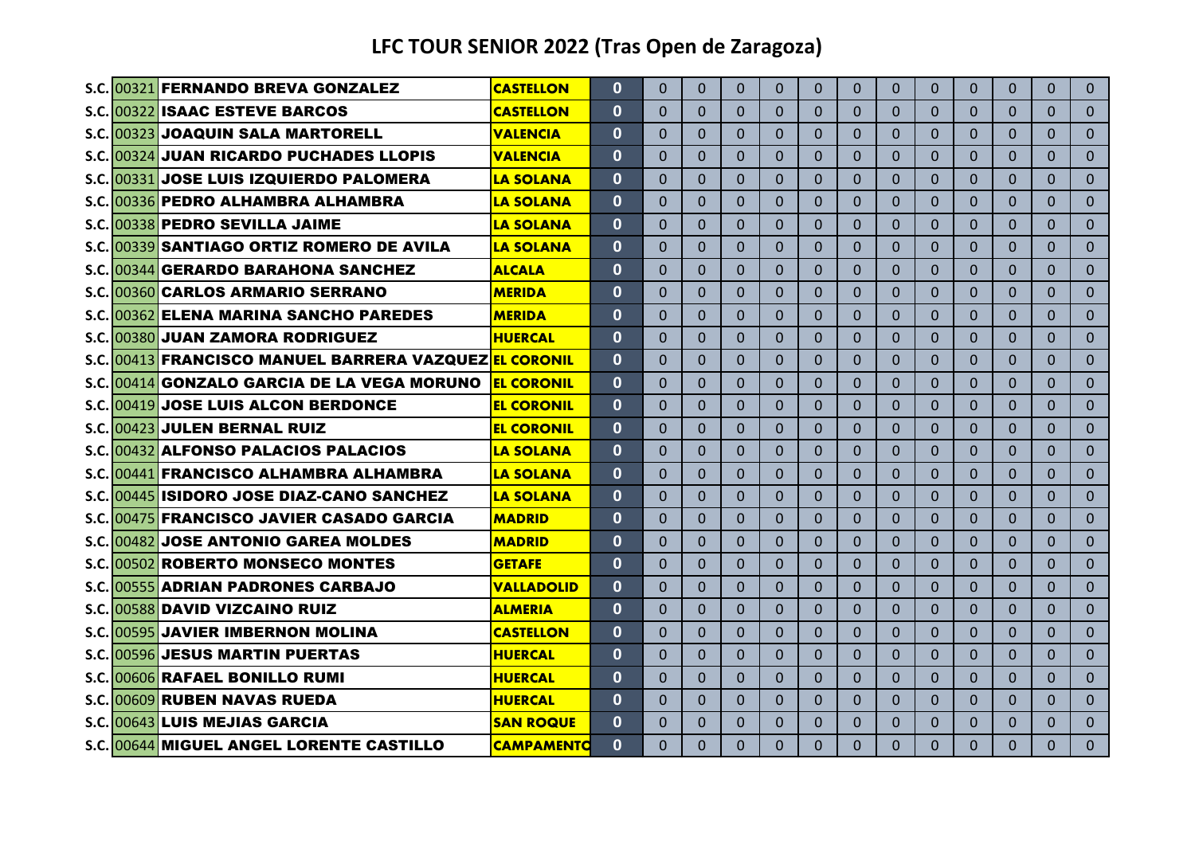|                                        | S.C. 00321 FERNANDO BREVA GONZALEZ                     | <b>CASTELLON</b>  | $\mathbf{0}$ | $\Omega$ | $\Omega$       | $\Omega$       | $\Omega$     | $\Omega$ | $\Omega$ | $\Omega$       | $\Omega$       | $\Omega$     | $\Omega$ | 0              | $\mathbf{0}$ |
|----------------------------------------|--------------------------------------------------------|-------------------|--------------|----------|----------------|----------------|--------------|----------|----------|----------------|----------------|--------------|----------|----------------|--------------|
| S.C. 00322 ISAAC ESTEVE BARCOS         |                                                        | <b>CASTELLON</b>  | $\mathbf{0}$ | $\Omega$ | $\Omega$       | $\Omega$       | $\Omega$     | $\Omega$ | 0        | $\Omega$       | $\Omega$       | $\Omega$     | $\Omega$ | 0              | $\Omega$     |
| S.C.1003231JOAQUIN SALA MARTORELL      |                                                        | <b>VALENCIA</b>   | $\mathbf{0}$ | $\Omega$ | $\Omega$       | $\Omega$       | $\Omega$     | $\Omega$ | $\Omega$ | $\Omega$       | $\Omega$       | $\Omega$     | $\Omega$ | 0              | $\Omega$     |
|                                        | S.C.1003241 JUAN RICARDO PUCHADES LLOPIS               | <b>VALENCIA</b>   | $\Omega$     | $\Omega$ | $\Omega$       | $\Omega$       | $\Omega$     | $\Omega$ | $\Omega$ | $\Omega$       | $\Omega$       | $\Omega$     | $\Omega$ | 0              | $\Omega$     |
|                                        | S.C. 00331 JOSE LUIS IZQUIERDO PALOMERA                | <b>LA SOLANA</b>  | $\mathbf{0}$ | $\Omega$ | $\Omega$       | $\Omega$       | $\Omega$     | $\Omega$ | $\Omega$ | $\Omega$       | $\Omega$       | $\Omega$     | $\Omega$ | 0              | $\Omega$     |
|                                        | S.C. 00336 PEDRO ALHAMBRA ALHAMBRA                     | <b>LA SOLANA</b>  | $\bf{0}$     | 0        | $\Omega$       | $\Omega$       | $\Omega$     | 0        | 0        | $\Omega$       | $\Omega$       | $\mathbf{0}$ | 0        | 0              | $\Omega$     |
| S.C. 00338 PEDRO SEVILLA JAIME         |                                                        | <b>LA SOLANA</b>  | $\bf{0}$     | $\Omega$ | $\Omega$       | $\Omega$       | $\Omega$     | $\Omega$ | $\Omega$ | $\Omega$       | $\Omega$       | $\Omega$     | $\Omega$ | 0              | $\Omega$     |
|                                        | S.C. 00339 SANTIAGO ORTIZ ROMERO DE AVILA              | <b>LA SOLANA</b>  | $\bf{0}$     | 0        | $\Omega$       | $\Omega$       | $\Omega$     | $\Omega$ | 0        | $\Omega$       | $\Omega$       | $\Omega$     | $\Omega$ | 0              | $\Omega$     |
|                                        | S.C. 00344 GERARDO BARAHONA SANCHEZ                    | <b>ALCALA</b>     | $\mathbf{0}$ | $\Omega$ | $\mathbf{0}$   | $\Omega$       | $\Omega$     | $\Omega$ | $\Omega$ | $\mathbf{0}$   | $\Omega$       | $\Omega$     | $\Omega$ | 0              | $\Omega$     |
| S.C. 00360 CARLOS ARMARIO SERRANO      |                                                        | <b>MERIDA</b>     | $\bf{0}$     | $\Omega$ | $\Omega$       | $\Omega$       | $\Omega$     | $\Omega$ | 0        | $\Omega$       | $\Omega$       | $\Omega$     | $\Omega$ | 0              | $\Omega$     |
|                                        | S.C. 00362 ELENA MARINA SANCHO PAREDES                 | <b>MERIDA</b>     | 0            | 0        | $\Omega$       | $\Omega$       | $\Omega$     | $\Omega$ | $\Omega$ | $\Omega$       | $\Omega$       | $\Omega$     | $\Omega$ | 0              | $\Omega$     |
| S.C.1003801 JUAN ZAMORA RODRIGUEZ      |                                                        | <b>HUERCAL</b>    | $\mathbf{0}$ | $\Omega$ | $\Omega$       | $\Omega$       | $\Omega$     | $\Omega$ | $\Omega$ | $\Omega$       | $\Omega$       | $\Omega$     | $\Omega$ | $\Omega$       | $\mathbf{0}$ |
|                                        | S.C.1004131FRANCISCO MANUEL BARRERA VAZQUEZIEL CORONIL |                   | $\Omega$     | $\Omega$ | $\Omega$       | $\Omega$       | $\Omega$     | $\Omega$ | $\Omega$ | $\Omega$       | $\Omega$       | $\Omega$     | $\Omega$ | 0              | $\Omega$     |
|                                        | S.C.1004141GONZALO GARCIA DE LA VEGA MORUNO            | <b>EL CORONIL</b> | $\Omega$     | $\Omega$ | $\overline{0}$ | $\Omega$       | $\mathbf{0}$ | $\Omega$ | $\Omega$ | $\overline{0}$ | $\Omega$       | $\Omega$     | $\Omega$ | $\overline{0}$ | $\mathbf{0}$ |
|                                        | S.C. 00419 JOSE LUIS ALCON BERDONCE                    | <b>EL CORONIL</b> | $\bf{0}$     | $\Omega$ | $\Omega$       | $\Omega$       | $\Omega$     | $\Omega$ | $\Omega$ | $\Omega$       | $\Omega$       | $\Omega$     | $\Omega$ | 0              | $\Omega$     |
| S.C.1004231JULEN BERNAL RUIZ           |                                                        | <b>EL CORONIL</b> | $\mathbf{0}$ | $\Omega$ | $\Omega$       | $\Omega$       | $\Omega$     | $\Omega$ | $\Omega$ | $\Omega$       | $\Omega$       | $\Omega$     | $\Omega$ | 0              | $\Omega$     |
|                                        | S.C.1004321ALFONSO PALACIOS PALACIOS                   | <b>LA SOLANA</b>  | $\bf{0}$     | 0        | $\Omega$       | $\Omega$       | $\Omega$     | $\Omega$ | 0        | $\Omega$       | $\Omega$       | $\Omega$     | $\Omega$ | 0              | $\Omega$     |
|                                        | S.C. 00441 FRANCISCO ALHAMBRA ALHAMBRA                 | <b>LA SOLANA</b>  | $\mathbf{0}$ | $\Omega$ | $\Omega$       | $\Omega$       | $\Omega$     | $\Omega$ | $\Omega$ | $\Omega$       | $\Omega$       | $\Omega$     | $\Omega$ | 0              | $\Omega$     |
|                                        | S.C. 00445 ISIDORO JOSE DIAZ-CANO SANCHEZ              | <b>LA SOLANA</b>  | $\bf{0}$     | $\Omega$ | $\Omega$       | $\Omega$       | $\Omega$     | $\Omega$ | 0        | $\Omega$       | $\Omega$       | $\mathbf{0}$ | $\Omega$ | 0              | $\Omega$     |
|                                        | S.C. 00475 FRANCISCO JAVIER CASADO GARCIA              | <b>MADRID</b>     | $\bf{0}$     | $\Omega$ | $\Omega$       | $\Omega$       | $\Omega$     | $\Omega$ | $\Omega$ | $\Omega$       | $\Omega$       | $\Omega$     | $\Omega$ | 0              | $\Omega$     |
|                                        | S.C.1004821JOSE ANTONIO GAREA MOLDES                   | <b>MADRID</b>     | $\bf{0}$     | 0        | $\Omega$       | $\Omega$       | $\Omega$     | $\Omega$ | 0        | $\Omega$       | $\Omega$       | $\Omega$     | $\Omega$ | 0              | $\Omega$     |
|                                        | S.C. 00502 ROBERTO MONSECO MONTES                      | <b>GETAFE</b>     | $\bf{0}$     | $\Omega$ | $\Omega$       | $\Omega$       | $\Omega$     | $\Omega$ | $\Omega$ | $\Omega$       | $\Omega$       | $\Omega$     | $\Omega$ | $\Omega$       | $\Omega$     |
|                                        | <b>S.C. 00555 ADRIAN PADRONES CARBAJO</b>              | <b>VALLADOLID</b> | $\bf{0}$     | $\Omega$ | $\Omega$       | $\Omega$       | $\Omega$     | $\Omega$ | $\Omega$ | $\Omega$       | $\Omega$       | $\Omega$     | $\Omega$ | 0              | $\Omega$     |
| S.C. 00588 DAVID VIZCAINO RUIZ         |                                                        | <b>ALMERIA</b>    | $\bf{0}$     | $\Omega$ | $\Omega$       | $\Omega$       | $\Omega$     | $\Omega$ | 0        | $\Omega$       | $\Omega$       | $\Omega$     | $\Omega$ | 0              | $\Omega$     |
| S.C. 00595 JAVIER IMBERNON MOLINA      |                                                        | <b>CASTELLON</b>  | $\mathbf 0$  | $\Omega$ | $\Omega$       | $\overline{0}$ | $\Omega$     | $\Omega$ | $\Omega$ | $\Omega$       | $\overline{0}$ | $\Omega$     | $\Omega$ | 0              | $\mathbf{0}$ |
| <b>S.C.1005961JESUS MARTIN PUERTAS</b> |                                                        | <b>HUERCAL</b>    | $\bf{0}$     | $\Omega$ | $\Omega$       | $\Omega$       | $\Omega$     | $\Omega$ | $\Omega$ | $\Omega$       | $\Omega$       | $\Omega$     | $\Omega$ | 0              | $\Omega$     |
| S.C. 00606 RAFAEL BONILLO RUMI         |                                                        | <b>HUERCAL</b>    | $\mathbf{0}$ | $\Omega$ | $\Omega$       | $\Omega$       | $\Omega$     | $\Omega$ | $\Omega$ | $\Omega$       | $\Omega$       | $\Omega$     | $\Omega$ | 0              | $\Omega$     |
| S.C. 00609 RUBEN NAVAS RUEDA           |                                                        | <b>HUERCAL</b>    | $\Omega$     | $\Omega$ | $\Omega$       | $\Omega$       | $\Omega$     | $\Omega$ | 0        | $\Omega$       | $\Omega$       | $\Omega$     | $\Omega$ | 0              | $\Omega$     |
| S.C. 00643 LUIS MEJIAS GARCIA          |                                                        | <b>SAN ROQUE</b>  | $\mathbf{0}$ | $\Omega$ | $\Omega$       | $\Omega$       | $\Omega$     | $\Omega$ | 0        | $\Omega$       | $\Omega$       | $\Omega$     | $\Omega$ | 0              | $\Omega$     |
|                                        | S.C. 00644 MIGUEL ANGEL LORENTE CASTILLO               | <b>CAMPAMENTO</b> | $\Omega$     | $\Omega$ | $\Omega$       | $\Omega$       | $\Omega$     | $\Omega$ | $\Omega$ | $\Omega$       | $\Omega$       | $\Omega$     | $\Omega$ | 0              | $\Omega$     |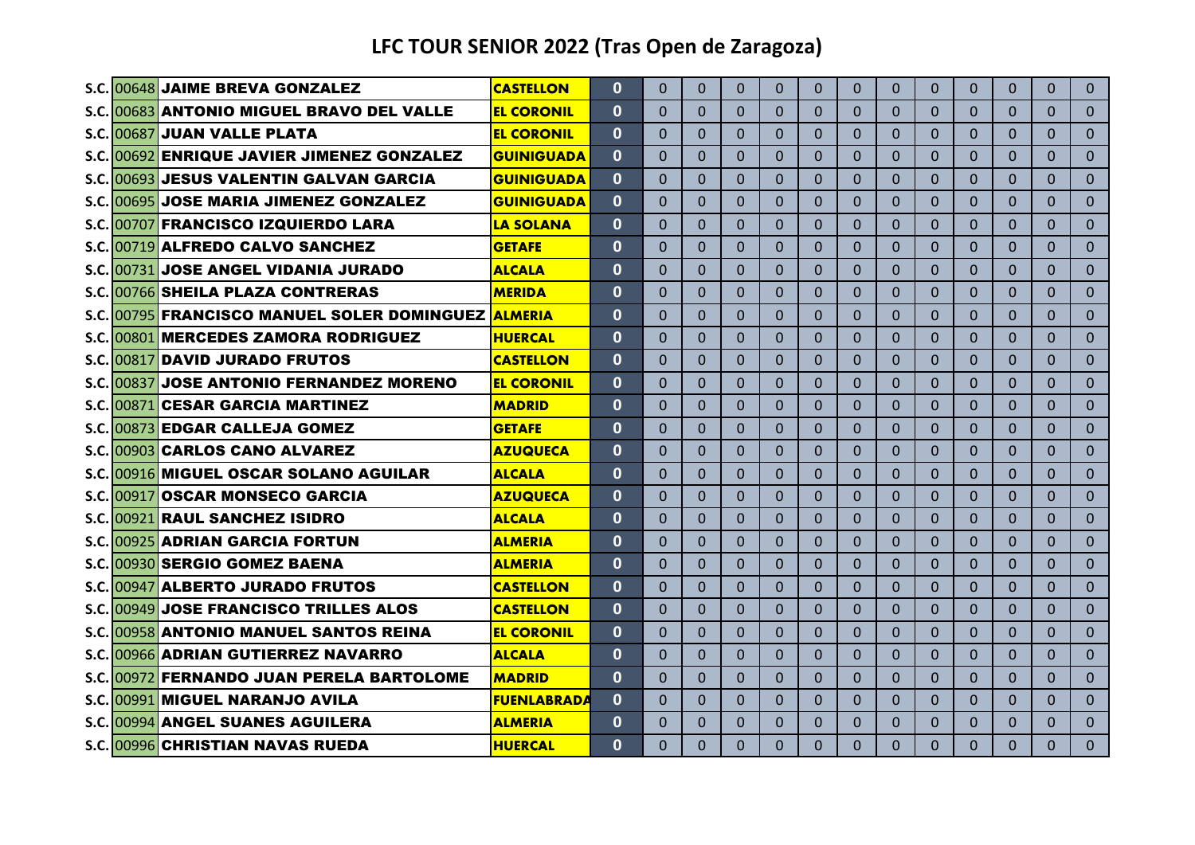|  | S.C. 00648 JAIME BREVA GONZALEZ                    | <b>CASTELLON</b>   | $\mathbf{0}$ | $\Omega$ | $\Omega$       | $\Omega$ | $\Omega$     | $\Omega$     | 0              | $\Omega$ | $\Omega$       | $\Omega$     | $\Omega$     | $\Omega$       | $\Omega$       |
|--|----------------------------------------------------|--------------------|--------------|----------|----------------|----------|--------------|--------------|----------------|----------|----------------|--------------|--------------|----------------|----------------|
|  | S.C. 00683 ANTONIO MIGUEL BRAVO DEL VALLE          | <b>EL CORONIL</b>  | $\Omega$     | 0        | $\Omega$       | $\Omega$ | $\mathbf{0}$ | $\mathbf{0}$ | 0              | 0        | $\Omega$       | $\mathbf 0$  | $\Omega$     | $\Omega$       | $\overline{0}$ |
|  | S.C. 00687 JUAN VALLE PLATA                        | <b>EL CORONIL</b>  | $\Omega$     | $\Omega$ | $\Omega$       | $\Omega$ | $\Omega$     | $\Omega$     | $\overline{0}$ | $\Omega$ | $\mathbf{0}$   | $\Omega$     | $\Omega$     | $\Omega$       | $\Omega$       |
|  | S.C. 00692 ENRIQUE JAVIER JIMENEZ GONZALEZ         | <b>GUINIGUADA</b>  | $\mathbf{0}$ | $\Omega$ | $\overline{0}$ | $\Omega$ | $\Omega$     | $\Omega$     | $\overline{0}$ | $\Omega$ | $\Omega$       | $\Omega$     | $\Omega$     | $\Omega$       | $\Omega$       |
|  | S.C. 00693 JESUS VALENTIN GALVAN GARCIA            | <b>GUINIGUADA</b>  | $\mathbf{0}$ | $\Omega$ | $\Omega$       | $\Omega$ | $\Omega$     | $\Omega$     | $\Omega$       | $\Omega$ | $\Omega$       | $\Omega$     | $\Omega$     | $\overline{0}$ | $\Omega$       |
|  | S.C. 00695 JOSE MARIA JIMENEZ GONZALEZ             | <b>GUINIGUADA</b>  | $\mathbf{0}$ | $\Omega$ | $\Omega$       | $\Omega$ | $\Omega$     | $\Omega$     | $\overline{0}$ | $\Omega$ | $\Omega$       | $\Omega$     | $\Omega$     | $\Omega$       | $\overline{0}$ |
|  | S.C. 00707 FRANCISCO IZQUIERDO LARA                | <b>LA SOLANA</b>   | $\bf{0}$     | $\Omega$ | $\Omega$       | $\Omega$ | $\Omega$     | $\Omega$     | 0              | $\Omega$ | $\Omega$       | $\Omega$     | $\Omega$     | $\Omega$       | $\Omega$       |
|  | S.C. 00719 ALFREDO CALVO SANCHEZ                   | <b>GETAFE</b>      | $\mathbf{0}$ | $\Omega$ | $\Omega$       | $\Omega$ | $\mathbf{0}$ | $\Omega$     | $\Omega$       | $\Omega$ | $\Omega$       | $\mathbf{0}$ | $\Omega$     | $\Omega$       | $\Omega$       |
|  | S.C. 00731 JOSE ANGEL VIDANIA JURADO               | <b>ALCALA</b>      | $\bf{0}$     | $\Omega$ | $\Omega$       | $\Omega$ | $\Omega$     | $\Omega$     | 0              | $\Omega$ | $\overline{0}$ | $\Omega$     | $\Omega$     | $\Omega$       | $\Omega$       |
|  | S.C. 00766 SHEILA PLAZA CONTRERAS                  | <b>MERIDA</b>      | $\mathbf{0}$ | $\Omega$ | $\Omega$       | $\Omega$ | $\Omega$     | $\Omega$     | $\Omega$       | $\Omega$ | $\Omega$       | $\Omega$     | $\Omega$     | $\Omega$       | $\Omega$       |
|  | <b>S.C. 00795 FRANCISCO MANUEL SOLER DOMINGUEZ</b> | <b>ALMERIA</b>     | $\mathbf{0}$ | $\Omega$ | $\Omega$       | $\Omega$ | $\Omega$     | $\Omega$     | $\Omega$       | $\Omega$ | $\Omega$       | $\Omega$     | $\Omega$     | $\Omega$       | $\Omega$       |
|  | S.C. 00801 MERCEDES ZAMORA RODRIGUEZ               | <b>HUERCAL</b>     | $\mathbf{0}$ | $\Omega$ | $\Omega$       | $\Omega$ | $\Omega$     | $\Omega$     | $\Omega$       | $\Omega$ | $\Omega$       | $\Omega$     | $\Omega$     | $\Omega$       | $\Omega$       |
|  | S.C.1008171DAVID JURADO FRUTOS                     | <b>CASTELLON</b>   | $\Omega$     | $\Omega$ | $\Omega$       | $\Omega$ | $\Omega$     | $\Omega$     | $\Omega$       | $\Omega$ | $\Omega$       | $\Omega$     | $\Omega$     | $\Omega$       | $\Omega$       |
|  | S.C. 00837 JOSE ANTONIO FERNANDEZ MORENO           | <b>EL CORONIL</b>  | $\mathbf{0}$ | $\Omega$ | $\Omega$       | $\Omega$ | $\Omega$     | $\Omega$     | $\Omega$       | $\Omega$ | $\Omega$       | $\Omega$     | $\Omega$     | $\Omega$       | $\Omega$       |
|  | S.C. 00871 CESAR GARCIA MARTINEZ                   | <b>MADRID</b>      | $\mathbf{0}$ | $\Omega$ | $\Omega$       | $\Omega$ | $\Omega$     | $\Omega$     | 0              | $\Omega$ | $\Omega$       | $\Omega$     | $\Omega$     | $\Omega$       | $\Omega$       |
|  | S.C. 00873 EDGAR CALLEJA GOMEZ                     | <b>GETAFE</b>      | $\mathbf{0}$ | $\Omega$ | $\Omega$       | $\Omega$ | $\Omega$     | $\Omega$     | $\Omega$       | $\Omega$ | $\Omega$       | $\Omega$     | $\Omega$     | $\Omega$       | $\Omega$       |
|  | S.C. 00903 CARLOS CANO ALVAREZ                     | <b>AZUQUECA</b>    | $\mathbf{0}$ | 0        | $\Omega$       | $\Omega$ | $\Omega$     | $\Omega$     | 0              | 0        | $\Omega$       | $\Omega$     | $\Omega$     | 0              | $\Omega$       |
|  | S.C. 00916 MIGUEL OSCAR SOLANO AGUILAR             | <b>ALCALA</b>      | $\Omega$     | $\Omega$ | $\Omega$       | $\Omega$ | $\Omega$     | $\Omega$     | 0              | $\Omega$ | $\mathbf{0}$   | $\mathbf{0}$ | $\Omega$     | $\Omega$       | $\overline{0}$ |
|  | S.C. 00917 OSCAR MONSECO GARCIA                    | <b>AZUQUECA</b>    | $\mathbf{0}$ | $\Omega$ | $\Omega$       | $\Omega$ | $\Omega$     | $\Omega$     | 0              | $\Omega$ | $\Omega$       | $\mathbf{0}$ | $\mathbf{0}$ | $\Omega$       | $\Omega$       |
|  | S.C. 00921 RAUL SANCHEZ ISIDRO                     | <b>ALCALA</b>      | $\bf{0}$     | $\Omega$ | $\Omega$       | $\Omega$ | $\Omega$     | $\Omega$     | $\Omega$       | $\Omega$ | $\mathbf{0}$   | $\mathbf{0}$ | $\Omega$     | $\Omega$       | $\Omega$       |
|  | <b>S.C. 00925 ADRIAN GARCIA FORTUN</b>             | <b>ALMERIA</b>     | $\mathbf{0}$ | $\Omega$ | $\Omega$       | $\Omega$ | $\Omega$     | $\Omega$     | $\Omega$       | $\Omega$ | $\Omega$       | $\Omega$     | $\Omega$     | $\Omega$       | $\Omega$       |
|  | S.C. 00930 SERGIO GOMEZ BAENA                      | <b>ALMERIA</b>     | $\bf{0}$     | $\Omega$ | $\Omega$       | $\Omega$ | $\Omega$     | $\Omega$     | 0              | $\Omega$ | $\Omega$       | $\Omega$     | $\Omega$     | $\Omega$       | $\Omega$       |
|  | S.C. 00947 ALBERTO JURADO FRUTOS                   | <b>CASTELLON</b>   | $\mathbf{0}$ | $\Omega$ | $\Omega$       | $\Omega$ | $\Omega$     | $\Omega$     | $\Omega$       | $\Omega$ | $\Omega$       | $\Omega$     | $\Omega$     | $\Omega$       | $\Omega$       |
|  | S.C. 00949 JOSE FRANCISCO TRILLES ALOS             | <b>CASTELLON</b>   | $\Omega$     | $\Omega$ | $\Omega$       | $\Omega$ | $\Omega$     | $\Omega$     | $\Omega$       | $\Omega$ | $\Omega$       | $\Omega$     | $\Omega$     | $\Omega$       | $\Omega$       |
|  | S.C. 00958 ANTONIO MANUEL SANTOS REINA             | <b>EL CORONIL</b>  | $\mathbf{0}$ | $\Omega$ | $\Omega$       | $\Omega$ | $\mathbf{0}$ | $\Omega$     | $\Omega$       | $\Omega$ | $\overline{0}$ | $\mathbf{0}$ | $\Omega$     | $\Omega$       | $\overline{0}$ |
|  | S.C. 00966 ADRIAN GUTIERREZ NAVARRO                | <b>ALCALA</b>      | $\mathbf{0}$ | $\Omega$ | $\Omega$       | $\Omega$ | $\Omega$     | $\Omega$     | $\Omega$       | $\Omega$ | $\overline{0}$ | $\Omega$     | $\Omega$     | $\Omega$       | $\Omega$       |
|  | S.C. 00972 FERNANDO JUAN PERELA BARTOLOME          | <b>MADRID</b>      | $\mathbf{0}$ | $\Omega$ | $\Omega$       | $\Omega$ | $\mathbf{0}$ | $\Omega$     | $\Omega$       | $\Omega$ | $\overline{0}$ | $\Omega$     | $\Omega$     | $\Omega$       | $\Omega$       |
|  | S.C.1009911MIGUEL NARANJO AVILA                    | <b>FUENLABRADA</b> | 0            | $\Omega$ | $\Omega$       | $\Omega$ | $\Omega$     | $\Omega$     | 0              | 0        | $\Omega$       | $\mathbf{0}$ | $\mathbf{0}$ | $\Omega$       | $\Omega$       |
|  | S.C. 00994 ANGEL SUANES AGUILERA                   | <b>ALMERIA</b>     | $\mathbf{0}$ | 0        | $\Omega$       | $\Omega$ | $\Omega$     | $\Omega$     | $\Omega$       | $\Omega$ | $\Omega$       | $\mathbf{0}$ | $\Omega$     | $\Omega$       | $\Omega$       |
|  | S.C. 00996 CHRISTIAN NAVAS RUEDA                   | <b>HUERCAL</b>     | $\Omega$     | 0        | $\Omega$       | $\Omega$ | $\Omega$     | $\Omega$     | $\Omega$       | 0        | $\Omega$       | $\Omega$     | $\Omega$     | $\Omega$       | $\overline{0}$ |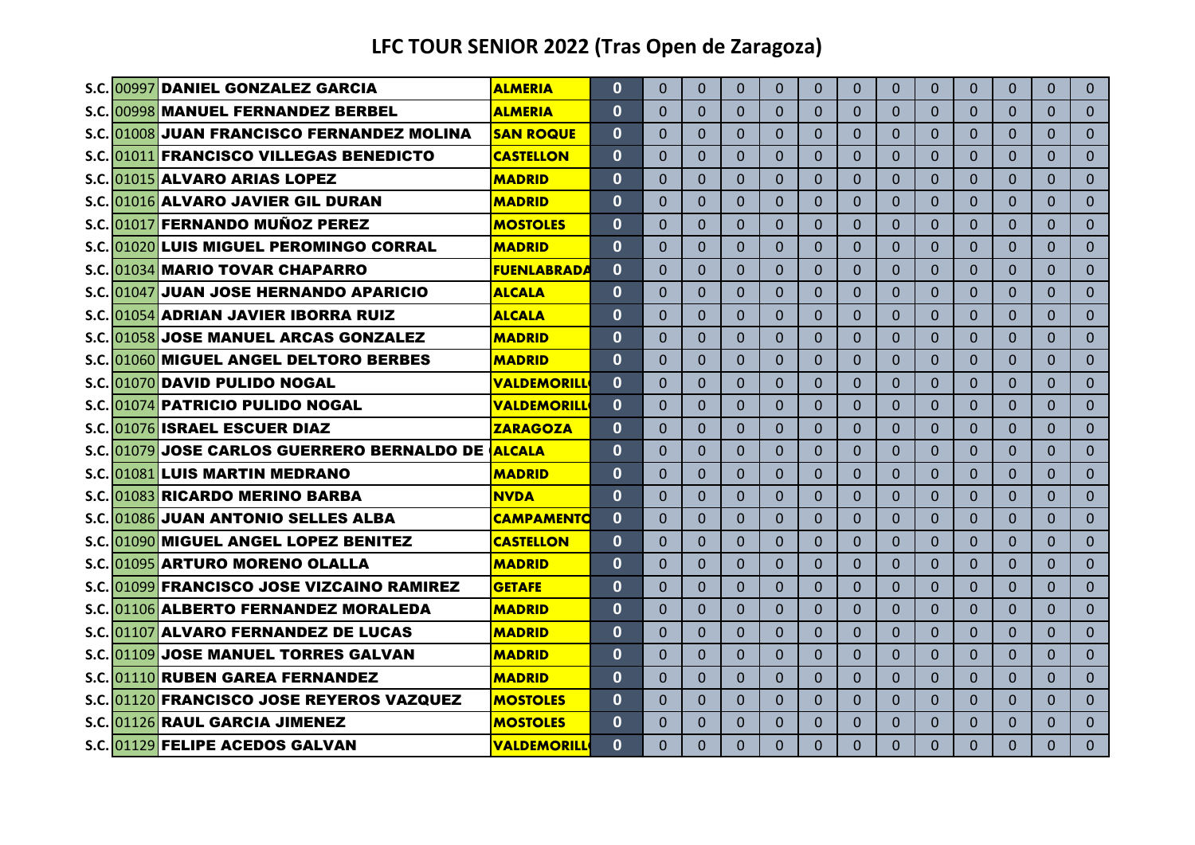|  | S.C. 00997 DANIEL GONZALEZ GARCIA                  | <b>ALMERIA</b>     | $\Omega$     | $\Omega$ | $\Omega$       | $\Omega$ | $\Omega$     | $\Omega$     | $\overline{0}$ | $\Omega$ | $\Omega$       | $\Omega$     | $\Omega$     | $\Omega$       | $\Omega$       |
|--|----------------------------------------------------|--------------------|--------------|----------|----------------|----------|--------------|--------------|----------------|----------|----------------|--------------|--------------|----------------|----------------|
|  | S.C. 00998 MANUEL FERNANDEZ BERBEL                 | <b>ALMERIA</b>     | $\Omega$     | $\Omega$ | $\Omega$       | $\Omega$ | $\mathbf{0}$ | $\mathbf{0}$ | 0              | 0        | $\Omega$       | $\mathbf 0$  | $\Omega$     | $\Omega$       | $\Omega$       |
|  | <b>S.C. 01008 JUAN FRANCISCO FERNANDEZ MOLINA</b>  | <b>SAN ROQUE</b>   | $\Omega$     | $\Omega$ | $\Omega$       | $\Omega$ | $\Omega$     | $\Omega$     | $\Omega$       | $\Omega$ | $\Omega$       | $\Omega$     | $\Omega$     | $\Omega$       | $\Omega$       |
|  | S.C. 01011 FRANCISCO VILLEGAS BENEDICTO            | <b>CASTELLON</b>   | $\mathbf{0}$ | $\Omega$ | $\overline{0}$ | $\Omega$ | $\Omega$     | $\Omega$     | $\overline{0}$ | $\Omega$ | $\Omega$       | $\Omega$     | $\Omega$     | $\Omega$       | $\Omega$       |
|  | S.C. 01015 ALVARO ARIAS LOPEZ                      | <b>MADRID</b>      | $\mathbf{0}$ | $\Omega$ | $\Omega$       | $\Omega$ | $\Omega$     | $\Omega$     | $\Omega$       | $\Omega$ | $\Omega$       | $\Omega$     | $\Omega$     | $\Omega$       | $\Omega$       |
|  | S.C. 01016 ALVARO JAVIER GIL DURAN                 | <b>MADRID</b>      | $\mathbf 0$  | $\Omega$ | $\Omega$       | $\Omega$ | $\Omega$     | $\Omega$     | $\overline{0}$ | $\Omega$ | $\mathbf{0}$   | $\mathbf{0}$ | $\Omega$     | $\Omega$       | $\overline{0}$ |
|  | S.C. 01017 FERNANDO MUÑOZ PEREZ                    | <b>MOSTOLES</b>    | $\bf{0}$     | $\Omega$ | $\Omega$       | $\Omega$ | $\Omega$     | $\Omega$     | $\Omega$       | $\Omega$ | $\overline{0}$ | $\Omega$     | $\Omega$     | $\Omega$       | $\Omega$       |
|  | S.C. 01020 LUIS MIGUEL PEROMINGO CORRAL            | <b>MADRID</b>      | $\mathbf{0}$ | $\Omega$ | $\Omega$       | $\Omega$ | $\mathbf{0}$ | $\Omega$     | $\Omega$       | $\Omega$ | $\mathbf{0}$   | $\mathbf{0}$ | $\Omega$     | $\Omega$       | $\Omega$       |
|  | S.C. 01034 MARIO TOVAR CHAPARRO                    | <b>FUENLABRADA</b> | $\Omega$     | $\Omega$ | $\Omega$       | $\Omega$ | $\Omega$     | $\Omega$     | $\Omega$       | $\Omega$ | $\overline{0}$ | $\Omega$     | $\Omega$     | $\Omega$       | $\Omega$       |
|  | S.C. 01047 JUAN JOSE HERNANDO APARICIO             | <b>ALCALA</b>      | $\mathbf{0}$ | $\Omega$ | $\Omega$       | $\Omega$ | $\Omega$     | $\Omega$     | $\Omega$       | $\Omega$ | $\Omega$       | $\Omega$     | $\Omega$     | $\Omega$       | $\Omega$       |
|  | S.C. 01054 ADRIAN JAVIER IBORRA RUIZ               | <b>ALCALA</b>      | $\bf{0}$     | $\Omega$ | $\Omega$       | $\Omega$ | $\Omega$     | $\Omega$     | $\Omega$       | $\Omega$ | $\Omega$       | $\Omega$     | $\Omega$     | $\Omega$       | $\Omega$       |
|  | S.C. 01058 JOSE MANUEL ARCAS GONZALEZ              | <b>MADRID</b>      | $\mathbf{0}$ | $\Omega$ | $\Omega$       | $\Omega$ | $\Omega$     | $\Omega$     | $\Omega$       | $\Omega$ | $\Omega$       | $\Omega$     | $\Omega$     | $\Omega$       | $\Omega$       |
|  | S.C. 01060 MIGUEL ANGEL DELTORO BERBES             | <b>MADRID</b>      | $\mathbf{0}$ | $\Omega$ | $\Omega$       | $\Omega$ | $\Omega$     | $\Omega$     | $\Omega$       | $\Omega$ | $\Omega$       | $\Omega$     | $\Omega$     | $\Omega$       | $\Omega$       |
|  | S.C. 01070 DAVID PULIDO NOGAL                      | <b>VALDEMORILL</b> | $\mathbf{0}$ | $\Omega$ | $\Omega$       | $\Omega$ | $\mathbf{0}$ | $\Omega$     | $\Omega$       | $\Omega$ | $\Omega$       | $\Omega$     | $\Omega$     | $\Omega$       | $\Omega$       |
|  | S.C. 01074 PATRICIO PULIDO NOGAL                   | <b>VALDEMORILL</b> | $\mathbf{0}$ | $\Omega$ | $\Omega$       | $\Omega$ | $\Omega$     | $\Omega$     | $\Omega$       | $\Omega$ | $\Omega$       | $\Omega$     | $\Omega$     | $\Omega$       | $\Omega$       |
|  | S.C. 01076 ISRAEL ESCUER DIAZ                      | <b>ZARAGOZA</b>    | $\mathbf{0}$ | $\Omega$ | $\Omega$       | $\Omega$ | $\mathbf{0}$ | $\Omega$     | $\Omega$       | $\Omega$ | $\Omega$       | $\Omega$     | $\Omega$     | $\overline{0}$ | $\overline{0}$ |
|  | S.C. 01079 JOSE CARLOS GUERRERO BERNALDO DE ALCALA |                    | $\mathbf{0}$ | $\Omega$ | $\Omega$       | $\Omega$ | $\Omega$     | $\Omega$     | $\Omega$       | 0        | $\Omega$       | $\Omega$     | $\Omega$     | $\Omega$       | $\Omega$       |
|  | S.C. 01081 LUIS MARTIN MEDRANO                     | <b>MADRID</b>      | $\bf{0}$     | $\Omega$ | $\Omega$       | $\Omega$ | $\Omega$     | $\Omega$     | 0              | $\Omega$ | $\mathbf{0}$   | $\mathbf{0}$ | $\Omega$     | $\Omega$       | $\Omega$       |
|  | S.C. 01083 RICARDO MERINO BARBA                    | <b>NVDA</b>        | $\mathbf{0}$ | $\Omega$ | $\Omega$       | $\Omega$ | $\Omega$     | $\Omega$     | 0              | $\Omega$ | $\Omega$       | $\mathbf{0}$ | $\mathbf{0}$ | $\Omega$       | $\Omega$       |
|  | S.C. 01086 JUAN ANTONIO SELLES ALBA                | <b>CAMPAMENTO</b>  | 0            | $\Omega$ | $\Omega$       | $\Omega$ | $\Omega$     | $\Omega$     | $\Omega$       | $\Omega$ | $\mathbf{0}$   | $\Omega$     | $\Omega$     | $\Omega$       | $\Omega$       |
|  | S.C. 01090 MIGUEL ANGEL LOPEZ BENITEZ              | <b>CASTELLON</b>   | $\mathbf{0}$ | $\Omega$ | $\Omega$       | $\Omega$ | $\Omega$     | $\Omega$     | $\Omega$       | $\Omega$ | $\Omega$       | $\Omega$     | $\Omega$     | $\Omega$       | $\Omega$       |
|  | S.C. 01095 ARTURO MORENO OLALLA                    | <b>MADRID</b>      | $\mathbf{0}$ | $\Omega$ | $\Omega$       | $\Omega$ | $\Omega$     | $\Omega$     | 0              | $\Omega$ | $\Omega$       | $\Omega$     | $\Omega$     | $\Omega$       | $\Omega$       |
|  | S.C. 01099 FRANCISCO JOSE VIZCAINO RAMIREZ         | <b>GETAFE</b>      | $\mathbf{0}$ | $\Omega$ | $\Omega$       | $\Omega$ | $\Omega$     | $\Omega$     | $\Omega$       | $\Omega$ | $\Omega$       | $\Omega$     | $\Omega$     | $\Omega$       | $\Omega$       |
|  | S.C. 01106 ALBERTO FERNANDEZ MORALEDA              | <b>MADRID</b>      | $\bf{0}$     | $\Omega$ | $\Omega$       | $\Omega$ | $\Omega$     | $\Omega$     | $\Omega$       | $\Omega$ | $\Omega$       | $\Omega$     | $\Omega$     | $\Omega$       | $\Omega$       |
|  | S.C. 01107 ALVARO FERNANDEZ DE LUCAS               | <b>MADRID</b>      | $\mathbf{0}$ | $\Omega$ | $\overline{0}$ | $\Omega$ | $\mathbf{0}$ | $\Omega$     | $\overline{0}$ | $\Omega$ | $\overline{0}$ | $\mathbf{0}$ | $\Omega$     | $\Omega$       | $\Omega$       |
|  | S.C. 01109 JOSE MANUEL TORRES GALVAN               | <b>MADRID</b>      | $\mathbf{0}$ | $\Omega$ | $\Omega$       | $\Omega$ | $\mathbf{0}$ | $\Omega$     | $\Omega$       | $\Omega$ | $\overline{0}$ | $\mathbf{0}$ | $\Omega$     | $\Omega$       | $\Omega$       |
|  | S.C. 01110 RUBEN GAREA FERNANDEZ                   | <b>MADRID</b>      | $\mathbf{0}$ | $\Omega$ | $\Omega$       | $\Omega$ | $\mathbf{0}$ | $\Omega$     | $\Omega$       | $\Omega$ | $\overline{0}$ | $\Omega$     | $\Omega$     | $\Omega$       | $\Omega$       |
|  | S.C.1011201 <b>FRANCISCO JOSE REYEROS VAZQUEZ</b>  | <b>MOSTOLES</b>    | $\mathbf{0}$ | $\Omega$ | $\Omega$       | $\Omega$ | $\Omega$     | $\Omega$     | 0              | $\Omega$ | $\Omega$       | $\mathbf{0}$ | $\mathbf{0}$ | $\Omega$       | $\Omega$       |
|  | S.C. 01126 RAUL GARCIA JIMENEZ                     | <b>MOSTOLES</b>    | $\mathbf{0}$ | 0        | $\Omega$       | $\Omega$ | $\Omega$     | $\Omega$     | $\Omega$       | $\Omega$ | $\Omega$       | $\mathbf{0}$ | $\Omega$     | $\Omega$       | $\Omega$       |
|  | S.C. 01129 FELIPE ACEDOS GALVAN                    | <b>VALDEMORILL</b> | $\Omega$     | $\Omega$ | $\Omega$       | $\Omega$ | $\Omega$     | $\Omega$     | $\Omega$       | $\Omega$ | $\Omega$       | $\Omega$     | $\Omega$     | $\Omega$       | $\Omega$       |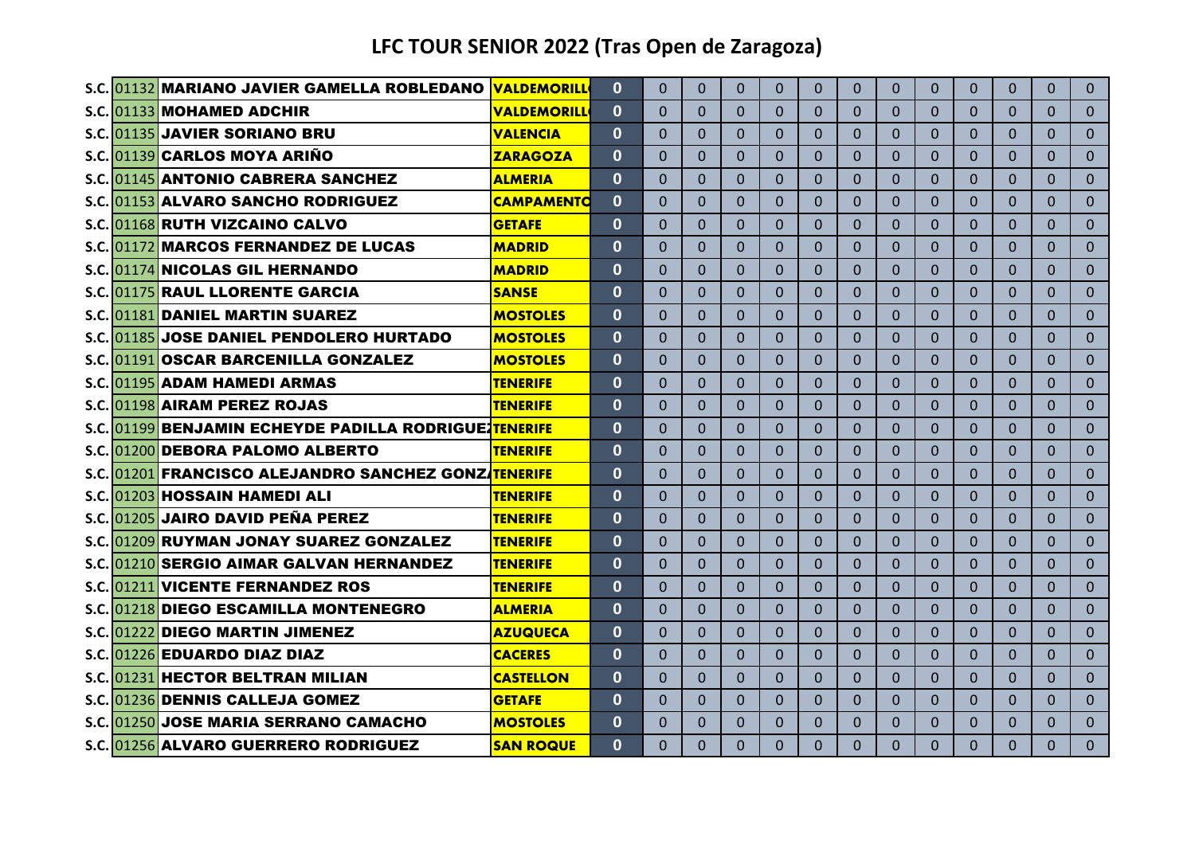|  | S.C. 01132 MARIANO JAVIER GAMELLA ROBLEDANO                 | <b>VALDEMORILL</b> | $\bf{0}$     | $\Omega$ | $\Omega$     | $\Omega$       | $\Omega$     | $\Omega$       | $\Omega$ | $\Omega$       | $\Omega$       | $\Omega$     | $\Omega$       | 0              | $\mathbf{0}$ |
|--|-------------------------------------------------------------|--------------------|--------------|----------|--------------|----------------|--------------|----------------|----------|----------------|----------------|--------------|----------------|----------------|--------------|
|  | S.C.1011331MOHAMED ADCHIR                                   | <b>VALDEMORILL</b> | $\bf{0}$     | $\Omega$ | $\Omega$     | $\Omega$       | $\Omega$     | $\Omega$       | 0        | $\Omega$       | $\Omega$       | $\Omega$     | $\Omega$       | 0              | $\Omega$     |
|  | S.C. 01135 JAVIER SORIANO BRU                               | <b>VALENCIA</b>    | $\mathbf{0}$ | $\Omega$ | $\Omega$     | $\Omega$       | $\Omega$     | $\Omega$       | $\Omega$ | $\Omega$       | $\Omega$       | $\Omega$     | $\Omega$       | 0              | $\Omega$     |
|  | S.C. 01139 CARLOS MOYA ARINO                                | <b>ZARAGOZA</b>    | $\Omega$     | $\Omega$ | $\Omega$     | $\Omega$       | $\Omega$     | $\Omega$       | $\Omega$ | $\Omega$       | $\Omega$       | $\Omega$     | $\Omega$       | 0              | $\Omega$     |
|  | S.C. 01145 ANTONIO CABRERA SANCHEZ                          | <b>ALMERIA</b>     | $\mathbf{0}$ | $\Omega$ | $\Omega$     | $\Omega$       | $\Omega$     | $\Omega$       | 0        | $\Omega$       | $\Omega$       | $\Omega$     | $\Omega$       | 0              | $\Omega$     |
|  | S.C. 01153 ALVARO SANCHO RODRIGUEZ                          | <b>CAMPAMENTO</b>  | $\bf{0}$     | 0        | $\Omega$     | $\Omega$       | $\Omega$     | 0              | 0        | $\Omega$       | $\Omega$       | $\mathbf{0}$ | 0              | 0              | $\Omega$     |
|  | S.C. 01168 RUTH VIZCAINO CALVO                              | <b>GETAFE</b>      | 0            | $\Omega$ | $\Omega$     | $\Omega$       | $\Omega$     | $\Omega$       | $\Omega$ | $\Omega$       | $\Omega$       | $\Omega$     | $\Omega$       | 0              | $\Omega$     |
|  | S.C. 01172 MARCOS FERNANDEZ DE LUCAS                        | <b>MADRID</b>      | $\bf{0}$     | 0        | $\Omega$     | $\Omega$       | $\Omega$     | $\Omega$       | 0        | $\Omega$       | $\Omega$       | $\Omega$     | $\Omega$       | 0              | $\Omega$     |
|  | S.C. 01174 NICOLAS GIL HERNANDO                             | <b>MADRID</b>      | $\Omega$     | $\Omega$ | $\mathbf{0}$ | $\Omega$       | $\Omega$     | $\Omega$       | $\Omega$ | $\mathbf{0}$   | $\Omega$       | $\Omega$     | $\Omega$       | $\Omega$       | $\Omega$     |
|  | <b>S.C. 01175 RAUL LLORENTE GARCIA</b>                      | <b>SANSE</b>       | $\bf{0}$     | $\Omega$ | $\Omega$     | $\Omega$       | $\Omega$     | $\Omega$       | 0        | $\Omega$       | $\Omega$       | $\Omega$     | $\Omega$       | 0              | $\mathbf{0}$ |
|  | S.C. 01181 DANIEL MARTIN SUAREZ                             | <b>MOSTOLES</b>    | 0            | 0        | $\Omega$     | $\Omega$       | $\Omega$     | $\Omega$       | 0        | $\Omega$       | $\Omega$       | $\Omega$     | $\Omega$       | 0              | $\Omega$     |
|  | S.C. 01185 JOSE DANIEL PENDOLERO HURTADO                    | <b>MOSTOLES</b>    | $\mathbf{0}$ | $\Omega$ | $\Omega$     | $\Omega$       | $\Omega$     | $\Omega$       | $\Omega$ | $\Omega$       | $\Omega$       | $\Omega$     | $\Omega$       | 0              | $\mathbf{0}$ |
|  | S.C. 01191 OSCAR BARCENILLA GONZALEZ                        | <b>MOSTOLES</b>    | $\Omega$     | $\Omega$ | $\Omega$     | $\Omega$       | $\Omega$     | $\Omega$       | $\Omega$ | $\Omega$       | $\Omega$       | $\Omega$     | $\Omega$       | 0              | $\Omega$     |
|  | S.C.1011951ADAM HAMEDI ARMAS                                | <b>TENERIFE</b>    | $\Omega$     | $\Omega$ | $\Omega$     | $\Omega$       | $\mathbf{0}$ | $\Omega$       | $\Omega$ | $\overline{0}$ | $\Omega$       | $\Omega$     | $\Omega$       | $\overline{0}$ | $\mathbf{0}$ |
|  | S.C. 01198 AIRAM PEREZ ROJAS                                | <b>TENERIFE</b>    | $\bf{0}$     | $\Omega$ | $\Omega$     | $\Omega$       | $\Omega$     | $\Omega$       | $\Omega$ | $\Omega$       | $\Omega$       | $\Omega$     | $\Omega$       | 0              | $\Omega$     |
|  | S.C.101199 BENJAMIN ECHEYDE PADILLA RODRIGUEZTENERIFE       |                    | $\bf{0}$     | $\Omega$ | $\Omega$     | $\Omega$       | $\Omega$     | $\Omega$       | $\Omega$ | $\Omega$       | $\Omega$       | $\Omega$     | $\Omega$       | 0              | $\Omega$     |
|  | S.C. 01200 DEBORA PALOMO ALBERTO                            | <b>TENERIFE</b>    | $\bf{0}$     | 0        | $\Omega$     | $\Omega$       | $\Omega$     | $\Omega$       | 0        | $\Omega$       | $\Omega$       | $\Omega$     | $\Omega$       | 0              | $\Omega$     |
|  | <b>S.C. 01201 FRANCISCO ALEJANDRO SANCHEZ GONZATENERIFE</b> |                    | $\Omega$     | $\Omega$ | $\Omega$     | $\Omega$       | $\Omega$     | $\Omega$       | $\Omega$ | $\Omega$       | $\Omega$       | $\Omega$     | $\Omega$       | 0              | $\Omega$     |
|  | S.C. 01203 HOSSAIN HAMEDI ALI                               | <b>TENERIFE</b>    | $\bf{0}$     | $\Omega$ | $\Omega$     | $\Omega$       | $\Omega$     | $\Omega$       | 0        | $\Omega$       | $\Omega$       | $\mathbf{0}$ | $\Omega$       | 0              | $\Omega$     |
|  | S.C. 01205 JAIRO DAVID PEÑA PEREZ                           | <b>TENERIFE</b>    | $\bf{0}$     | $\Omega$ | $\Omega$     | $\Omega$       | $\Omega$     | $\Omega$       | 0        | $\Omega$       | $\Omega$       | $\Omega$     | $\Omega$       | 0              | $\Omega$     |
|  | S.C. 01209 RUYMAN JONAY SUAREZ GONZALEZ                     | <b>TENERIFE</b>    | $\bf{0}$     | 0        | $\Omega$     | $\Omega$       | $\Omega$     | $\Omega$       | 0        | $\Omega$       | $\Omega$       | $\Omega$     | $\Omega$       | 0              | $\Omega$     |
|  | S.C. 01210 SERGIO AIMAR GALVAN HERNANDEZ                    | <b>TENERIFE</b>    | 0            | $\Omega$ | $\Omega$     | $\Omega$       | $\Omega$     | $\Omega$       | $\Omega$ | $\Omega$       | $\mathbf{0}$   | $\Omega$     | $\Omega$       | $\Omega$       | $\Omega$     |
|  | S.C. 01211 VICENTE FERNANDEZ ROS                            | <b>TENERIFE</b>    | $\bf{0}$     | $\Omega$ | $\Omega$     | $\Omega$       | $\Omega$     | $\Omega$       | $\Omega$ | $\Omega$       | $\Omega$       | $\Omega$     | $\Omega$       | 0              | $\Omega$     |
|  | S.C. 01218 DIEGO ESCAMILLA MONTENEGRO                       | <b>ALMERIA</b>     | $\bf{0}$     | $\Omega$ | $\Omega$     | $\Omega$       | $\Omega$     | $\Omega$       | 0        | $\Omega$       | $\Omega$       | $\Omega$     | $\Omega$       | 0              | $\Omega$     |
|  | S.C.1012221DIEGO MARTIN JIMENEZ                             | <b>AZUQUECA</b>    | $\mathbf 0$  | $\Omega$ | $\Omega$     | $\overline{0}$ | $\Omega$     | $\overline{0}$ | 0        | $\overline{0}$ | $\overline{0}$ | $\Omega$     | $\overline{0}$ | 0              | $\mathbf{0}$ |
|  | S.C. 01226 EDUARDO DIAZ DIAZ                                | <b>CACERES</b>     | $\mathbf 0$  | $\Omega$ | $\Omega$     | $\Omega$       | $\Omega$     | $\Omega$       | 0        | $\Omega$       | $\Omega$       | $\Omega$     | $\Omega$       | 0              | $\Omega$     |
|  | S.C. 01231 HECTOR BELTRAN MILIAN                            | <b>CASTELLON</b>   | $\mathbf{0}$ | $\Omega$ | $\Omega$     | $\Omega$       | $\Omega$     | $\Omega$       | $\Omega$ | $\Omega$       | $\Omega$       | $\Omega$     | $\Omega$       | 0              | $\Omega$     |
|  | S.C. 01236 DENNIS CALLEJA GOMEZ                             | <b>GETAFE</b>      | $\Omega$     | $\Omega$ | $\Omega$     | $\Omega$       | $\Omega$     | $\Omega$       | 0        | $\Omega$       | $\Omega$       | $\Omega$     | $\Omega$       | 0              | $\Omega$     |
|  | S.C. 01250 JOSE MARIA SERRANO CAMACHO                       | <b>MOSTOLES</b>    | $\mathbf{0}$ | $\Omega$ | $\Omega$     | $\Omega$       | $\Omega$     | $\Omega$       | 0        | $\Omega$       | $\Omega$       | $\Omega$     | $\Omega$       | 0              | $\Omega$     |
|  | S.C. 01256 ALVARO GUERRERO RODRIGUEZ                        | <b>SAN ROQUE</b>   | $\Omega$     | $\Omega$ | $\Omega$     | $\Omega$       | $\Omega$     | $\Omega$       | $\Omega$ | $\Omega$       | $\Omega$       | $\Omega$     | $\Omega$       | 0              | $\Omega$     |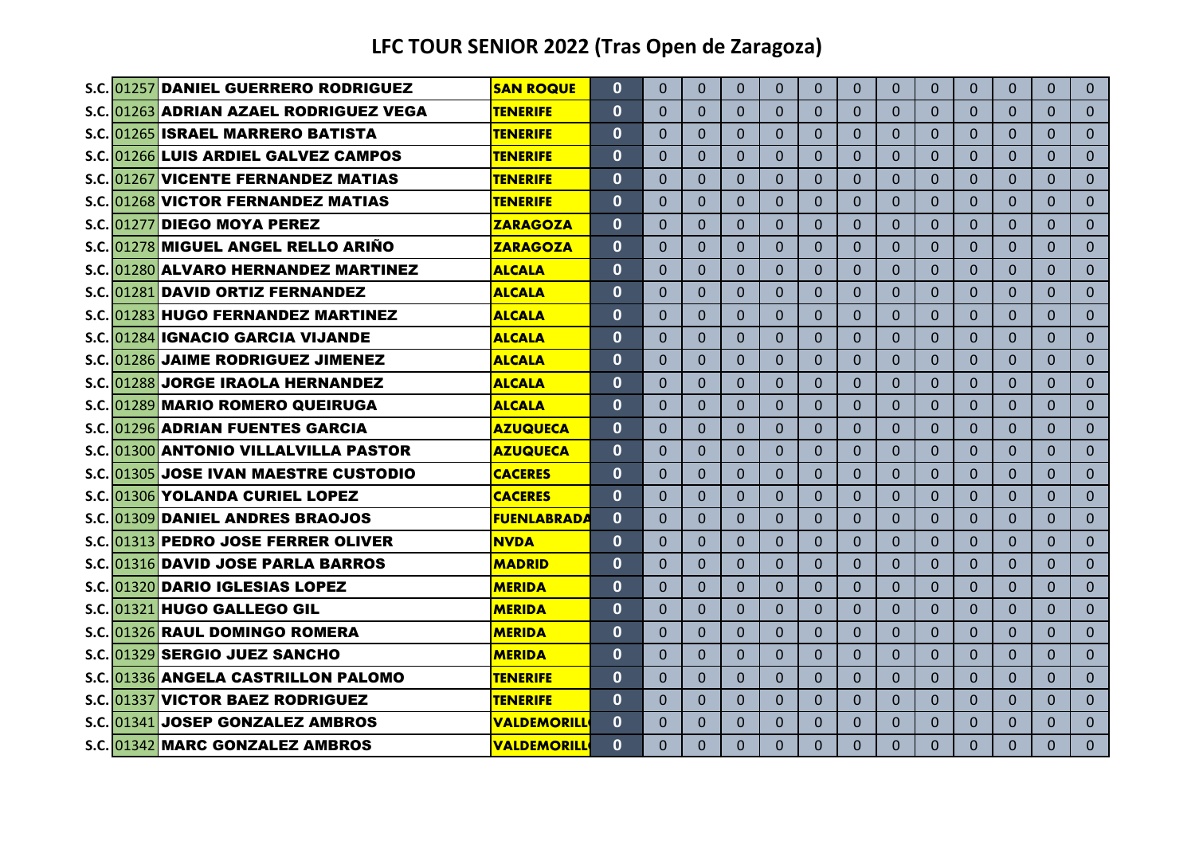|  | S.C. 01257 DANIEL GUERRERO RODRIGUEZ    | <b>SAN ROQUE</b>   | $\Omega$     | $\Omega$ | $\Omega$ | $\Omega$ | $\Omega$     | $\Omega$     | 0              | $\Omega$ | $\Omega$       | $\Omega$     | $\Omega$     | $\Omega$       | $\Omega$       |
|--|-----------------------------------------|--------------------|--------------|----------|----------|----------|--------------|--------------|----------------|----------|----------------|--------------|--------------|----------------|----------------|
|  | S.C. 01263 ADRIAN AZAEL RODRIGUEZ VEGA  | <b>TENERIFE</b>    | $\mathbf{0}$ | 0        | $\Omega$ | $\Omega$ | $\mathbf{0}$ | $\mathbf{0}$ | 0              | 0        | $\Omega$       | $\mathbf 0$  | $\mathbf 0$  | $\Omega$       | $\overline{0}$ |
|  | S.C. 01265 ISRAEL MARRERO BATISTA       | <b>TENERIFE</b>    | $\Omega$     | $\Omega$ | $\Omega$ | $\Omega$ | $\Omega$     | $\Omega$     | $\Omega$       | $\Omega$ | $\Omega$       | $\Omega$     | $\Omega$     | $\Omega$       | $\Omega$       |
|  | S.C. 01266 LUIS ARDIEL GALVEZ CAMPOS    | <b>TENERIFE</b>    | $\mathbf{0}$ | $\Omega$ | $\Omega$ | $\Omega$ | $\Omega$     | $\Omega$     | $\overline{0}$ | $\Omega$ | $\Omega$       | $\Omega$     | $\Omega$     | $\Omega$       | $\Omega$       |
|  | S.C. 01267 VICENTE FERNANDEZ MATIAS     | <b>TENERIFE</b>    | $\mathbf{0}$ | $\Omega$ | $\Omega$ | $\Omega$ | $\Omega$     | $\Omega$     | $\overline{0}$ | $\Omega$ | $\Omega$       | $\Omega$     | $\mathbf{0}$ | $\Omega$       | $\Omega$       |
|  | S.C. 01268 VICTOR FERNANDEZ MATIAS      | <b>TENERIFE</b>    | $\mathbf{0}$ | $\Omega$ | $\Omega$ | $\Omega$ | $\Omega$     | $\Omega$     | $\overline{0}$ | $\Omega$ | $\mathbf{0}$   | $\mathbf{0}$ | $\mathbf{0}$ | $\Omega$       | $\overline{0}$ |
|  | S.C. 01277 DIEGO MOYA PEREZ             | <b>ZARAGOZA</b>    | $\bf{0}$     | $\Omega$ | $\Omega$ | $\Omega$ | $\Omega$     | $\Omega$     | 0              | $\Omega$ | 0              | $\Omega$     | $\Omega$     | $\Omega$       | $\Omega$       |
|  | S.C. 01278 MIGUEL ANGEL RELLO ARIÑO     | <b>ZARAGOZA</b>    | $\mathbf{0}$ | $\Omega$ | $\Omega$ | $\Omega$ | $\Omega$     | $\Omega$     | $\Omega$       | $\Omega$ | $\Omega$       | $\mathbf{0}$ | $\Omega$     | $\Omega$       | $\Omega$       |
|  | S.C. 01280 ALVARO HERNANDEZ MARTINEZ    | <b>ALCALA</b>      | $\mathbf{0}$ | $\Omega$ | $\Omega$ | $\Omega$ | $\Omega$     | $\Omega$     | 0              | $\Omega$ | $\overline{0}$ | $\Omega$     | $\Omega$     | $\Omega$       | $\Omega$       |
|  | S.C. 01281 DAVID ORTIZ FERNANDEZ        | <b>ALCALA</b>      | $\mathbf{0}$ | $\Omega$ | $\Omega$ | $\Omega$ | $\Omega$     | $\Omega$     | $\Omega$       | $\Omega$ | $\Omega$       | $\Omega$     | $\Omega$     | $\Omega$       | $\Omega$       |
|  | S.C. 01283 HUGO FERNANDEZ MARTINEZ      | <b>ALCALA</b>      | $\bf{0}$     | $\Omega$ | $\Omega$ | $\Omega$ | $\Omega$     | $\Omega$     | $\Omega$       | 0        | $\Omega$       | $\Omega$     | $\Omega$     | $\Omega$       | $\Omega$       |
|  | S.C. 01284 IGNACIO GARCIA VIJANDE       | <b>ALCALA</b>      | $\mathbf{0}$ | $\Omega$ | $\Omega$ | $\Omega$ | $\Omega$     | $\Omega$     | $\Omega$       | $\Omega$ | $\Omega$       | $\Omega$     | $\Omega$     | $\Omega$       | $\Omega$       |
|  | S.C. 01286 JAIME RODRIGUEZ JIMENEZ      | <b>ALCALA</b>      | $\Omega$     | $\Omega$ | $\Omega$ | $\Omega$ | $\Omega$     | $\Omega$     | $\Omega$       | $\Omega$ | $\Omega$       | $\Omega$     | $\Omega$     | $\Omega$       | $\Omega$       |
|  | S.C. 01288 JORGE IRAOLA HERNANDEZ       | <b>ALCALA</b>      | $\mathbf{0}$ | $\Omega$ | $\Omega$ | $\Omega$ | $\mathbf{0}$ | $\Omega$     | $\overline{0}$ | $\Omega$ | $\Omega$       | $\Omega$     | $\Omega$     | $\Omega$       | $\Omega$       |
|  | S.C. 01289 MARIO ROMERO QUEIRUGA        | <b>ALCALA</b>      | $\mathbf{0}$ | $\Omega$ | $\Omega$ | $\Omega$ | $\Omega$     | $\Omega$     | $\overline{0}$ | $\Omega$ | $\Omega$       | $\Omega$     | $\Omega$     | $\Omega$       | $\Omega$       |
|  | <b>S.C. 01296 ADRIAN FUENTES GARCIA</b> | <b>AZUQUECA</b>    | $\mathbf{0}$ | $\Omega$ | $\Omega$ | $\Omega$ | $\Omega$     | $\Omega$     | $\Omega$       | $\Omega$ | $\Omega$       | $\Omega$     | $\mathbf{0}$ | $\overline{0}$ | $\overline{0}$ |
|  | S.C. 01300 ANTONIO VILLALVILLA PASTOR   | AZUQUECA           | $\mathbf{0}$ | $\Omega$ | $\Omega$ | $\Omega$ | $\Omega$     | $\Omega$     | 0              | 0        | $\Omega$       | $\Omega$     | $\Omega$     | $\Omega$       | $\Omega$       |
|  | S.C. 01305 JOSE IVAN MAESTRE CUSTODIO   | <b>CACERES</b>     | $\Omega$     | $\Omega$ | $\Omega$ | $\Omega$ | $\Omega$     | $\Omega$     | 0              | $\Omega$ | $\mathbf{0}$   | $\mathbf{0}$ | $\Omega$     | $\Omega$       | $\Omega$       |
|  | S.C. 01306 YOLANDA CURIEL LOPEZ         | <b>CACERES</b>     | $\mathbf{0}$ | $\Omega$ | $\Omega$ | $\Omega$ | $\Omega$     | $\Omega$     | 0              | 0        | $\Omega$       | $\mathbf{0}$ | $\mathbf{0}$ | $\Omega$       | $\Omega$       |
|  | S.C. 01309 DANIEL ANDRES BRAOJOS        | <b>FUENLABRADA</b> | 0            | $\Omega$ | $\Omega$ | $\Omega$ | $\Omega$     | $\Omega$     | 0              | $\Omega$ | $\mathbf{0}$   | $\mathbf{0}$ | $\Omega$     | $\Omega$       | $\Omega$       |
|  | S.C. 01313 PEDRO JOSE FERRER OLIVER     | <b>NVDA</b>        | $\mathbf{0}$ | $\Omega$ | $\Omega$ | $\Omega$ | $\Omega$     | $\Omega$     | 0              | $\Omega$ | $\Omega$       | $\Omega$     | $\Omega$     | $\Omega$       | $\Omega$       |
|  | S.C. 01316 DAVID JOSE PARLA BARROS      | <b>MADRID</b>      | $\mathbf{0}$ | $\Omega$ | $\Omega$ | $\Omega$ | $\Omega$     | $\Omega$     | 0              | $\Omega$ | $\Omega$       | $\Omega$     | $\Omega$     | $\Omega$       | $\Omega$       |
|  | S.C. 01320 DARIO IGLESIAS LOPEZ         | <b>MERIDA</b>      | $\mathbf{0}$ | $\Omega$ | $\Omega$ | $\Omega$ | $\Omega$     | $\Omega$     | $\Omega$       | $\Omega$ | $\Omega$       | $\Omega$     | $\Omega$     | $\Omega$       | $\Omega$       |
|  | S.C. 01321 HUGO GALLEGO GIL             | <b>MERIDA</b>      | $\mathbf{0}$ | $\Omega$ | $\Omega$ | $\Omega$ | $\Omega$     | $\Omega$     | $\Omega$       | $\Omega$ | $\Omega$       | $\Omega$     | $\Omega$     | $\Omega$       | $\Omega$       |
|  | S.C. 01326 RAUL DOMINGO ROMERA          | <b>MERIDA</b>      | $\mathbf{0}$ | $\Omega$ | $\Omega$ | $\Omega$ | $\mathbf{0}$ | $\Omega$     | $\Omega$       | $\Omega$ | $\overline{0}$ | $\mathbf{0}$ | $\Omega$     | $\overline{0}$ | $\overline{0}$ |
|  | S.C. 01329 SERGIO JUEZ SANCHO           | <b>MERIDA</b>      | $\mathbf{0}$ | $\Omega$ | $\Omega$ | $\Omega$ | $\Omega$     | $\Omega$     | $\Omega$       | $\Omega$ | $\overline{0}$ | $\Omega$     | $\Omega$     | $\Omega$       | $\Omega$       |
|  | S.C. 01336 ANGELA CASTRILLON PALOMO     | <b>TENERIFE</b>    | $\mathbf{0}$ | $\Omega$ | $\Omega$ | $\Omega$ | $\mathbf{0}$ | $\Omega$     | $\Omega$       | $\Omega$ | $\overline{0}$ | $\Omega$     | $\Omega$     | $\Omega$       | $\Omega$       |
|  | S.C. 01337 VICTOR BAEZ RODRIGUEZ        | <b>TENERIFE</b>    | $\mathbf{0}$ | 0        | $\Omega$ | $\Omega$ | $\Omega$     | $\Omega$     | 0              | 0        | $\Omega$       | $\mathbf{0}$ | $\mathbf{0}$ | $\Omega$       | $\Omega$       |
|  | S.C. 01341 JOSEP GONZALEZ AMBROS        | <b>VALDEMORILL</b> | $\mathbf{0}$ | 0        | $\Omega$ | $\Omega$ | $\Omega$     | $\Omega$     | $\Omega$       | $\Omega$ | $\Omega$       | $\mathbf{0}$ | $\Omega$     | $\Omega$       | $\Omega$       |
|  | S.C. 01342 MARC GONZALEZ AMBROS         | <b>VALDEMORILL</b> | $\Omega$     | $\Omega$ | $\Omega$ | $\Omega$ | $\Omega$     | $\Omega$     | $\Omega$       | $\Omega$ | $\Omega$       | $\Omega$     | $\Omega$     | $\Omega$       | $\overline{0}$ |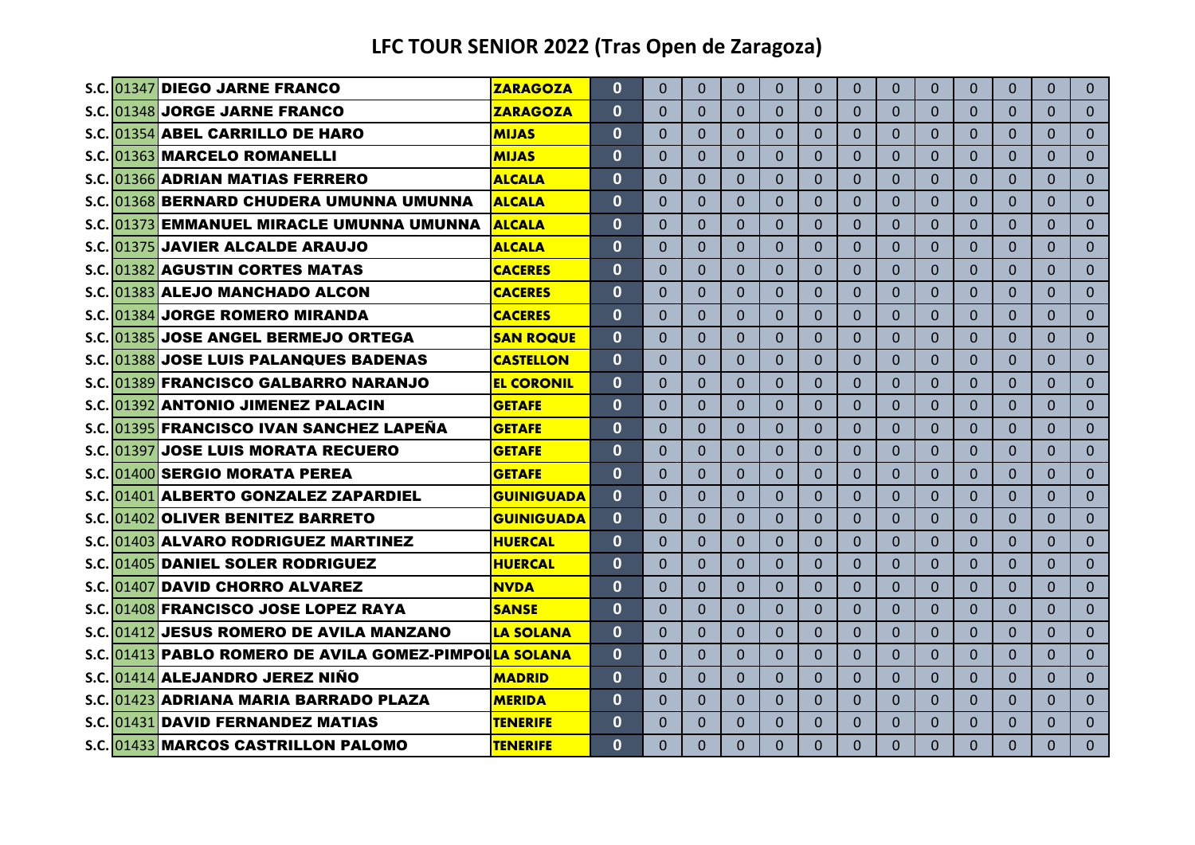|  | S.C. 01347 DIEGO JARNE FRANCO                          | <b>ZARAGOZA</b>   | $\mathbf{0}$ | $\Omega$ | $\Omega$ | $\Omega$ | $\Omega$     | $\Omega$     | 0              | $\Omega$ | $\Omega$       | $\Omega$     | $\Omega$     | $\Omega$ | $\Omega$       |
|--|--------------------------------------------------------|-------------------|--------------|----------|----------|----------|--------------|--------------|----------------|----------|----------------|--------------|--------------|----------|----------------|
|  | S.C. 01348 JORGE JARNE FRANCO                          | <b>ZARAGOZA</b>   | $\Omega$     | 0        | $\Omega$ | $\Omega$ | $\mathbf{0}$ | $\mathbf{0}$ | 0              | 0        | $\Omega$       | $\mathbf{0}$ | $\mathbf 0$  | $\Omega$ | $\mathbf{0}$   |
|  | S.C. 01354 ABEL CARRILLO DE HARO                       | <b>MIJAS</b>      | $\Omega$     | $\Omega$ | $\Omega$ | $\Omega$ | $\Omega$     | $\Omega$     | $\Omega$       | $\Omega$ | $\mathbf{0}$   | $\Omega$     | $\Omega$     | $\Omega$ | $\Omega$       |
|  | S.C. 01363 MARCELO ROMANELLI                           | <b>MIJAS</b>      | $\mathbf{0}$ | $\Omega$ | $\Omega$ | $\Omega$ | $\Omega$     | $\Omega$     | $\overline{0}$ | $\Omega$ | $\Omega$       | $\Omega$     | $\Omega$     | $\Omega$ | $\Omega$       |
|  | S.C. 01366 ADRIAN MATIAS FERRERO                       | <b>ALCALA</b>     | $\mathbf{0}$ | $\Omega$ | $\Omega$ | $\Omega$ | $\Omega$     | $\Omega$     | $\Omega$       | $\Omega$ | $\Omega$       | $\Omega$     | $\Omega$     | $\Omega$ | $\Omega$       |
|  | S.C. 01368 BERNARD CHUDERA UMUNNA UMUNNA               | <b>ALCALA</b>     | $\mathbf 0$  | $\Omega$ | $\Omega$ | $\Omega$ | $\Omega$     | $\Omega$     | $\overline{0}$ | $\Omega$ | $\Omega$       | $\Omega$     | $\Omega$     | $\Omega$ | $\overline{0}$ |
|  | S.C.1013731EMMANUEL MIRACLE UMUNNA UMUNNA              | <b>ALCALA</b>     | $\bf{0}$     | $\Omega$ | $\Omega$ | $\Omega$ | $\Omega$     | $\Omega$     | $\Omega$       | $\Omega$ | 0              | $\mathbf{0}$ | $\Omega$     | $\Omega$ | $\Omega$       |
|  | S.C. 01375 JAVIER ALCALDE ARAUJO                       | <b>ALCALA</b>     | $\mathbf{0}$ | $\Omega$ | $\Omega$ | $\Omega$ | $\Omega$     | $\Omega$     | $\Omega$       | $\Omega$ | $\Omega$       | $\mathbf{0}$ | $\Omega$     | $\Omega$ | $\Omega$       |
|  | S.C. 01382 AGUSTIN CORTES MATAS                        | <b>CACERES</b>    | $\bf{0}$     | $\Omega$ | $\Omega$ | $\Omega$ | $\Omega$     | $\Omega$     | 0              | $\Omega$ | $\overline{0}$ | $\Omega$     | $\Omega$     | $\Omega$ | $\Omega$       |
|  | S.C. 01383 ALEJO MANCHADO ALCON                        | <b>CACERES</b>    | $\mathbf{0}$ | $\Omega$ | $\Omega$ | $\Omega$ | $\Omega$     | $\Omega$     | $\Omega$       | $\Omega$ | $\Omega$       | $\Omega$     | $\Omega$     | $\Omega$ | $\Omega$       |
|  | S.C. 01384 JORGE ROMERO MIRANDA                        | <b>CACERES</b>    | $\mathbf{0}$ | $\Omega$ | $\Omega$ | $\Omega$ | $\Omega$     | $\Omega$     | $\Omega$       | $\Omega$ | $\Omega$       | $\Omega$     | $\Omega$     | $\Omega$ | $\Omega$       |
|  | S.C. 01385 JOSE ANGEL BERMEJO ORTEGA                   | <b>SAN ROQUE</b>  | $\mathbf{0}$ | $\Omega$ | $\Omega$ | $\Omega$ | $\Omega$     | $\Omega$     | $\Omega$       | $\Omega$ | $\Omega$       | $\Omega$     | $\Omega$     | $\Omega$ | $\Omega$       |
|  | S.C.1013881JOSE LUIS PALANQUES BADENAS                 | <b>CASTELLON</b>  | $\mathbf{0}$ | $\Omega$ | $\Omega$ | $\Omega$ | $\Omega$     | $\Omega$     | $\Omega$       | $\Omega$ | $\Omega$       | $\Omega$     | $\Omega$     | $\Omega$ | $\Omega$       |
|  | S.C. 01389 FRANCISCO GALBARRO NARANJO                  | <b>EL CORONIL</b> | $\mathbf{0}$ | $\Omega$ | $\Omega$ | $\Omega$ | $\Omega$     | $\Omega$     | $\Omega$       | $\Omega$ | $\Omega$       | $\Omega$     | $\Omega$     | $\Omega$ | $\Omega$       |
|  | S.C. 01392 ANTONIO JIMENEZ PALACIN                     | <b>GETAFE</b>     | $\mathbf{0}$ | $\Omega$ | $\Omega$ | $\Omega$ | $\Omega$     | $\Omega$     | 0              | $\Omega$ | $\Omega$       | $\Omega$     | $\Omega$     | $\Omega$ | $\Omega$       |
|  | S.C. 01395 FRANCISCO IVAN SANCHEZ LAPEÑA               | <b>GETAFE</b>     | $\mathbf{0}$ | $\Omega$ | $\Omega$ | $\Omega$ | $\Omega$     | $\Omega$     | $\Omega$       | $\Omega$ | $\Omega$       | $\Omega$     | $\Omega$     | $\Omega$ | $\Omega$       |
|  | S.C. 01397 JOSE LUIS MORATA RECUERO                    | <b>GETAFE</b>     | $\mathbf{0}$ | 0        | $\Omega$ | $\Omega$ | $\Omega$     | $\Omega$     | 0              | 0        | $\Omega$       | $\Omega$     | $\Omega$     | $\Omega$ | $\Omega$       |
|  | S.C. 01400 SERGIO MORATA PEREA                         | <b>GETAFE</b>     | $\bf{0}$     | $\Omega$ | $\Omega$ | $\Omega$ | $\Omega$     | $\Omega$     | 0              | $\Omega$ | $\mathbf{0}$   | $\mathbf{0}$ | $\Omega$     | $\Omega$ | $\Omega$       |
|  | S.C. 01401 ALBERTO GONZALEZ ZAPARDIEL                  | <b>GUINIGUADA</b> | 0            | $\Omega$ | $\Omega$ | $\Omega$ | $\Omega$     | $\Omega$     | 0              | 0        | $\Omega$       | $\mathbf{0}$ | $\mathbf{0}$ | $\Omega$ | $\Omega$       |
|  | S.C. 01402 OLIVER BENITEZ BARRETO                      | <b>GUINIGUADA</b> | 0            | $\Omega$ | $\Omega$ | $\Omega$ | $\Omega$     | $\Omega$     | $\Omega$       | $\Omega$ | $\mathbf{0}$   | $\mathbf{0}$ | $\Omega$     | $\Omega$ | $\Omega$       |
|  | S.C. 01403 ALVARO RODRIGUEZ MARTINEZ                   | <b>HUERCAL</b>    | $\mathbf{0}$ | $\Omega$ | $\Omega$ | $\Omega$ | $\Omega$     | $\Omega$     | 0              | $\Omega$ | $\Omega$       | $\Omega$     | $\Omega$     | $\Omega$ | $\Omega$       |
|  | S.C. 01405 DANIEL SOLER RODRIGUEZ                      | <b>HUERCAL</b>    | $\bf{0}$     | $\Omega$ | $\Omega$ | $\Omega$ | $\Omega$     | $\Omega$     | 0              | $\Omega$ | $\Omega$       | $\Omega$     | $\Omega$     | $\Omega$ | $\Omega$       |
|  | S.C. 01407 DAVID CHORRO ALVAREZ                        | <b>NVDA</b>       | $\mathbf{0}$ | $\Omega$ | $\Omega$ | $\Omega$ | $\Omega$     | $\Omega$     | $\Omega$       | $\Omega$ | $\Omega$       | $\Omega$     | $\Omega$     | $\Omega$ | $\Omega$       |
|  | S.C. 01408 FRANCISCO JOSE LOPEZ RAYA                   | <b>SANSE</b>      | $\Omega$     | $\Omega$ | $\Omega$ | $\Omega$ | $\Omega$     | $\Omega$     | $\Omega$       | $\Omega$ | $\Omega$       | $\Omega$     | $\Omega$     | $\Omega$ | $\Omega$       |
|  | S.C. 01412 JESUS ROMERO DE AVILA MANZANO               | <b>LA SOLANA</b>  | $\mathbf{0}$ | $\Omega$ | $\Omega$ | $\Omega$ | $\mathbf{0}$ | $\Omega$     | $\Omega$       | $\Omega$ | $\Omega$       | $\mathbf{0}$ | $\Omega$     | $\Omega$ | $\overline{0}$ |
|  | S.C. 01413 PABLO ROMERO DE AVILA GOMEZ-PIMPOLLA SOLANA |                   | $\mathbf{0}$ | $\Omega$ | $\Omega$ | $\Omega$ | $\Omega$     | $\Omega$     | $\Omega$       | $\Omega$ | $\overline{0}$ | $\Omega$     | $\Omega$     | $\Omega$ | $\Omega$       |
|  | S.C. 01414 ALEJANDRO JEREZ NIÑO                        | <b>MADRID</b>     | $\mathbf{0}$ | $\Omega$ | $\Omega$ | $\Omega$ | $\mathbf{0}$ | $\Omega$     | $\Omega$       | $\Omega$ | $\Omega$       | $\Omega$     | $\Omega$     | $\Omega$ | $\Omega$       |
|  | S.C. 01423 ADRIANA MARIA BARRADO PLAZA                 | <b>MERIDA</b>     | $\bf{0}$     | 0        | $\Omega$ | $\Omega$ | $\Omega$     | $\Omega$     | 0              | 0        | $\Omega$       | $\Omega$     | $\mathbf{0}$ | $\Omega$ | $\Omega$       |
|  | S.C. 01431 DAVID FERNANDEZ MATIAS                      | <b>TENERIFE</b>   | $\mathbf{0}$ | 0        | $\Omega$ | $\Omega$ | $\Omega$     | $\Omega$     | $\Omega$       | $\Omega$ | $\Omega$       | $\mathbf{0}$ | $\Omega$     | $\Omega$ | $\Omega$       |
|  | S.C. 01433 MARCOS CASTRILLON PALOMO                    | <b>TENERIFE</b>   | $\Omega$     | 0        | $\Omega$ | $\Omega$ | $\Omega$     | $\Omega$     | $\Omega$       | $\Omega$ | $\Omega$       | $\Omega$     | $\Omega$     | $\Omega$ | $\overline{0}$ |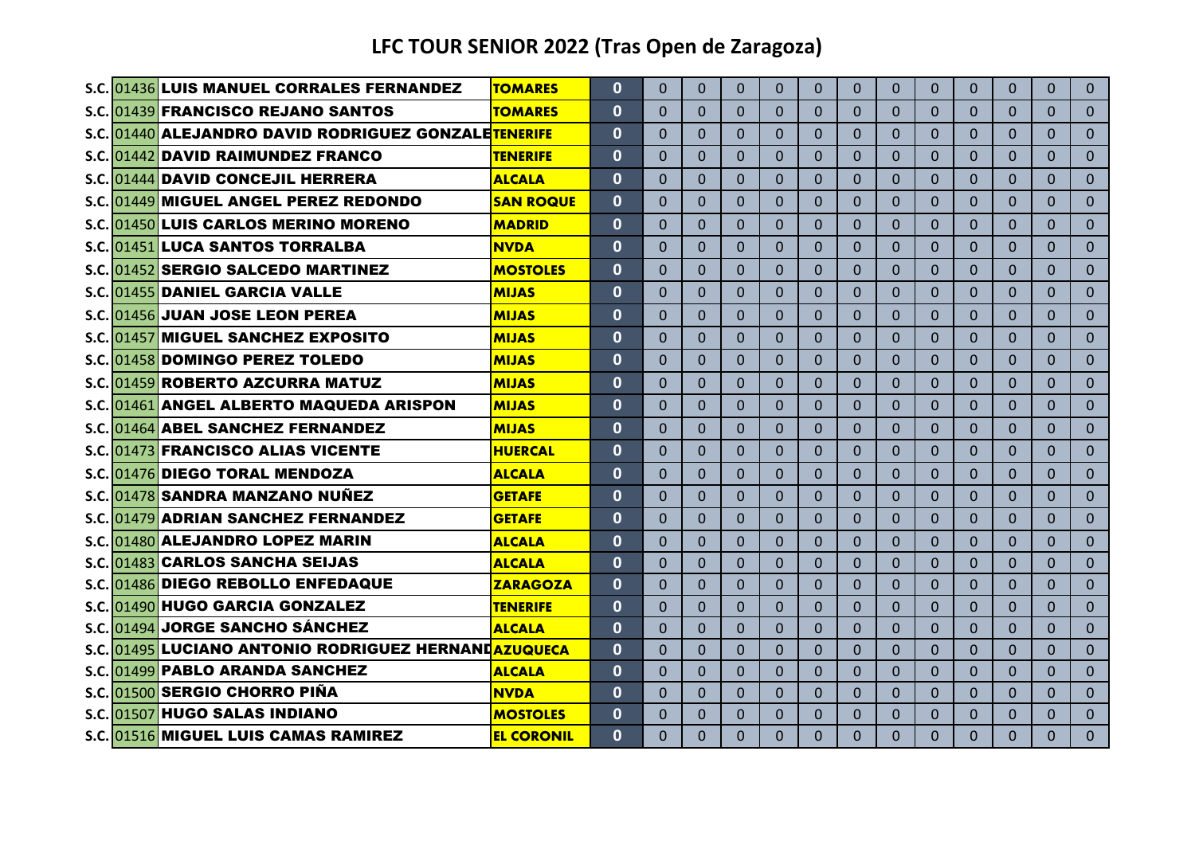|  | S.C. 01436 LUIS MANUEL CORRALES FERNANDEZ            | <b>TOMARES</b>    | $\mathbf{0}$ | 0        | $\Omega$       | $\Omega$ | $\Omega$     | $\Omega$     | $\Omega$ | $\Omega$ | $\mathbf{0}$   | $\mathbf{0}$ | $\mathbf{0}$   | $\Omega$       | $\Omega$       |
|--|------------------------------------------------------|-------------------|--------------|----------|----------------|----------|--------------|--------------|----------|----------|----------------|--------------|----------------|----------------|----------------|
|  | S.C. 01439 FRANCISCO REJANO SANTOS                   | <b>TOMARES</b>    | $\mathbf{0}$ | 0        | 0              | $\Omega$ | $\Omega$     | $\mathbf{0}$ | $\Omega$ | 0        | $\Omega$       | $\Omega$     | $\Omega$       | $\Omega$       | $\Omega$       |
|  | S.C. 01440 ALEJANDRO DAVID RODRIGUEZ GONZALETENERIFE |                   | $\mathbf{0}$ | 0        | $\Omega$       | $\Omega$ | $\Omega$     | $\Omega$     | 0        | $\Omega$ | $\Omega$       | $\mathbf{0}$ | $\Omega$       | $\Omega$       | $\Omega$       |
|  | S.C. 01442 DAVID RAIMUNDEZ FRANCO                    | <b>TENERIFE</b>   | $\mathbf{0}$ | $\Omega$ | $\Omega$       | $\Omega$ | $\Omega$     | $\Omega$     | $\Omega$ | $\Omega$ | $\Omega$       | $\Omega$     | $\Omega$       | $\Omega$       | $\Omega$       |
|  | S.C. 01444 DAVID CONCEJIL HERRERA                    | <b>ALCALA</b>     | $\mathbf{0}$ | $\Omega$ | $\Omega$       | $\Omega$ | $\Omega$     | $\Omega$     | $\Omega$ | $\Omega$ | $\Omega$       | $\Omega$     | $\Omega$       | $\Omega$       | $\Omega$       |
|  | S.C. 01449 MIGUEL ANGEL PEREZ REDONDO                | <b>SAN ROQUE</b>  | $\mathbf{0}$ | $\Omega$ | 0              | $\Omega$ | $\Omega$     | $\mathbf{0}$ | $\Omega$ | $\Omega$ | $\Omega$       | $\Omega$     | $\Omega$       | $\Omega$       | $\Omega$       |
|  | S.C. 01450 LUIS CARLOS MERINO MORENO                 | <b>MADRID</b>     | $\mathbf{0}$ | $\Omega$ | $\Omega$       | $\Omega$ | $\Omega$     | $\Omega$     | $\Omega$ | $\Omega$ | $\Omega$       | $\Omega$     | $\Omega$       | $\Omega$       | $\Omega$       |
|  | S.C.101451 <b>1LUCA SANTOS TORRALBA</b>              | NVDA              | $\mathbf{0}$ | 0        | $\Omega$       | $\Omega$ | $\Omega$     | $\mathbf{0}$ | 0        | 0        | $\Omega$       | $\mathbf{0}$ | $\Omega$       | $\Omega$       | $\Omega$       |
|  | S.C. 01452 SERGIO SALCEDO MARTINEZ                   | <b>MOSTOLES</b>   | $\mathbf{0}$ | $\Omega$ | $\Omega$       | $\Omega$ | $\Omega$     | $\Omega$     | $\Omega$ | $\Omega$ | $\Omega$       | $\Omega$     | $\Omega$       | $\Omega$       | $\Omega$       |
|  | S.C. 01455 DANIEL GARCIA VALLE                       | <b>MIJAS</b>      | $\mathbf{0}$ | $\Omega$ | $\Omega$       | $\Omega$ | $\Omega$     | $\Omega$     | $\Omega$ | $\Omega$ | $\Omega$       | $\Omega$     | $\Omega$       | $\Omega$       | $\Omega$       |
|  | S.C. 01456 JUAN JOSE LEON PEREA                      | <b>MIJAS</b>      | $\mathbf{0}$ | $\Omega$ | $\Omega$       | $\Omega$ | $\Omega$     | $\Omega$     | $\Omega$ | $\Omega$ | $\Omega$       | $\Omega$     | $\Omega$       | $\Omega$       | $\Omega$       |
|  | S.C.1014571MIGUEL SANCHEZ EXPOSITO                   | MIJAS             | $\mathbf{0}$ | $\Omega$ | $\Omega$       | $\Omega$ | $\Omega$     | $\Omega$     | $\Omega$ | $\Omega$ | $\Omega$       | $\Omega$     | $\Omega$       | $\Omega$       | $\Omega$       |
|  | S.C. 01458 DOMINGO PEREZ TOLEDO                      | <b>MIJAS</b>      | $\mathbf{0}$ | $\Omega$ | $\Omega$       | $\Omega$ | $\Omega$     | $\Omega$     | $\Omega$ | $\Omega$ | $\Omega$       | $\Omega$     | $\Omega$       | $\Omega$       | $\Omega$       |
|  | S.C. 01459 ROBERTO AZCURRA MATUZ                     | <b>MIJAS</b>      | $\mathbf{0}$ | 0        | 0              | $\Omega$ | $\Omega$     | $\Omega$     | $\Omega$ | $\Omega$ | $\Omega$       | $\Omega$     | $\Omega$       | $\Omega$       | $\Omega$       |
|  | S.C. 01461 ANGEL ALBERTO MAQUEDA ARISPON             | <b>MIJAS</b>      | $\mathbf{0}$ | $\Omega$ | $\Omega$       | $\Omega$ | $\Omega$     | $\Omega$     | $\Omega$ | $\Omega$ | $\Omega$       | $\Omega$     | $\Omega$       | $\Omega$       | $\Omega$       |
|  | S.C. 01464 ABEL SANCHEZ FERNANDEZ                    | <b>MIJAS</b>      | $\mathbf{0}$ | $\Omega$ | 0              | $\Omega$ | $\Omega$     | $\Omega$     | 0        | $\Omega$ | $\Omega$       | $\Omega$     | $\Omega$       | $\Omega$       | $\Omega$       |
|  | <b>S.C. 01473 FRANCISCO ALIAS VICENTE</b>            | <b>HUERCAL</b>    | $\mathbf{0}$ | $\Omega$ | $\Omega$       | $\Omega$ | $\Omega$     | $\Omega$     | $\Omega$ | $\Omega$ | $\Omega$       | $\Omega$     | $\Omega$       | $\Omega$       | $\Omega$       |
|  | S.C. 01476 DIEGO TORAL MENDOZA                       | <b>ALCALA</b>     | $\mathbf{0}$ | $\Omega$ | 0              | $\Omega$ | $\Omega$     | $\mathbf{0}$ | 0        | $\Omega$ | 0              | $\mathbf{0}$ | $\Omega$       | $\Omega$       | $\Omega$       |
|  | S.C. 01478 SANDRA MANZANO NUÑEZ                      | <b>GETAFE</b>     | $\mathbf{0}$ | $\Omega$ | $\Omega$       | $\Omega$ | $\Omega$     | $\Omega$     | $\Omega$ | $\Omega$ | $\Omega$       | $\Omega$     | $\Omega$       | $\Omega$       | $\Omega$       |
|  | S.C. 01479 ADRIAN SANCHEZ FERNANDEZ                  | <b>GETAFE</b>     | $\mathbf 0$  | $\Omega$ | $\overline{0}$ | $\Omega$ | $\Omega$     | $\Omega$     | $\Omega$ | 0        | $\overline{0}$ | $\Omega$     | $\Omega$       | $\Omega$       | $\Omega$       |
|  | S.C. 01480 ALEJANDRO LOPEZ MARIN                     | <b>ALCALA</b>     | $\mathbf 0$  | $\Omega$ | $\Omega$       | $\Omega$ | $\Omega$     | $\Omega$     | $\Omega$ | $\Omega$ | $\Omega$       | $\Omega$     | $\Omega$       | $\Omega$       | $\Omega$       |
|  | S.C. 01483 CARLOS SANCHA SEIJAS                      | <b>ALCALA</b>     | $\mathbf{0}$ | $\Omega$ | $\Omega$       | $\Omega$ | $\Omega$     | $\Omega$     | $\Omega$ | $\Omega$ | $\Omega$       | $\Omega$     | $\Omega$       | $\Omega$       | $\Omega$       |
|  | S.C. 01486 DIEGO REBOLLO ENFEDAQUE                   | <b>ZARAGOZA</b>   | $\mathbf{0}$ | 0        | $\Omega$       | $\Omega$ | $\mathbf{0}$ | $\mathbf{0}$ | 0        | $\Omega$ | $\Omega$       | $\mathbf{0}$ | $\overline{0}$ | $\overline{0}$ | $\overline{0}$ |
|  | S.C. 01490 HUGO GARCIA GONZALEZ                      | <b>TENERIFE</b>   | $\mathbf{0}$ | $\Omega$ | $\Omega$       | $\Omega$ | $\Omega$     | $\Omega$     | 0        | $\Omega$ | $\Omega$       | $\mathbf{0}$ | $\Omega$       | $\Omega$       | $\Omega$       |
|  | S.C. 01494 JORGE SANCHO SÁNCHEZ                      | <b>ALCALA</b>     | $\mathbf{0}$ | $\Omega$ | $\Omega$       | $\Omega$ | $\Omega$     | $\Omega$     | $\Omega$ | $\Omega$ | $\mathbf{0}$   | $\Omega$     | $\Omega$       | $\Omega$       | $\Omega$       |
|  | S.C. 01495 LUCIANO ANTONIO RODRIGUEZ HERNANDAZUQUECA |                   | $\mathbf{0}$ | $\Omega$ | $\Omega$       | $\Omega$ | $\Omega$     | $\Omega$     | $\Omega$ | $\Omega$ | $\Omega$       | $\Omega$     | $\Omega$       | $\Omega$       | $\Omega$       |
|  | S.C. 01499 PABLO ARANDA SANCHEZ                      | <b>ALCALA</b>     | $\mathbf{0}$ | $\Omega$ | $\Omega$       | $\Omega$ | $\Omega$     | $\mathbf{0}$ | 0        | $\Omega$ | $\Omega$       | $\mathbf{0}$ | $\Omega$       | $\Omega$       | $\Omega$       |
|  | S.C. 01500 SERGIO CHORRO PIÑA                        | <b>NVDA</b>       | $\mathbf{0}$ | 0        | $\Omega$       | $\Omega$ | $\Omega$     | $\Omega$     | $\Omega$ | $\Omega$ | $\Omega$       | $\Omega$     | $\Omega$       | $\Omega$       | $\Omega$       |
|  | S.C. 01507 HUGO SALAS INDIANO                        | <b>MOSTOLES</b>   | $\mathbf{0}$ | $\Omega$ | $\Omega$       | $\Omega$ | $\Omega$     | $\Omega$     | $\Omega$ | $\Omega$ | $\Omega$       | $\mathbf{0}$ | $\Omega$       | $\Omega$       | $\Omega$       |
|  | S.C. 01516 MIGUEL LUIS CAMAS RAMIREZ                 | <b>EL CORONIL</b> | $\mathbf{0}$ | $\Omega$ | 0              | $\Omega$ | $\Omega$     | $\Omega$     | 0        | $\Omega$ | $\Omega$       | $\Omega$     | $\Omega$       | $\Omega$       | $\overline{0}$ |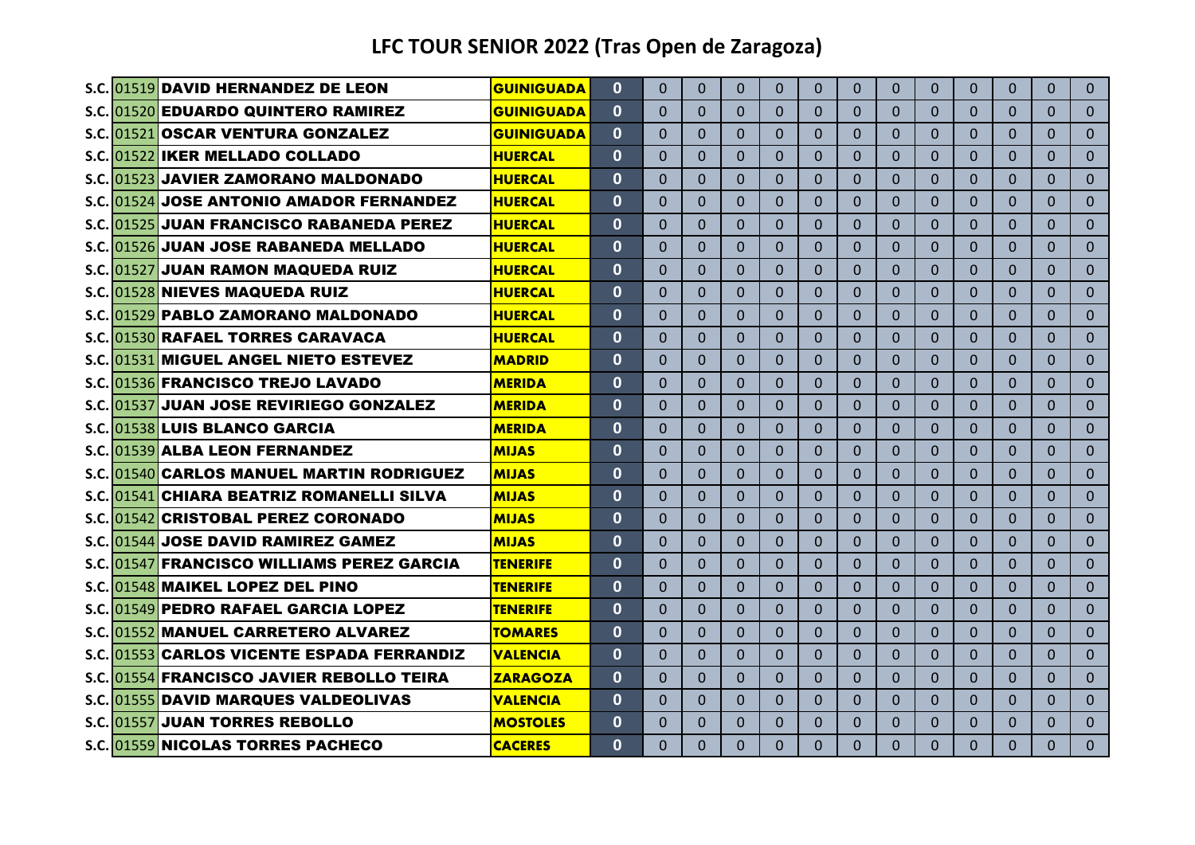|  | S.C. 01519 DAVID HERNANDEZ DE LEON                | <b>GUINIGUADA</b> | $\mathbf{0}$ | $\Omega$ | $\Omega$     | $\Omega$ | $\Omega$     | $\Omega$ | $\Omega$ | $\Omega$ | $\Omega$     | $\Omega$     | $\Omega$ | $\Omega$ | $\Omega$       |
|--|---------------------------------------------------|-------------------|--------------|----------|--------------|----------|--------------|----------|----------|----------|--------------|--------------|----------|----------|----------------|
|  | S.C. 01520 EDUARDO QUINTERO RAMIREZ               | <b>GUINIGUADA</b> | $\mathbf{0}$ | $\Omega$ | $\mathbf{0}$ | $\Omega$ | $\Omega$     | $\Omega$ | $\Omega$ | $\Omega$ | $\Omega$     | $\Omega$     | $\Omega$ | $\Omega$ | $\Omega$       |
|  | S.C. 01521 OSCAR VENTURA GONZALEZ                 | <b>GUINIGUADA</b> | $\mathbf{0}$ | $\Omega$ | $\Omega$     | $\Omega$ | $\Omega$     | $\Omega$ | $\Omega$ | $\Omega$ | $\mathbf{0}$ | $\Omega$     | $\Omega$ | $\Omega$ | $\Omega$       |
|  | S.C. 01522 IKER MELLADO COLLADO                   | <b>HUERCAL</b>    | $\mathbf{0}$ | $\Omega$ | $\Omega$     | $\Omega$ | $\Omega$     | $\Omega$ | $\Omega$ | $\Omega$ | $\Omega$     | $\Omega$     | $\Omega$ | $\Omega$ | $\Omega$       |
|  | S.C. 01523 JAVIER ZAMORANO MALDONADO              | <b>HUERCAL</b>    | $\mathbf{0}$ | $\Omega$ | $\Omega$     | $\Omega$ | $\Omega$     | $\Omega$ | $\Omega$ | $\Omega$ | $\Omega$     | $\Omega$     | $\Omega$ | $\Omega$ | $\Omega$       |
|  | S.C. 01524 JOSE ANTONIO AMADOR FERNANDEZ          | <b>HUERCAL</b>    | $\mathbf 0$  | $\Omega$ | $\Omega$     | $\Omega$ | $\Omega$     | $\Omega$ | $\Omega$ | $\Omega$ | $\Omega$     | $\Omega$     | $\Omega$ | $\Omega$ | $\overline{0}$ |
|  | S.C. 01525 JUAN FRANCISCO RABANEDA PEREZ          | <b>HUERCAL</b>    | 0            | $\Omega$ | $\Omega$     | $\Omega$ | $\Omega$     | $\Omega$ | $\Omega$ | $\Omega$ | $\Omega$     | $\mathbf{0}$ | $\Omega$ | $\Omega$ | $\Omega$       |
|  | S.C. 01526 JUAN JOSE RABANEDA MELLADO             | <b>HUERCAL</b>    | $\mathbf{0}$ | $\Omega$ | $\Omega$     | $\Omega$ | $\Omega$     | $\Omega$ | $\Omega$ | $\Omega$ | $\Omega$     | $\Omega$     | $\Omega$ | $\Omega$ | $\Omega$       |
|  | S.C. 01527 JUAN RAMON MAQUEDA RUIZ                | <b>HUERCAL</b>    | $\mathbf{0}$ | $\Omega$ | $\Omega$     | $\Omega$ | $\Omega$     | $\Omega$ | $\Omega$ | $\Omega$ | $\Omega$     | $\Omega$     | $\Omega$ | $\Omega$ | $\Omega$       |
|  | S.C. 01528 NIEVES MAQUEDA RUIZ                    | <b>HUERCAL</b>    | $\mathbf{0}$ | $\Omega$ | $\Omega$     | $\Omega$ | $\Omega$     | $\Omega$ | $\Omega$ | $\Omega$ | $\Omega$     | $\Omega$     | $\Omega$ | $\Omega$ | $\Omega$       |
|  | S.C. 01529 PABLO ZAMORANO MALDONADO               | <b>HUERCAL</b>    | $\mathbf{0}$ | $\Omega$ | $\Omega$     | $\Omega$ | $\Omega$     | $\Omega$ | $\Omega$ | $\Omega$ | $\Omega$     | $\Omega$     | $\Omega$ | $\Omega$ | $\Omega$       |
|  | S.C. 01530 RAFAEL TORRES CARAVACA                 | <b>HUERCAL</b>    | $\mathbf{0}$ | $\Omega$ | $\Omega$     | $\Omega$ | $\Omega$     | $\Omega$ | $\Omega$ | $\Omega$ | $\Omega$     | $\Omega$     | $\Omega$ | $\Omega$ | $\Omega$       |
|  | S.C. 01531 MIGUEL ANGEL NIETO ESTEVEZ             | <b>MADRID</b>     | $\mathbf{0}$ | $\Omega$ | $\Omega$     | $\Omega$ | $\Omega$     | $\Omega$ | $\Omega$ | $\Omega$ | $\Omega$     | $\Omega$     | $\Omega$ | $\Omega$ | $\Omega$       |
|  | S.C. 01536 FRANCISCO TREJO LAVADO                 | <b>MERIDA</b>     | $\mathbf{0}$ | $\Omega$ | $\Omega$     | $\Omega$ | $\Omega$     | $\Omega$ | $\Omega$ | $\Omega$ | $\Omega$     | $\Omega$     | $\Omega$ | $\Omega$ | $\Omega$       |
|  | S.C. 01537 JUAN JOSE REVIRIEGO GONZALEZ           | <b>MERIDA</b>     | $\mathbf{0}$ | $\Omega$ | $\Omega$     | $\Omega$ | $\Omega$     | $\Omega$ | 0        | $\Omega$ | $\Omega$     | $\Omega$     | $\Omega$ | $\Omega$ | $\Omega$       |
|  | S.C. 01538 LUIS BLANCO GARCIA                     | <b>MERIDA</b>     | $\mathbf{0}$ | $\Omega$ | $\Omega$     | $\Omega$ | $\mathbf{0}$ | $\Omega$ | $\Omega$ | $\Omega$ | $\Omega$     | $\Omega$     | $\Omega$ | $\Omega$ | $\Omega$       |
|  | S.C. 01539 ALBA LEON FERNANDEZ                    | <b>MIJAS</b>      | $\mathbf{0}$ | 0        | $\Omega$     | $\Omega$ | $\Omega$     | $\Omega$ | 0        | 0        | $\Omega$     | $\Omega$     | $\Omega$ | 0        | $\Omega$       |
|  | <b>S.C. 01540 CARLOS MANUEL MARTIN RODRIGUEZ</b>  | <b>MIJAS</b>      | $\mathbf{0}$ | $\Omega$ | $\Omega$     | $\Omega$ | $\Omega$     | $\Omega$ | $\Omega$ | $\Omega$ | $\Omega$     | $\mathbf{0}$ | $\Omega$ | $\Omega$ | $\Omega$       |
|  | S.C. 01541 CHIARA BEATRIZ ROMANELLI SILVA         | MIJAS             | 0            | $\Omega$ | $\Omega$     | $\Omega$ | $\Omega$     | $\Omega$ | $\Omega$ | $\Omega$ | $\Omega$     | $\mathbf{0}$ | $\Omega$ | $\Omega$ | $\Omega$       |
|  | S.C. 01542 CRISTOBAL PEREZ CORONADO               | <b>MIJAS</b>      | 0            | $\Omega$ | $\mathbf{0}$ | $\Omega$ | $\Omega$     | $\Omega$ | $\Omega$ | $\Omega$ | $\Omega$     | $\mathbf{0}$ | $\Omega$ | $\Omega$ | $\Omega$       |
|  | S.C. 01544 JOSE DAVID RAMIREZ GAMEZ               | <b>MIJAS</b>      | $\mathbf{0}$ | $\Omega$ | $\Omega$     | $\Omega$ | $\Omega$     | $\Omega$ | $\Omega$ | $\Omega$ | $\Omega$     | $\Omega$     | $\Omega$ | $\Omega$ | $\Omega$       |
|  | S.C. 01547 FRANCISCO WILLIAMS PEREZ GARCIA        | <b>TENERIFE</b>   | $\mathbf{0}$ | $\Omega$ | $\Omega$     | $\Omega$ | $\Omega$     | $\Omega$ | $\Omega$ | $\Omega$ | $\Omega$     | $\Omega$     | $\Omega$ | $\Omega$ | $\Omega$       |
|  | S.C. 01548 MAIKEL LOPEZ DEL PINO                  | <b>TENERIFE</b>   | $\mathbf{0}$ | $\Omega$ | $\Omega$     | $\Omega$ | $\Omega$     | $\Omega$ | $\Omega$ | $\Omega$ | $\Omega$     | $\Omega$     | $\Omega$ | $\Omega$ | $\Omega$       |
|  | S.C. 01549 PEDRO RAFAEL GARCIA LOPEZ              | <b>TENERIFE</b>   | $\mathbf{0}$ | $\Omega$ | $\Omega$     | $\Omega$ | $\Omega$     | $\Omega$ | $\Omega$ | $\Omega$ | $\Omega$     | $\Omega$     | $\Omega$ | $\Omega$ | $\Omega$       |
|  | S.C. 01552 MANUEL CARRETERO ALVAREZ               | <b>TOMARES</b>    | $\mathbf 0$  | $\Omega$ | $\Omega$     | $\Omega$ | $\mathbf{0}$ | $\Omega$ | $\Omega$ | $\Omega$ | $\Omega$     | $\mathbf{0}$ | $\Omega$ | $\Omega$ | $\Omega$       |
|  | <b>S.C. 01553 CARLOS VICENTE ESPADA FERRANDIZ</b> | <b>VALENCIA</b>   | $\mathbf{0}$ | $\Omega$ | $\Omega$     | $\Omega$ | $\mathbf{0}$ | $\Omega$ | $\Omega$ | $\Omega$ | $\Omega$     | $\Omega$     | $\Omega$ | $\Omega$ | $\Omega$       |
|  | S.C. 01554 FRANCISCO JAVIER REBOLLO TEIRA         | <b>ZARAGOZA</b>   | $\mathbf{0}$ | $\Omega$ | $\Omega$     | $\Omega$ | $\Omega$     | $\Omega$ | $\Omega$ | $\Omega$ | $\Omega$     | $\Omega$     | $\Omega$ | $\Omega$ | $\Omega$       |
|  | S.C. 01555 DAVID MARQUES VALDEOLIVAS              | VALENCIA          | 0            | $\Omega$ | $\Omega$     | $\Omega$ | $\Omega$     | $\Omega$ | $\Omega$ | 0        | $\Omega$     | $\Omega$     | $\Omega$ | $\Omega$ | $\Omega$       |
|  | S.C. 01557 JUAN TORRES REBOLLO                    | <b>MOSTOLES</b>   | $\mathbf{0}$ | $\Omega$ | $\Omega$     | $\Omega$ | $\Omega$     | $\Omega$ | $\Omega$ | $\Omega$ | $\Omega$     | $\mathbf{0}$ | $\Omega$ | $\Omega$ | $\Omega$       |
|  | S.C. 01559 NICOLAS TORRES PACHECO                 | <b>CACERES</b>    | $\Omega$     | 0        | $\Omega$     | $\Omega$ | $\Omega$     | $\Omega$ | $\Omega$ | $\Omega$ | $\Omega$     | $\Omega$     | $\Omega$ | $\Omega$ | $\overline{0}$ |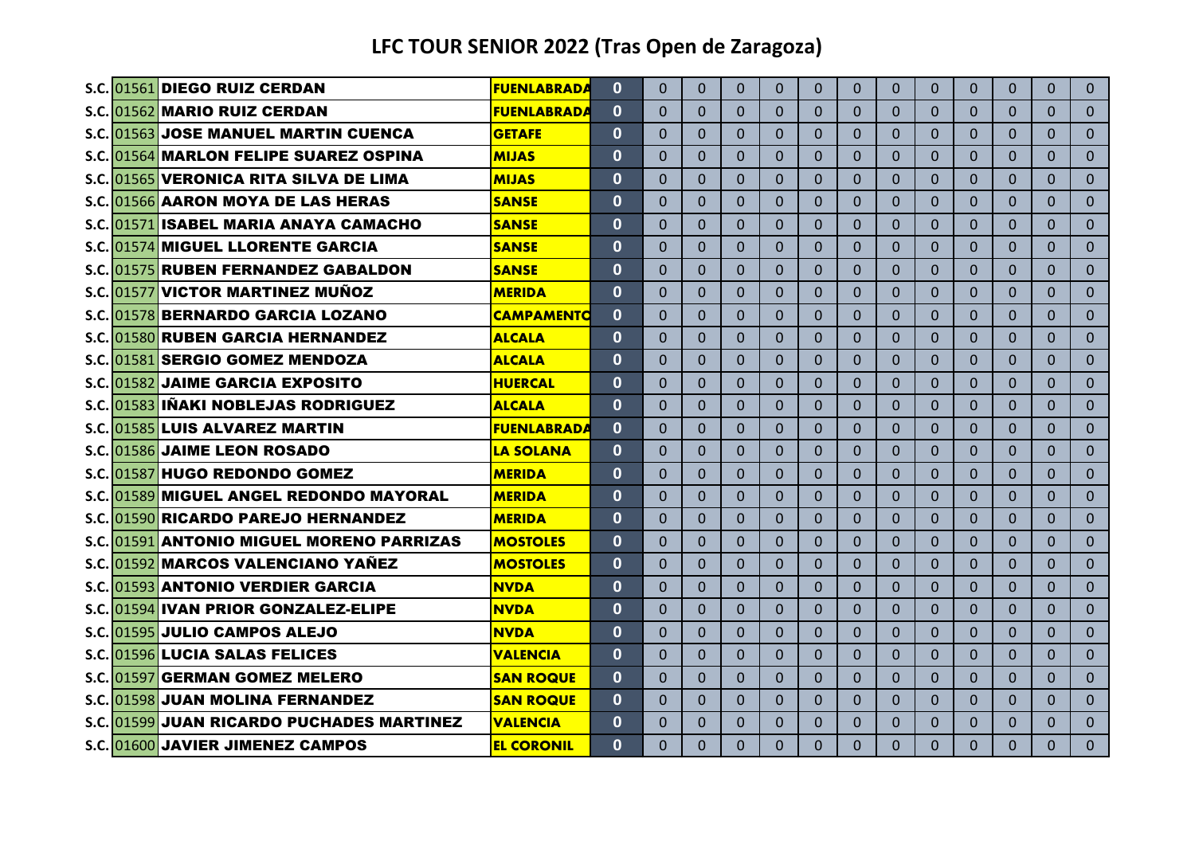|  | S.C. 01561 DIEGO RUIZ CERDAN              | <b>FUENLABRADA</b> | $\mathbf{0}$ | $\Omega$       | $\Omega$     | $\Omega$ | $\Omega$       | $\Omega$     | 0              | $\Omega$       | $\Omega$       | $\Omega$     | $\mathbf{0}$ | $\Omega$       | $\Omega$       |
|--|-------------------------------------------|--------------------|--------------|----------------|--------------|----------|----------------|--------------|----------------|----------------|----------------|--------------|--------------|----------------|----------------|
|  | S.C. 01562 MARIO RUIZ CERDAN              | <b>FUENLABRADA</b> | $\mathbf{0}$ | $\Omega$       | $\Omega$     | $\Omega$ | $\mathbf 0$    | $\mathbf{0}$ | 0              | 0              | $\Omega$       | 0            | $\mathbf 0$  | $\Omega$       | $\mathbf{0}$   |
|  | S.C. 01563 JOSE MANUEL MARTIN CUENCA      | <b>GETAFE</b>      | $\Omega$     | $\Omega$       | $\mathbf{0}$ | $\Omega$ | $\Omega$       | $\Omega$     | $\overline{0}$ | $\Omega$       | $\mathbf{0}$   | $\Omega$     | $\Omega$     | $\Omega$       | $\Omega$       |
|  | S.C. 01564 MARLON FELIPE SUAREZ OSPINA    | <b>MIJAS</b>       | $\mathbf{0}$ | $\Omega$       | $\Omega$     | $\Omega$ | $\Omega$       | $\Omega$     | $\overline{0}$ | 0              | $\Omega$       | $\Omega$     | $\Omega$     | $\Omega$       | $\Omega$       |
|  | S.C. 01565 VERONICA RITA SILVA DE LIMA    | <b>MIJAS</b>       | $\mathbf{0}$ | $\Omega$       | $\Omega$     | $\Omega$ | $\Omega$       | $\Omega$     | $\overline{0}$ | $\Omega$       | $\Omega$       | $\Omega$     | $\mathbf{0}$ | $\Omega$       | $\Omega$       |
|  | S.C. 01566 AARON MOYA DE LAS HERAS        | <b>SANSE</b>       | $\mathbf 0$  | $\Omega$       | $\Omega$     | $\Omega$ | $\Omega$       | $\Omega$     | $\overline{0}$ | $\Omega$       | $\Omega$       | $\mathbf{0}$ | $\mathbf{0}$ | $\Omega$       | $\overline{0}$ |
|  | S.C. 01571 ISABEL MARIA ANAYA CAMACHO     | <b>SANSE</b>       | $\mathbf{0}$ | $\Omega$       | $\mathbf{0}$ | $\Omega$ | $\Omega$       | $\Omega$     | 0              | $\Omega$       | $\Omega$       | $\Omega$     | $\Omega$     | $\Omega$       | $\Omega$       |
|  | S.C. 01574 MIGUEL LLORENTE GARCIA         | <b>SANSE</b>       | $\mathbf{0}$ | $\Omega$       | $\Omega$     | $\Omega$ | $\Omega$       | $\Omega$     | $\Omega$       | $\Omega$       | $\Omega$       | $\Omega$     | $\Omega$     | $\Omega$       | $\Omega$       |
|  | S.C. 01575 RUBEN FERNANDEZ GABALDON       | <b>SANSE</b>       | $\bf{0}$     | $\Omega$       | $\Omega$     | $\Omega$ | $\Omega$       | $\Omega$     | $\Omega$       | $\Omega$       | $\overline{0}$ | $\Omega$     | $\Omega$     | $\Omega$       | $\Omega$       |
|  | S.C. 01577 VICTOR MARTINEZ MUÑOZ          | <b>MERIDA</b>      | $\mathbf{0}$ | $\Omega$       | $\Omega$     | $\Omega$ | $\Omega$       | $\Omega$     | $\Omega$       | $\Omega$       | $\Omega$       | $\Omega$     | $\Omega$     | $\Omega$       | $\Omega$       |
|  | S.C. 01578 BERNARDO GARCIA LOZANO         | <b>CAMPAMENTO</b>  | $\mathbf{0}$ | $\Omega$       | $\Omega$     | $\Omega$ | $\Omega$       | $\Omega$     | $\Omega$       | 0              | $\Omega$       | $\Omega$     | $\Omega$     | $\Omega$       | $\Omega$       |
|  | S.C. 01580 RUBEN GARCIA HERNANDEZ         | <b>ALCALA</b>      | $\Omega$     | $\Omega$       | $\Omega$     | $\Omega$ | $\Omega$       | $\Omega$     | $\Omega$       | $\Omega$       | $\Omega$       | $\Omega$     | $\Omega$     | $\Omega$       | $\Omega$       |
|  | S.C. 01581 SERGIO GOMEZ MENDOZA           | <b>ALCALA</b>      | $\Omega$     | $\Omega$       | $\Omega$     | $\Omega$ | $\Omega$       | $\Omega$     | $\Omega$       | 0              | $\Omega$       | $\Omega$     | $\Omega$     | $\Omega$       | $\Omega$       |
|  | S.C. 01582 JAIME GARCIA EXPOSITO          | <b>HUERCAL</b>     | $\mathbf{0}$ | $\Omega$       | $\Omega$     | $\Omega$ | $\overline{0}$ | $\Omega$     | $\Omega$       | $\Omega$       | $\Omega$       | $\Omega$     | $\Omega$     | $\overline{0}$ | $\Omega$       |
|  | S.C. 01583 IÑAKI NOBLEJAS RODRIGUEZ       | <b>ALCALA</b>      | $\mathbf{0}$ | $\overline{0}$ | $\Omega$     | $\Omega$ | $\Omega$       | $\mathbf{0}$ | 0              | 0              | $\Omega$       | $\Omega$     | $\Omega$     | $\Omega$       | $\Omega$       |
|  | S.C. 01585 LUIS ALVAREZ MARTIN            | <b>FUENLABRADA</b> | $\mathbf{0}$ | $\Omega$       | $\Omega$     | $\Omega$ | $\overline{0}$ | $\Omega$     | $\Omega$       | $\overline{0}$ | $\Omega$       | $\Omega$     | $\mathbf{0}$ | $\overline{0}$ | $\overline{0}$ |
|  | S.C. 01586 JAIME LEON ROSADO              | <b>LA SOLANA</b>   | $\mathbf{0}$ | $\Omega$       | $\Omega$     | $\Omega$ | $\Omega$       | $\Omega$     | 0              | 0              | $\Omega$       | $\Omega$     | $\Omega$     | $\Omega$       | $\Omega$       |
|  | S.C. 01587 HUGO REDONDO GOMEZ             | <b>MERIDA</b>      | $\mathbf{0}$ | $\Omega$       | $\Omega$     | $\Omega$ | $\Omega$       | $\Omega$     | 0              | $\Omega$       | $\Omega$       | $\mathbf{0}$ | $\Omega$     | $\Omega$       | $\Omega$       |
|  | S.C. 01589 MIGUEL ANGEL REDONDO MAYORAL   | <b>MERIDA</b>      | $\mathbf{0}$ | $\Omega$       | $\Omega$     | $\Omega$ | $\Omega$       | $\Omega$     | 0              | 0              | $\Omega$       | $\mathbf{0}$ | $\Omega$     | $\Omega$       | $\Omega$       |
|  | S.C. 01590 RICARDO PAREJO HERNANDEZ       | <b>MERIDA</b>      | $\mathbf{0}$ | $\Omega$       | $\mathbf{0}$ | $\Omega$ | $\Omega$       | $\Omega$     | 0              | $\Omega$       | $\Omega$       | $\mathbf{0}$ | $\Omega$     | $\Omega$       | $\Omega$       |
|  | S.C. 01591 ANTONIO MIGUEL MORENO PARRIZAS | <b>MOSTOLES</b>    | $\mathbf{0}$ | $\Omega$       | $\Omega$     | $\Omega$ | $\Omega$       | $\Omega$     | 0              | $\Omega$       | $\Omega$       | $\Omega$     | $\Omega$     | $\Omega$       | $\Omega$       |
|  | S.C. 01592 MARCOS VALENCIANO YAÑEZ        | <b>MOSTOLES</b>    | $\mathbf{0}$ | $\Omega$       | $\Omega$     | $\Omega$ | $\Omega$       | $\Omega$     | 0              | $\Omega$       | $\Omega$       | $\Omega$     | $\Omega$     | $\Omega$       | $\Omega$       |
|  | S.C. 01593 ANTONIO VERDIER GARCIA         | <b>NVDA</b>        | $\mathbf{0}$ | $\Omega$       | $\Omega$     | $\Omega$ | $\Omega$       | $\Omega$     | $\Omega$       | $\Omega$       | $\Omega$       | $\Omega$     | $\Omega$     | $\Omega$       | $\Omega$       |
|  | S.C. 01594 IVAN PRIOR GONZALEZ-ELIPE      | <b>NVDA</b>        | $\Omega$     | $\Omega$       | $\Omega$     | $\Omega$ | $\Omega$       | $\Omega$     | $\Omega$       | $\Omega$       | $\Omega$       | $\Omega$     | $\Omega$     | $\Omega$       | $\Omega$       |
|  | S.C. 01595 JULIO CAMPOS ALEJO             | <b>NVDA</b>        | $\mathbf{0}$ | $\Omega$       | $\Omega$     | $\Omega$ | $\overline{0}$ | $\Omega$     | $\Omega$       | $\Omega$       | $\overline{0}$ | $\mathbf{0}$ | $\Omega$     | $\overline{0}$ | $\Omega$       |
|  | S.C. 01596 LUCIA SALAS FELICES            | <u>IVALENCIA</u>   | $\mathbf{0}$ | $\Omega$       | $\Omega$     | $\Omega$ | $\overline{0}$ | $\Omega$     | $\Omega$       | 0              | $\overline{0}$ | $\Omega$     | $\mathbf{0}$ | $\Omega$       | $\Omega$       |
|  | S.C. 01597 GERMAN GOMEZ MELERO            | <b>SAN ROQUE</b>   | $\mathbf{0}$ | $\Omega$       | $\Omega$     | $\Omega$ | $\overline{0}$ | $\Omega$     | $\Omega$       | $\Omega$       | $\overline{0}$ | $\Omega$     | $\Omega$     | $\Omega$       | $\Omega$       |
|  | S.C.101598 <b>1JUAN MOLINA FERNANDEZ</b>  | <b>SAN ROQUE</b>   | $\mathbf{0}$ | $\Omega$       | $\Omega$     | $\Omega$ | $\Omega$       | $\Omega$     | 0              | 0              | $\Omega$       | $\Omega$     | $\mathbf{0}$ | $\Omega$       | $\Omega$       |
|  | S.C. 01599 JUAN RICARDO PUCHADES MARTINEZ | <b>VALENCIA</b>    | $\mathbf{0}$ | $\Omega$       | $\Omega$     | $\Omega$ | $\Omega$       | $\Omega$     | 0              | $\Omega$       | $\Omega$       | $\mathbf{0}$ | $\Omega$     | $\Omega$       | $\Omega$       |
|  | S.C. 01600 JAVIER JIMENEZ CAMPOS          | <b>EL CORONIL</b>  | $\Omega$     | $\Omega$       | $\Omega$     | $\Omega$ | $\Omega$       | $\Omega$     | $\Omega$       | $\Omega$       | $\Omega$       | $\Omega$     | $\Omega$     | $\Omega$       | $\Omega$       |